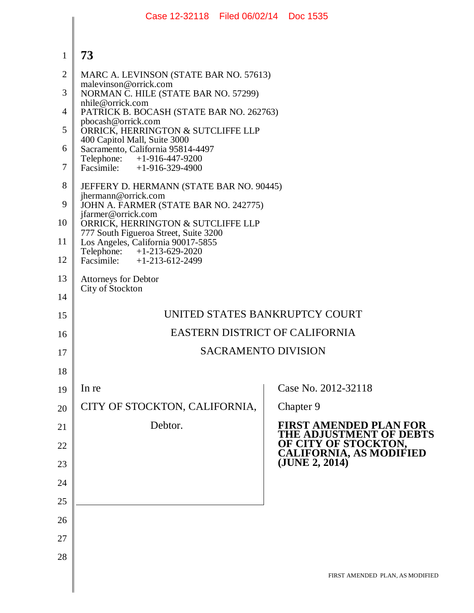|                | Case 12-32118 Filed 06/02/14 Doc 1535                                       |                                 |
|----------------|-----------------------------------------------------------------------------|---------------------------------|
|                |                                                                             |                                 |
| $\mathbf{1}$   | 73                                                                          |                                 |
| $\overline{2}$ | MARC A. LEVINSON (STATE BAR NO. 57613)<br>malevinson@orrick.com             |                                 |
| 3              | NORMAN C. HILE (STATE BAR NO. 57299)<br>nhile@orrick.com                    |                                 |
| 4              | PATRICK B. BOCASH (STATE BAR NO. 262763)<br>pbocash@orrick.com              |                                 |
| 5              | ORRICK, HERRINGTON & SUTCLIFFE LLP<br>400 Capitol Mall, Suite 3000          |                                 |
| 6              | Sacramento, California 95814-4497<br>Telephone: +1-916-447-9200             |                                 |
| 7              | Facsimile: $+1-916-329-4900$                                                |                                 |
| 8              | JEFFERY D. HERMANN (STATE BAR NO. 90445)<br>jhermann@orrick.com             |                                 |
| 9              | JOHN A. FARMER (STATE BAR NO. 242775)<br>jfarmer@orrick.com                 |                                 |
| 10             | ORRICK, HERRINGTON & SUTCLIFFE LLP<br>777 South Figueroa Street, Suite 3200 |                                 |
| 11             | Los Angeles, California 90017-5855<br>Telephone: +1-213-629-2020            |                                 |
| 12             | Facsimile: $+1-213-612-2499$                                                |                                 |
| 13<br>14       | <b>Attorneys for Debtor</b><br>City of Stockton                             |                                 |
| 15             | UNITED STATES BANKRUPTCY COURT                                              |                                 |
| 16             | <b>EASTERN DISTRICT OF CALIFORNIA</b>                                       |                                 |
| 17             | <b>SACRAMENTO DIVISION</b>                                                  |                                 |
| 18             |                                                                             |                                 |
| 19             | In re                                                                       | Case No. 2012-32118             |
| 20             | CITY OF STOCKTON, CALIFORNIA,                                               | Chapter 9                       |
| 21             | Debtor.                                                                     | <b>FIRST AMENDED PLAN FOR</b>   |
| 22             |                                                                             | THE ADJUSTMENT OF DEBTS         |
| 23             |                                                                             | OF CITY OF STOCKTON,            |
| 24             |                                                                             |                                 |
| 25             |                                                                             |                                 |
| 26             |                                                                             |                                 |
| 27             |                                                                             |                                 |
| 28             |                                                                             |                                 |
|                |                                                                             | FIRST AMENDED PLAN, AS MODIFIED |
|                |                                                                             |                                 |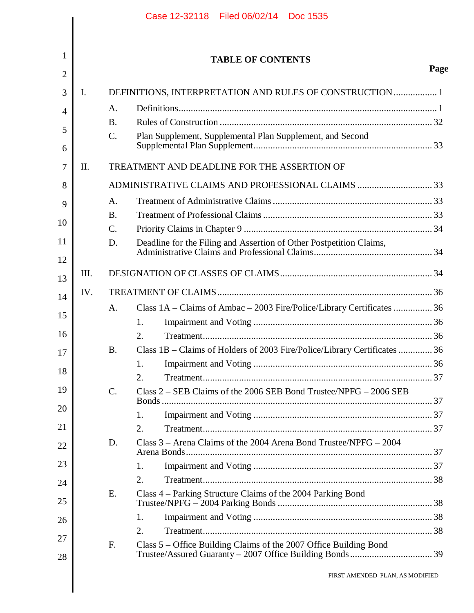|     |                 | <b>TABLE OF CONTENTS</b>                                                  |      |
|-----|-----------------|---------------------------------------------------------------------------|------|
|     |                 |                                                                           | Page |
| Ι.  |                 | DEFINITIONS, INTERPRETATION AND RULES OF CONSTRUCTION 1                   |      |
|     | A.              |                                                                           |      |
|     | <b>B.</b>       |                                                                           |      |
|     | $\mathcal{C}$ . | Plan Supplement, Supplemental Plan Supplement, and Second                 |      |
| Π.  |                 | TREATMENT AND DEADLINE FOR THE ASSERTION OF                               |      |
|     |                 |                                                                           |      |
|     | A.              |                                                                           |      |
|     | <b>B.</b>       |                                                                           |      |
|     | $\mathcal{C}$ . |                                                                           |      |
|     | D.              |                                                                           |      |
| Ш.  |                 |                                                                           |      |
| IV. |                 |                                                                           |      |
|     | A.              | Class 1A – Claims of Ambac – 2003 Fire/Police/Library Certificates  36    |      |
|     |                 | 1.                                                                        |      |
|     |                 | 2.                                                                        |      |
|     | <b>B.</b>       | Class 1B - Claims of Holders of 2003 Fire/Police/Library Certificates  36 |      |
|     |                 | 1.                                                                        |      |
|     |                 | 2.                                                                        |      |
|     | $\mathcal{C}$ . | Class 2 – SEB Claims of the 2006 SEB Bond Trustee/NPFG – 2006 SEB         |      |
|     |                 | 1.                                                                        |      |
|     |                 | 2.                                                                        |      |
|     | D.              | Class 3 – Arena Claims of the 2004 Arena Bond Trustee/NPFG – 2004         |      |
|     |                 | 1.                                                                        |      |
|     |                 | 2.                                                                        |      |
|     | E.              | Class 4 – Parking Structure Claims of the 2004 Parking Bond               |      |
|     |                 | 1.                                                                        |      |
|     |                 | 2.                                                                        |      |
|     | F.              | Class 5 – Office Building Claims of the 2007 Office Building Bond         |      |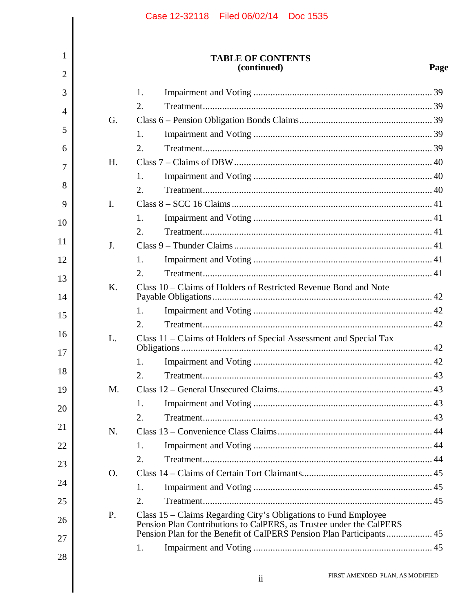|                     |    | Case 12-32118 Filed 06/02/14 Doc 1535                                                                                                  |      |
|---------------------|----|----------------------------------------------------------------------------------------------------------------------------------------|------|
| 1<br>$\overline{2}$ |    | <b>TABLE OF CONTENTS</b><br>(continued)                                                                                                | Page |
|                     |    |                                                                                                                                        |      |
| 3                   |    | 1.<br>2.                                                                                                                               |      |
| $\overline{4}$      | G. |                                                                                                                                        |      |
| 5                   |    | 1.                                                                                                                                     |      |
| 6                   |    | 2.                                                                                                                                     |      |
| 7                   | H. |                                                                                                                                        |      |
|                     |    | 1.                                                                                                                                     |      |
| 8                   |    | 2.                                                                                                                                     |      |
| 9                   | I. |                                                                                                                                        |      |
| 10                  |    | 1.                                                                                                                                     |      |
| 11                  |    | 2.                                                                                                                                     |      |
|                     | J. |                                                                                                                                        |      |
| 12                  |    | 1.                                                                                                                                     |      |
| 13                  |    | 2.                                                                                                                                     |      |
| 14                  | K. | Class 10 – Claims of Holders of Restricted Revenue Bond and Note                                                                       |      |
| 15                  |    | 1.                                                                                                                                     |      |
|                     |    | 2.                                                                                                                                     |      |
| 16                  | L. | Class 11 – Claims of Holders of Special Assessment and Special Tax                                                                     | 42   |
| 17                  |    | 1.                                                                                                                                     |      |
| 18                  |    | 2.                                                                                                                                     |      |
| 19                  | M. |                                                                                                                                        |      |
|                     |    | 1.                                                                                                                                     |      |
| 20                  |    | 2.                                                                                                                                     |      |
| 21                  | N. |                                                                                                                                        |      |
| 22                  |    | 1.                                                                                                                                     |      |
| 23                  |    | 2.                                                                                                                                     |      |
|                     | O. |                                                                                                                                        |      |
| 24                  |    | 1.                                                                                                                                     |      |
| 25                  |    | 2.                                                                                                                                     |      |
| 26                  | P. | Class 15 – Claims Regarding City's Obligations to Fund Employee<br>Pension Plan Contributions to CalPERS, as Trustee under the CalPERS |      |
| 27                  |    | 1.                                                                                                                                     |      |
| 28                  |    |                                                                                                                                        |      |
|                     |    | FIRST AMENDED PLAN, AS MODIFIED<br>$\mathbf{ii}$                                                                                       |      |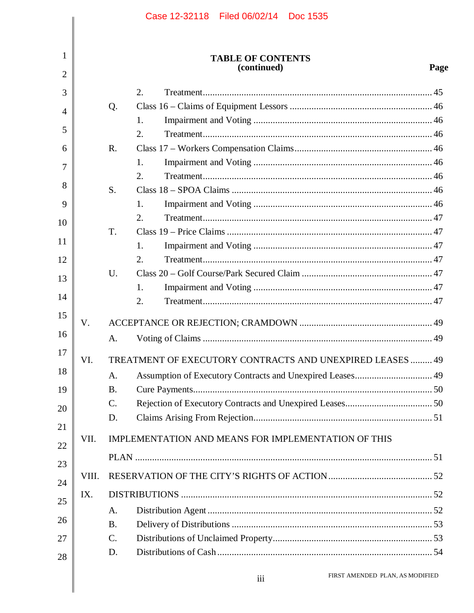$1\,$ 

# TABLE OF CONTENTS<br>(continued)

|             |             | $($ continue $\mathbf{u}$                                 | rag |
|-------------|-------------|-----------------------------------------------------------|-----|
|             |             | $\overline{2}$ .                                          |     |
|             | Q.          |                                                           |     |
|             |             | 1.                                                        |     |
|             |             | 2.                                                        |     |
|             | $R_{\cdot}$ |                                                           |     |
|             |             | 1.                                                        |     |
|             |             | 2.                                                        |     |
|             | S.          |                                                           |     |
|             |             | 1.                                                        |     |
|             |             | 2.                                                        |     |
|             | T.          |                                                           |     |
|             |             | 1.                                                        |     |
|             |             | 2.                                                        |     |
|             | U.          |                                                           |     |
|             |             | 1.                                                        |     |
|             |             | 2.                                                        |     |
| $V_{\cdot}$ |             |                                                           |     |
|             | A.          |                                                           |     |
| VI.         |             | TREATMENT OF EXECUTORY CONTRACTS AND UNEXPIRED LEASES  49 |     |
|             | A.          | Assumption of Executory Contracts and Unexpired Leases 49 |     |
|             | <b>B.</b>   |                                                           |     |
|             | C.          |                                                           |     |
|             | D.          |                                                           |     |
| VII.        |             | IMPLEMENTATION AND MEANS FOR IMPLEMENTATION OF THIS       |     |
|             |             |                                                           |     |
|             |             |                                                           |     |
| VIII.       |             |                                                           |     |
| IX.         |             |                                                           |     |
|             | A.          |                                                           |     |
|             | <b>B.</b>   |                                                           |     |
|             | C.          |                                                           |     |
|             | D.          |                                                           |     |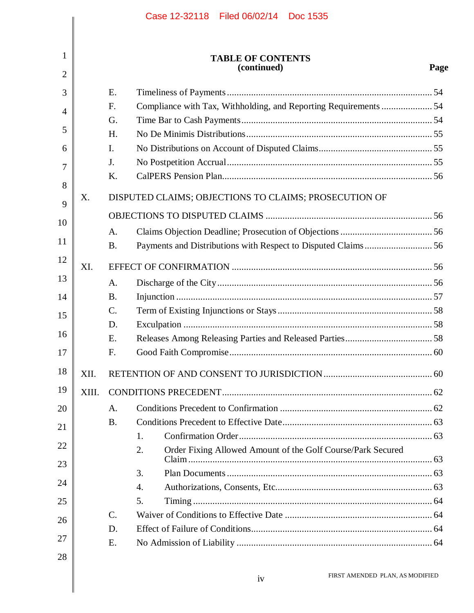|                |       |                | Case 12-32118 Filed 06/02/14 Doc 1535                             |      |
|----------------|-------|----------------|-------------------------------------------------------------------|------|
|                |       |                |                                                                   |      |
| 1              |       |                | <b>TABLE OF CONTENTS</b><br>(continued)                           | Page |
| $\overline{2}$ |       |                |                                                                   |      |
| 3              |       | E.             |                                                                   |      |
| $\overline{4}$ |       | F.<br>G.       | Compliance with Tax, Withholding, and Reporting Requirements  54  |      |
| 5              |       | H.             |                                                                   |      |
| 6              |       | $\mathbf{I}$ . |                                                                   |      |
|                |       | J.             |                                                                   |      |
| 7              |       | K.             |                                                                   |      |
| 8              |       |                |                                                                   |      |
| 9              | Χ.    |                | DISPUTED CLAIMS; OBJECTIONS TO CLAIMS; PROSECUTION OF             |      |
| 10             |       |                |                                                                   |      |
|                |       | A.             |                                                                   |      |
| 11             |       | <b>B.</b>      |                                                                   |      |
| 12             | XI.   |                |                                                                   |      |
| 13             |       | A.             |                                                                   |      |
| 14             |       | <b>B.</b>      |                                                                   |      |
| 15             |       | $\mathbf{C}$ . |                                                                   |      |
|                |       | D.             |                                                                   |      |
| 16             |       | E.             |                                                                   |      |
| 17             |       | F.             | Good Faith Compromise                                             | . 60 |
| 18             | XII.  |                |                                                                   |      |
| 19             | XIII. |                |                                                                   |      |
| 20             |       | A.             |                                                                   |      |
|                |       | <b>B.</b>      |                                                                   |      |
| 21             |       |                | 1.                                                                |      |
| 22             |       |                | Order Fixing Allowed Amount of the Golf Course/Park Secured<br>2. |      |
| 23             |       |                | 3.                                                                |      |
| 24             |       |                | 4.                                                                |      |
| 25             |       |                | 5.                                                                |      |
|                |       | $C$ .          |                                                                   |      |
| 26             |       | D.             |                                                                   |      |
| 27             |       | Ε.             |                                                                   |      |
| 28             |       |                |                                                                   |      |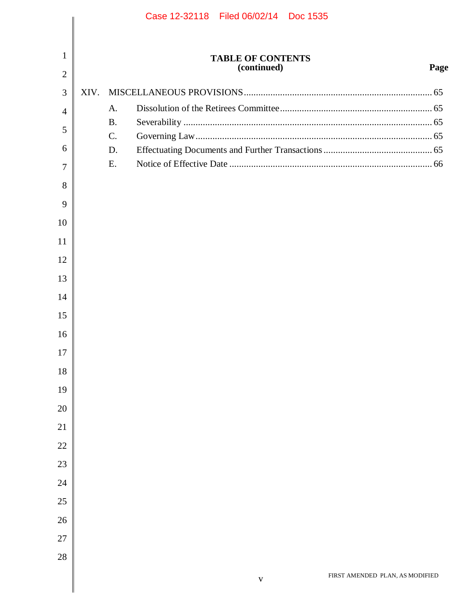|                |      |                 | Case 12-32118 Filed 06/02/14 Doc 1535 |                          |                                 |      |
|----------------|------|-----------------|---------------------------------------|--------------------------|---------------------------------|------|
|                |      |                 |                                       |                          |                                 |      |
| $\mathbf{1}$   |      |                 |                                       | <b>TABLE OF CONTENTS</b> |                                 |      |
| $\overline{2}$ |      |                 |                                       | (continued)              |                                 | Page |
| 3              | XIV. |                 |                                       |                          |                                 |      |
| $\overline{4}$ |      | A.              |                                       |                          |                                 |      |
| 5              |      | <b>B.</b>       |                                       |                          |                                 |      |
| 6              |      | $\mathcal{C}$ . |                                       |                          |                                 |      |
|                |      | D.<br>E.        |                                       |                          |                                 |      |
| 7              |      |                 |                                       |                          |                                 |      |
| 8<br>9         |      |                 |                                       |                          |                                 |      |
| 10             |      |                 |                                       |                          |                                 |      |
| 11             |      |                 |                                       |                          |                                 |      |
| 12             |      |                 |                                       |                          |                                 |      |
| 13             |      |                 |                                       |                          |                                 |      |
|                |      |                 |                                       |                          |                                 |      |
| 14             |      |                 |                                       |                          |                                 |      |
| 15             |      |                 |                                       |                          |                                 |      |
| 16             |      |                 |                                       |                          |                                 |      |
| 17             |      |                 |                                       |                          |                                 |      |
| 18             |      |                 |                                       |                          |                                 |      |
| 19             |      |                 |                                       |                          |                                 |      |
| 20             |      |                 |                                       |                          |                                 |      |
| 21             |      |                 |                                       |                          |                                 |      |
| 22             |      |                 |                                       |                          |                                 |      |
| 23             |      |                 |                                       |                          |                                 |      |
| 24             |      |                 |                                       |                          |                                 |      |
| 25             |      |                 |                                       |                          |                                 |      |
| 26             |      |                 |                                       |                          |                                 |      |
| 27             |      |                 |                                       |                          |                                 |      |
| 28             |      |                 |                                       |                          |                                 |      |
|                |      |                 |                                       | $\mathbf{V}$             | FIRST AMENDED PLAN, AS MODIFIED |      |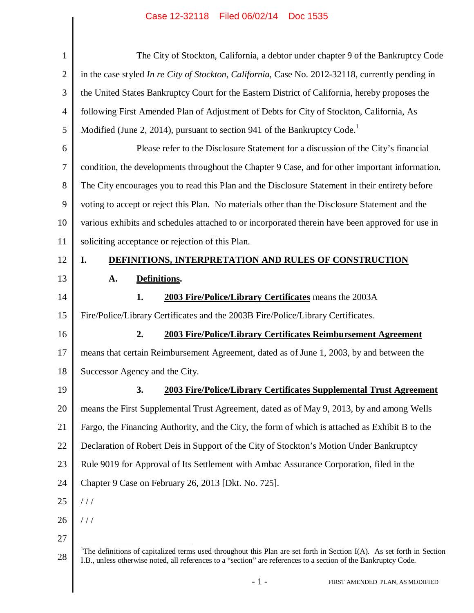| $\mathbf{1}$   | The City of Stockton, California, a debtor under chapter 9 of the Bankruptcy Code                                                                                                                                                                        |
|----------------|----------------------------------------------------------------------------------------------------------------------------------------------------------------------------------------------------------------------------------------------------------|
| $\overline{2}$ | in the case styled In re City of Stockton, California, Case No. 2012-32118, currently pending in                                                                                                                                                         |
| 3              | the United States Bankruptcy Court for the Eastern District of California, hereby proposes the                                                                                                                                                           |
| 4              | following First Amended Plan of Adjustment of Debts for City of Stockton, California, As                                                                                                                                                                 |
| 5              | Modified (June 2, 2014), pursuant to section 941 of the Bankruptcy Code.                                                                                                                                                                                 |
| 6              | Please refer to the Disclosure Statement for a discussion of the City's financial                                                                                                                                                                        |
| $\tau$         | condition, the developments throughout the Chapter 9 Case, and for other important information.                                                                                                                                                          |
| 8              | The City encourages you to read this Plan and the Disclosure Statement in their entirety before                                                                                                                                                          |
| 9              | voting to accept or reject this Plan. No materials other than the Disclosure Statement and the                                                                                                                                                           |
| 10             | various exhibits and schedules attached to or incorporated therein have been approved for use in                                                                                                                                                         |
| 11             | soliciting acceptance or rejection of this Plan.                                                                                                                                                                                                         |
| 12             | DEFINITIONS, INTERPRETATION AND RULES OF CONSTRUCTION<br>I.                                                                                                                                                                                              |
| 13             | Definitions.<br>A.                                                                                                                                                                                                                                       |
| 14             | 1.<br>2003 Fire/Police/Library Certificates means the 2003A                                                                                                                                                                                              |
| 15             | Fire/Police/Library Certificates and the 2003B Fire/Police/Library Certificates.                                                                                                                                                                         |
| 16             | 2.<br>2003 Fire/Police/Library Certificates Reimbursement Agreement                                                                                                                                                                                      |
| 17             | means that certain Reimbursement Agreement, dated as of June 1, 2003, by and between the                                                                                                                                                                 |
| 18             | Successor Agency and the City.                                                                                                                                                                                                                           |
| 19             | 2003 Fire/Police/Library Certificates Supplemental Trust Agreement<br>3.                                                                                                                                                                                 |
| 20             | means the First Supplemental Trust Agreement, dated as of May 9, 2013, by and among Wells                                                                                                                                                                |
| 21             | Fargo, the Financing Authority, and the City, the form of which is attached as Exhibit B to the                                                                                                                                                          |
| 22             | Declaration of Robert Deis in Support of the City of Stockton's Motion Under Bankruptcy                                                                                                                                                                  |
| 23             | Rule 9019 for Approval of Its Settlement with Ambac Assurance Corporation, filed in the                                                                                                                                                                  |
| 24             | Chapter 9 Case on February 26, 2013 [Dkt. No. 725].                                                                                                                                                                                                      |
| 25             | //                                                                                                                                                                                                                                                       |
| 26             | 111                                                                                                                                                                                                                                                      |
| 27             |                                                                                                                                                                                                                                                          |
| 28             | <sup>1</sup> The definitions of capitalized terms used throughout this Plan are set forth in Section $I(A)$ . As set forth in Section<br>I.B., unless otherwise noted, all references to a "section" are references to a section of the Bankruptcy Code. |
|                | $-1-$<br>FIRST AMENDED PLAN, AS MODIFIED                                                                                                                                                                                                                 |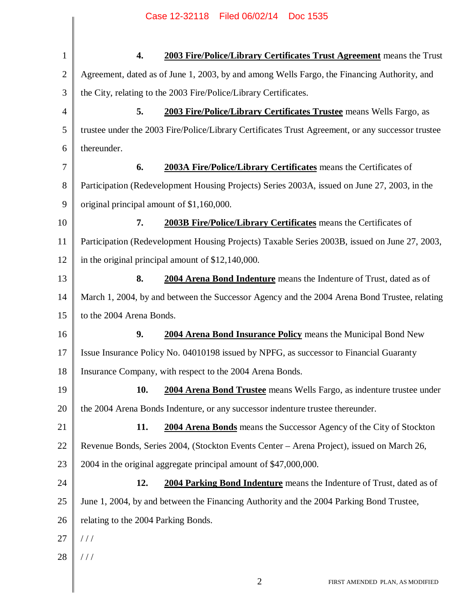| $\mathbf{1}$   | 4.                                        | 2003 Fire/Police/Library Certificates Trust Agreement means the Trust                             |
|----------------|-------------------------------------------|---------------------------------------------------------------------------------------------------|
| $\overline{2}$ |                                           | Agreement, dated as of June 1, 2003, by and among Wells Fargo, the Financing Authority, and       |
| 3              |                                           | the City, relating to the 2003 Fire/Police/Library Certificates.                                  |
| 4              | 5.                                        | 2003 Fire/Police/Library Certificates Trustee means Wells Fargo, as                               |
| 5              |                                           | trustee under the 2003 Fire/Police/Library Certificates Trust Agreement, or any successor trustee |
| 6              | thereunder.                               |                                                                                                   |
| 7              | 6.                                        | 2003A Fire/Police/Library Certificates means the Certificates of                                  |
| 8              |                                           | Participation (Redevelopment Housing Projects) Series 2003A, issued on June 27, 2003, in the      |
| 9              | original principal amount of \$1,160,000. |                                                                                                   |
| 10             | 7.                                        | 2003B Fire/Police/Library Certificates means the Certificates of                                  |
| 11             |                                           | Participation (Redevelopment Housing Projects) Taxable Series 2003B, issued on June 27, 2003,     |
| 12             |                                           | in the original principal amount of $$12,140,000$ .                                               |
| 13             | 8.                                        | 2004 Arena Bond Indenture means the Indenture of Trust, dated as of                               |
| 14             |                                           | March 1, 2004, by and between the Successor Agency and the 2004 Arena Bond Trustee, relating      |
| 15             | to the 2004 Arena Bonds.                  |                                                                                                   |
| 16             | 9.                                        | 2004 Arena Bond Insurance Policy means the Municipal Bond New                                     |
| 17             |                                           | Issue Insurance Policy No. 04010198 issued by NPFG, as successor to Financial Guaranty            |
| 18             |                                           | Insurance Company, with respect to the 2004 Arena Bonds.                                          |
| 19             | <b>10.</b>                                | 2004 Arena Bond Trustee means Wells Fargo, as indenture trustee under                             |
| 20             |                                           | the 2004 Arena Bonds Indenture, or any successor indenture trustee thereunder.                    |
| 21             | 11.                                       | 2004 Arena Bonds means the Successor Agency of the City of Stockton                               |
| 22             |                                           | Revenue Bonds, Series 2004, (Stockton Events Center – Arena Project), issued on March 26,         |
| 23             |                                           | 2004 in the original aggregate principal amount of \$47,000,000.                                  |
| 24             | 12.                                       | <b>2004 Parking Bond Indenture</b> means the Indenture of Trust, dated as of                      |
| 25             |                                           | June 1, 2004, by and between the Financing Authority and the 2004 Parking Bond Trustee,           |
| 26             | relating to the 2004 Parking Bonds.       |                                                                                                   |
| 27             | //                                        |                                                                                                   |
| 28             | 111                                       |                                                                                                   |
|                |                                           | $\overline{2}$<br>FIRST AMENDED PLAN, AS MODIFIED                                                 |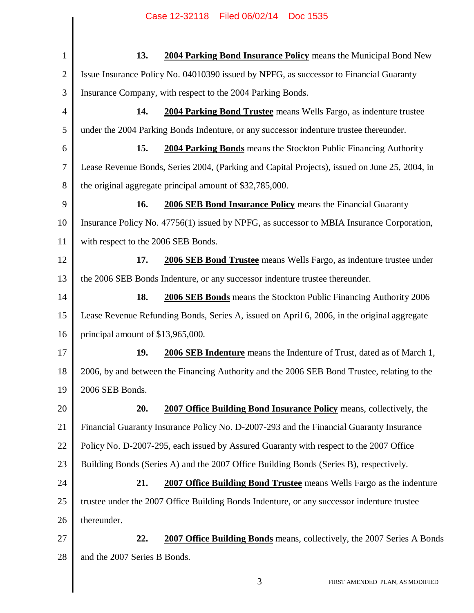| $\mathbf{1}$   | 13.<br>2004 Parking Bond Insurance Policy means the Municipal Bond New                        |
|----------------|-----------------------------------------------------------------------------------------------|
| $\overline{2}$ | Issue Insurance Policy No. 04010390 issued by NPFG, as successor to Financial Guaranty        |
| 3              | Insurance Company, with respect to the 2004 Parking Bonds.                                    |
| $\overline{4}$ | 2004 Parking Bond Trustee means Wells Fargo, as indenture trustee<br>14.                      |
| 5              | under the 2004 Parking Bonds Indenture, or any successor indenture trustee thereunder.        |
| 6              | 15.<br>2004 Parking Bonds means the Stockton Public Financing Authority                       |
| $\tau$         | Lease Revenue Bonds, Series 2004, (Parking and Capital Projects), issued on June 25, 2004, in |
| 8              | the original aggregate principal amount of \$32,785,000.                                      |
| 9              | 2006 SEB Bond Insurance Policy means the Financial Guaranty<br>16.                            |
| 10             | Insurance Policy No. 47756(1) issued by NPFG, as successor to MBIA Insurance Corporation,     |
| 11             | with respect to the 2006 SEB Bonds.                                                           |
| 12             | 17.<br>2006 SEB Bond Trustee means Wells Fargo, as indenture trustee under                    |
| 13             | the 2006 SEB Bonds Indenture, or any successor indenture trustee thereunder.                  |
| 14             | 18.<br>2006 SEB Bonds means the Stockton Public Financing Authority 2006                      |
| 15             | Lease Revenue Refunding Bonds, Series A, issued on April 6, 2006, in the original aggregate   |
| 16             | principal amount of \$13,965,000.                                                             |
| 17             | 19.<br>2006 SEB Indenture means the Indenture of Trust, dated as of March 1,                  |
| 18             | 2006, by and between the Financing Authority and the 2006 SEB Bond Trustee, relating to the   |
| 19             | 2006 SEB Bonds.                                                                               |
| 20             | 20.<br><b>2007 Office Building Bond Insurance Policy means, collectively, the</b>             |
| 21             | Financial Guaranty Insurance Policy No. D-2007-293 and the Financial Guaranty Insurance       |
| 22             | Policy No. D-2007-295, each issued by Assured Guaranty with respect to the 2007 Office        |
| 23             | Building Bonds (Series A) and the 2007 Office Building Bonds (Series B), respectively.        |
| 24             | 21.<br>2007 Office Building Bond Trustee means Wells Fargo as the indenture                   |
| 25             | trustee under the 2007 Office Building Bonds Indenture, or any successor indenture trustee    |
| 26             | thereunder.                                                                                   |
| 27             | 22.<br><b>2007 Office Building Bonds</b> means, collectively, the 2007 Series A Bonds         |
| 28             | and the 2007 Series B Bonds.                                                                  |
|                | 3<br>FIRST AMENDED PLAN, AS MODIFIED                                                          |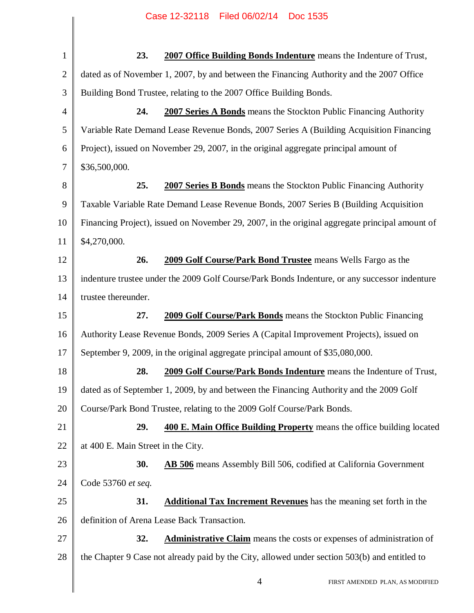| $\mathbf{1}$   | 23.<br><b>2007 Office Building Bonds Indenture</b> means the Indenture of Trust,               |
|----------------|------------------------------------------------------------------------------------------------|
| $\overline{2}$ | dated as of November 1, 2007, by and between the Financing Authority and the 2007 Office       |
| 3              | Building Bond Trustee, relating to the 2007 Office Building Bonds.                             |
| $\overline{4}$ | 24.<br>2007 Series A Bonds means the Stockton Public Financing Authority                       |
| 5              | Variable Rate Demand Lease Revenue Bonds, 2007 Series A (Building Acquisition Financing        |
| 6              | Project), issued on November 29, 2007, in the original aggregate principal amount of           |
| 7              | \$36,500,000.                                                                                  |
| 8              | 25.<br><b>2007 Series B Bonds</b> means the Stockton Public Financing Authority                |
| 9              | Taxable Variable Rate Demand Lease Revenue Bonds, 2007 Series B (Building Acquisition          |
| 10             | Financing Project), issued on November 29, 2007, in the original aggregate principal amount of |
| 11             | \$4,270,000.                                                                                   |
| 12             | 26.<br>2009 Golf Course/Park Bond Trustee means Wells Fargo as the                             |
| 13             | indenture trustee under the 2009 Golf Course/Park Bonds Indenture, or any successor indenture  |
| 14             | trustee thereunder.                                                                            |
| 15             | 2009 Golf Course/Park Bonds means the Stockton Public Financing<br>27.                         |
| 16             | Authority Lease Revenue Bonds, 2009 Series A (Capital Improvement Projects), issued on         |
| 17             | September 9, 2009, in the original aggregate principal amount of \$35,080,000.                 |
| 18             | 28.<br>2009 Golf Course/Park Bonds Indenture means the Indenture of Trust,                     |
| 19             | dated as of September 1, 2009, by and between the Financing Authority and the 2009 Golf        |
| 20             | Course/Park Bond Trustee, relating to the 2009 Golf Course/Park Bonds.                         |
| 21             | 29.<br>400 E. Main Office Building Property means the office building located                  |
| 22             | at 400 E. Main Street in the City.                                                             |
| 23             | 30.<br><b>AB 506</b> means Assembly Bill 506, codified at California Government                |
| 24             | Code 53760 et seq.                                                                             |
| 25             | 31.<br><b>Additional Tax Increment Revenues</b> has the meaning set forth in the               |
| 26             | definition of Arena Lease Back Transaction.                                                    |
| 27             | <b>Administrative Claim</b> means the costs or expenses of administration of<br>32.            |
| 28             | the Chapter 9 Case not already paid by the City, allowed under section 503(b) and entitled to  |
|                | $\overline{4}$<br>FIRST AMENDED PLAN, AS MODIFIED                                              |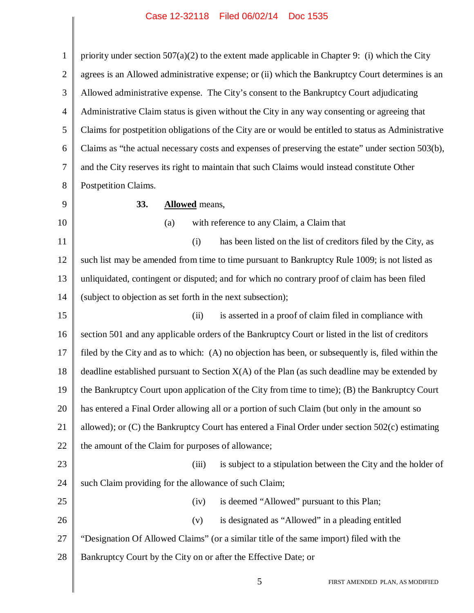1 2 3 4 5 6 7 8 9 10 11 12 13 14 15 16 17 18 19 20 21 22 23 24 25 26 27 28 priority under section  $507(a)(2)$  to the extent made applicable in Chapter 9: (i) which the City agrees is an Allowed administrative expense; or (ii) which the Bankruptcy Court determines is an Allowed administrative expense. The City's consent to the Bankruptcy Court adjudicating Administrative Claim status is given without the City in any way consenting or agreeing that Claims for postpetition obligations of the City are or would be entitled to status as Administrative Claims as "the actual necessary costs and expenses of preserving the estate" under section 503(b), and the City reserves its right to maintain that such Claims would instead constitute Other Postpetition Claims. **33. Allowed** means, (a) with reference to any Claim, a Claim that (i) has been listed on the list of creditors filed by the City, as such list may be amended from time to time pursuant to Bankruptcy Rule 1009; is not listed as unliquidated, contingent or disputed; and for which no contrary proof of claim has been filed (subject to objection as set forth in the next subsection); (ii) is asserted in a proof of claim filed in compliance with section 501 and any applicable orders of the Bankruptcy Court or listed in the list of creditors filed by the City and as to which: (A) no objection has been, or subsequently is, filed within the deadline established pursuant to Section  $X(A)$  of the Plan (as such deadline may be extended by the Bankruptcy Court upon application of the City from time to time); (B) the Bankruptcy Court has entered a Final Order allowing all or a portion of such Claim (but only in the amount so allowed); or (C) the Bankruptcy Court has entered a Final Order under section 502(c) estimating the amount of the Claim for purposes of allowance; (iii) is subject to a stipulation between the City and the holder of such Claim providing for the allowance of such Claim; (iv) is deemed "Allowed" pursuant to this Plan; (v) is designated as "Allowed" in a pleading entitled "Designation Of Allowed Claims" (or a similar title of the same import) filed with the Bankruptcy Court by the City on or after the Effective Date; or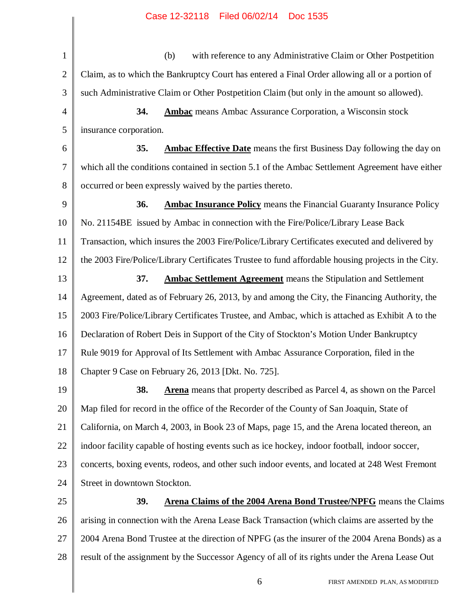1 2 3 4 5 6 7 8 9 10 11 12 13 14 15 16 17 18 19 20 21 22 23 24 25 26 27 28 (b) with reference to any Administrative Claim or Other Postpetition Claim, as to which the Bankruptcy Court has entered a Final Order allowing all or a portion of such Administrative Claim or Other Postpetition Claim (but only in the amount so allowed). **34. Ambac** means Ambac Assurance Corporation, a Wisconsin stock insurance corporation. **35. Ambac Effective Date** means the first Business Day following the day on which all the conditions contained in section 5.1 of the Ambac Settlement Agreement have either occurred or been expressly waived by the parties thereto. **36. Ambac Insurance Policy** means the Financial Guaranty Insurance Policy No. 21154BE issued by Ambac in connection with the Fire/Police/Library Lease Back Transaction, which insures the 2003 Fire/Police/Library Certificates executed and delivered by the 2003 Fire/Police/Library Certificates Trustee to fund affordable housing projects in the City. **37. Ambac Settlement Agreement** means the Stipulation and Settlement Agreement, dated as of February 26, 2013, by and among the City, the Financing Authority, the 2003 Fire/Police/Library Certificates Trustee, and Ambac, which is attached as Exhibit A to the Declaration of Robert Deis in Support of the City of Stockton's Motion Under Bankruptcy Rule 9019 for Approval of Its Settlement with Ambac Assurance Corporation, filed in the Chapter 9 Case on February 26, 2013 [Dkt. No. 725]. **38. Arena** means that property described as Parcel 4, as shown on the Parcel Map filed for record in the office of the Recorder of the County of San Joaquin, State of California, on March 4, 2003, in Book 23 of Maps, page 15, and the Arena located thereon, an indoor facility capable of hosting events such as ice hockey, indoor football, indoor soccer, concerts, boxing events, rodeos, and other such indoor events, and located at 248 West Fremont Street in downtown Stockton. **39. Arena Claims of the 2004 Arena Bond Trustee/NPFG** means the Claims arising in connection with the Arena Lease Back Transaction (which claims are asserted by the 2004 Arena Bond Trustee at the direction of NPFG (as the insurer of the 2004 Arena Bonds) as a result of the assignment by the Successor Agency of all of its rights under the Arena Lease Out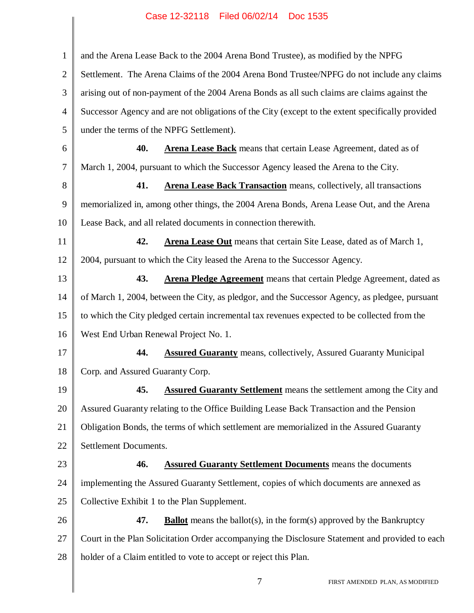| $\mathbf{1}$   | and the Arena Lease Back to the 2004 Arena Bond Trustee), as modified by the NPFG                |  |  |
|----------------|--------------------------------------------------------------------------------------------------|--|--|
| $\overline{2}$ | Settlement. The Arena Claims of the 2004 Arena Bond Trustee/NPFG do not include any claims       |  |  |
| 3              | arising out of non-payment of the 2004 Arena Bonds as all such claims are claims against the     |  |  |
| $\overline{4}$ | Successor Agency and are not obligations of the City (except to the extent specifically provided |  |  |
| 5              | under the terms of the NPFG Settlement).                                                         |  |  |
| 6              | 40.<br><b>Arena Lease Back</b> means that certain Lease Agreement, dated as of                   |  |  |
| 7              | March 1, 2004, pursuant to which the Successor Agency leased the Arena to the City.              |  |  |
| 8              | 41.<br><b>Arena Lease Back Transaction</b> means, collectively, all transactions                 |  |  |
| 9              | memorialized in, among other things, the 2004 Arena Bonds, Arena Lease Out, and the Arena        |  |  |
| 10             | Lease Back, and all related documents in connection therewith.                                   |  |  |
| 11             | 42.<br>Arena Lease Out means that certain Site Lease, dated as of March 1,                       |  |  |
| 12             | 2004, pursuant to which the City leased the Arena to the Successor Agency.                       |  |  |
| 13             | 43.<br><b>Arena Pledge Agreement</b> means that certain Pledge Agreement, dated as               |  |  |
| 14             | of March 1, 2004, between the City, as pledgor, and the Successor Agency, as pledgee, pursuant   |  |  |
| 15             | to which the City pledged certain incremental tax revenues expected to be collected from the     |  |  |
| 16             | West End Urban Renewal Project No. 1.                                                            |  |  |
| 17             | 44.<br><b>Assured Guaranty</b> means, collectively, Assured Guaranty Municipal                   |  |  |
| 18             | Corp. and Assured Guaranty Corp.                                                                 |  |  |
| 19             | 45.<br><b>Assured Guaranty Settlement</b> means the settlement among the City and                |  |  |
| 20             | Assured Guaranty relating to the Office Building Lease Back Transaction and the Pension          |  |  |
| 21             | Obligation Bonds, the terms of which settlement are memorialized in the Assured Guaranty         |  |  |
| 22             | Settlement Documents.                                                                            |  |  |
| 23             | 46.<br><b>Assured Guaranty Settlement Documents</b> means the documents                          |  |  |
| 24             | implementing the Assured Guaranty Settlement, copies of which documents are annexed as           |  |  |
| 25             | Collective Exhibit 1 to the Plan Supplement.                                                     |  |  |
| 26             | 47.<br><b>Ballot</b> means the ballot(s), in the form(s) approved by the Bankruptcy              |  |  |
| 27             | Court in the Plan Solicitation Order accompanying the Disclosure Statement and provided to each  |  |  |
| 28             | holder of a Claim entitled to vote to accept or reject this Plan.                                |  |  |
|                |                                                                                                  |  |  |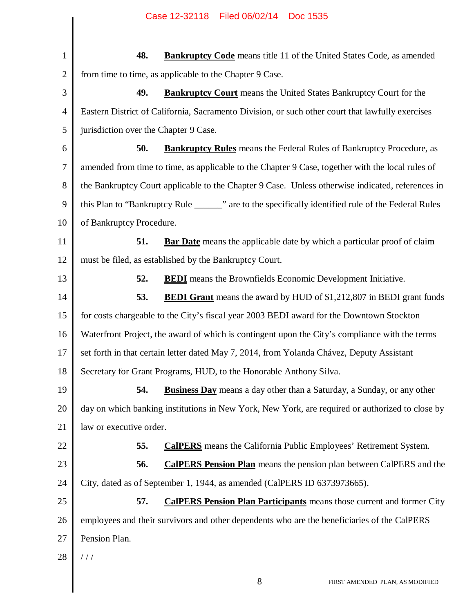1 2 3 4 5 6 7 8 9 10 11 12 13 14 15 16 17 18 19 20 21 22 23 24 25 26 27 28 **48. Bankruptcy Code** means title 11 of the United States Code, as amended from time to time, as applicable to the Chapter 9 Case. **49. Bankruptcy Court** means the United States Bankruptcy Court for the Eastern District of California, Sacramento Division, or such other court that lawfully exercises jurisdiction over the Chapter 9 Case. **50. Bankruptcy Rules** means the Federal Rules of Bankruptcy Procedure, as amended from time to time, as applicable to the Chapter 9 Case, together with the local rules of the Bankruptcy Court applicable to the Chapter 9 Case. Unless otherwise indicated, references in this Plan to "Bankruptcy Rule \_\_\_\_\_\_" are to the specifically identified rule of the Federal Rules of Bankruptcy Procedure. **51. Bar Date** means the applicable date by which a particular proof of claim must be filed, as established by the Bankruptcy Court. **52. BEDI** means the Brownfields Economic Development Initiative. **53. BEDI Grant** means the award by HUD of \$1,212,807 in BEDI grant funds for costs chargeable to the City's fiscal year 2003 BEDI award for the Downtown Stockton Waterfront Project, the award of which is contingent upon the City's compliance with the terms set forth in that certain letter dated May 7, 2014, from Yolanda Chávez, Deputy Assistant Secretary for Grant Programs, HUD, to the Honorable Anthony Silva. **54. Business Day** means a day other than a Saturday, a Sunday, or any other day on which banking institutions in New York, New York, are required or authorized to close by law or executive order. **55. CalPERS** means the California Public Employees' Retirement System. **56. CalPERS Pension Plan** means the pension plan between CalPERS and the City, dated as of September 1, 1944, as amended (CalPERS ID 6373973665). **57. CalPERS Pension Plan Participants** means those current and former City employees and their survivors and other dependents who are the beneficiaries of the CalPERS Pension Plan. / / /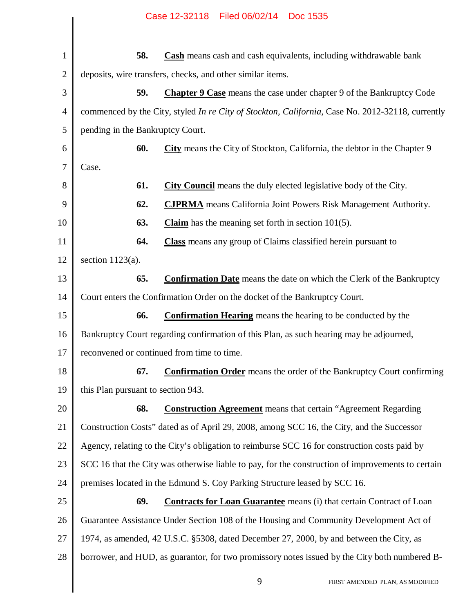| $\mathbf{1}$   | 58.                                | <b>Cash</b> means cash and cash equivalents, including withdrawable bank                          |
|----------------|------------------------------------|---------------------------------------------------------------------------------------------------|
| $\overline{2}$ |                                    | deposits, wire transfers, checks, and other similar items.                                        |
| 3              | 59.                                | Chapter 9 Case means the case under chapter 9 of the Bankruptcy Code                              |
| 4              |                                    | commenced by the City, styled In re City of Stockton, California, Case No. 2012-32118, currently  |
| 5              | pending in the Bankruptcy Court.   |                                                                                                   |
| 6              | 60.                                | <b>City</b> means the City of Stockton, California, the debtor in the Chapter 9                   |
| 7              | Case.                              |                                                                                                   |
| 8              | 61.                                | <b>City Council</b> means the duly elected legislative body of the City.                          |
| 9              | 62.                                | <b>CJPRMA</b> means California Joint Powers Risk Management Authority.                            |
| 10             | 63.                                | <b>Claim</b> has the meaning set forth in section $101(5)$ .                                      |
| 11             | 64.                                | <b>Class</b> means any group of Claims classified herein pursuant to                              |
| 12             | section $1123(a)$ .                |                                                                                                   |
| 13             | 65.                                | <b>Confirmation Date</b> means the date on which the Clerk of the Bankruptcy                      |
| 14             |                                    | Court enters the Confirmation Order on the docket of the Bankruptcy Court.                        |
| 15             | 66.                                | <b>Confirmation Hearing</b> means the hearing to be conducted by the                              |
| 16             |                                    | Bankruptcy Court regarding confirmation of this Plan, as such hearing may be adjourned,           |
| 17             |                                    | reconvened or continued from time to time.                                                        |
| 18             | 67.                                | <b>Confirmation Order</b> means the order of the Bankruptcy Court confirming                      |
| 19             | this Plan pursuant to section 943. |                                                                                                   |
| 20             | 68.                                | <b>Construction Agreement</b> means that certain "Agreement Regarding                             |
| 21             |                                    | Construction Costs" dated as of April 29, 2008, among SCC 16, the City, and the Successor         |
| 22             |                                    | Agency, relating to the City's obligation to reimburse SCC 16 for construction costs paid by      |
| 23             |                                    | SCC 16 that the City was otherwise liable to pay, for the construction of improvements to certain |
| 24             |                                    | premises located in the Edmund S. Coy Parking Structure leased by SCC 16.                         |
| 25             | 69.                                | <b>Contracts for Loan Guarantee</b> means (i) that certain Contract of Loan                       |
| 26             |                                    | Guarantee Assistance Under Section 108 of the Housing and Community Development Act of            |
| 27             |                                    | 1974, as amended, 42 U.S.C. §5308, dated December 27, 2000, by and between the City, as           |
| 28             |                                    | borrower, and HUD, as guarantor, for two promissory notes issued by the City both numbered B-     |
|                |                                    | 9<br>FIRST AMENDED PLAN, AS MODIFIED                                                              |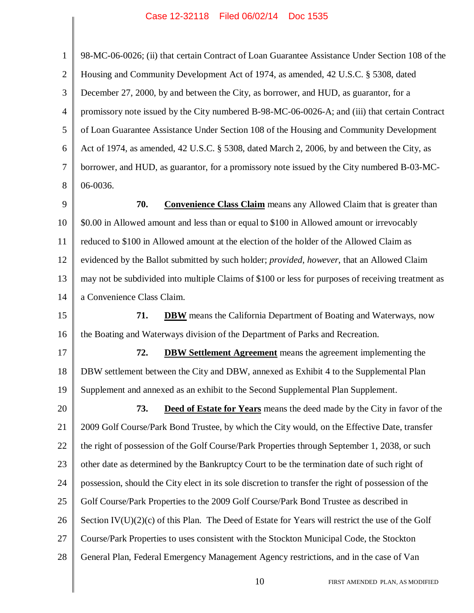1

2

3

4

5

6

7

8

9

10

98-MC-06-0026; (ii) that certain Contract of Loan Guarantee Assistance Under Section 108 of the Housing and Community Development Act of 1974, as amended, 42 U.S.C. § 5308, dated December 27, 2000, by and between the City, as borrower, and HUD, as guarantor, for a promissory note issued by the City numbered B-98-MC-06-0026-A; and (iii) that certain Contract of Loan Guarantee Assistance Under Section 108 of the Housing and Community Development Act of 1974, as amended, 42 U.S.C. § 5308, dated March 2, 2006, by and between the City, as borrower, and HUD, as guarantor, for a promissory note issued by the City numbered B-03-MC-06-0036. **70. Convenience Class Claim** means any Allowed Claim that is greater than \$0.00 in Allowed amount and less than or equal to \$100 in Allowed amount or irrevocably

11 12 13 14 reduced to \$100 in Allowed amount at the election of the holder of the Allowed Claim as evidenced by the Ballot submitted by such holder; *provided*, *however*, that an Allowed Claim may not be subdivided into multiple Claims of \$100 or less for purposes of receiving treatment as a Convenience Class Claim.

15 16 **71. DBW** means the California Department of Boating and Waterways, now the Boating and Waterways division of the Department of Parks and Recreation.

17 18 19 **72. DBW Settlement Agreement** means the agreement implementing the DBW settlement between the City and DBW, annexed as Exhibit 4 to the Supplemental Plan Supplement and annexed as an exhibit to the Second Supplemental Plan Supplement.

20 21 22 23 24 25 26 27 28 **73. Deed of Estate for Years** means the deed made by the City in favor of the 2009 Golf Course/Park Bond Trustee, by which the City would, on the Effective Date, transfer the right of possession of the Golf Course/Park Properties through September 1, 2038, or such other date as determined by the Bankruptcy Court to be the termination date of such right of possession, should the City elect in its sole discretion to transfer the right of possession of the Golf Course/Park Properties to the 2009 Golf Course/Park Bond Trustee as described in Section  $IV(U)(2)(c)$  of this Plan. The Deed of Estate for Years will restrict the use of the Golf Course/Park Properties to uses consistent with the Stockton Municipal Code, the Stockton General Plan, Federal Emergency Management Agency restrictions, and in the case of Van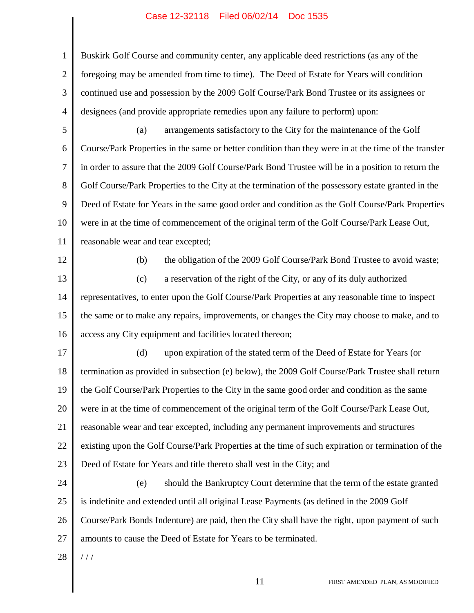1 2 3 4 Buskirk Golf Course and community center, any applicable deed restrictions (as any of the foregoing may be amended from time to time). The Deed of Estate for Years will condition continued use and possession by the 2009 Golf Course/Park Bond Trustee or its assignees or designees (and provide appropriate remedies upon any failure to perform) upon:

5

6 7 8 9 10 11 (a) arrangements satisfactory to the City for the maintenance of the Golf Course/Park Properties in the same or better condition than they were in at the time of the transfer in order to assure that the 2009 Golf Course/Park Bond Trustee will be in a position to return the Golf Course/Park Properties to the City at the termination of the possessory estate granted in the Deed of Estate for Years in the same good order and condition as the Golf Course/Park Properties were in at the time of commencement of the original term of the Golf Course/Park Lease Out, reasonable wear and tear excepted;

12

(b) the obligation of the 2009 Golf Course/Park Bond Trustee to avoid waste;

13 14 15 16 (c) a reservation of the right of the City, or any of its duly authorized representatives, to enter upon the Golf Course/Park Properties at any reasonable time to inspect the same or to make any repairs, improvements, or changes the City may choose to make, and to access any City equipment and facilities located thereon;

17 18 19 20 21 22 23 (d) upon expiration of the stated term of the Deed of Estate for Years (or termination as provided in subsection (e) below), the 2009 Golf Course/Park Trustee shall return the Golf Course/Park Properties to the City in the same good order and condition as the same were in at the time of commencement of the original term of the Golf Course/Park Lease Out, reasonable wear and tear excepted, including any permanent improvements and structures existing upon the Golf Course/Park Properties at the time of such expiration or termination of the Deed of Estate for Years and title thereto shall vest in the City; and

24 25 26 27 (e) should the Bankruptcy Court determine that the term of the estate granted is indefinite and extended until all original Lease Payments (as defined in the 2009 Golf Course/Park Bonds Indenture) are paid, then the City shall have the right, upon payment of such amounts to cause the Deed of Estate for Years to be terminated.

28  $//$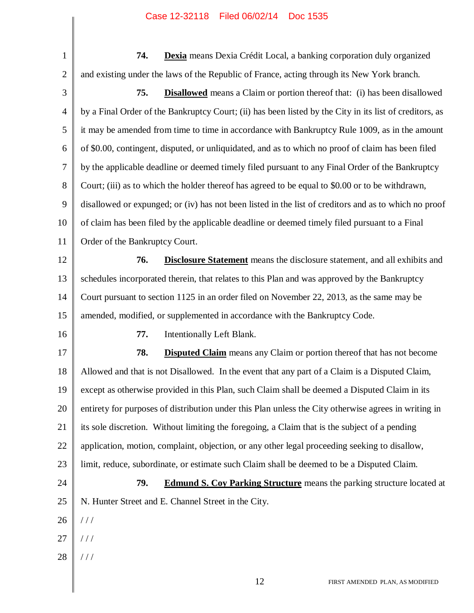1 2 **74. Dexia** means Dexia Crédit Local, a banking corporation duly organized and existing under the laws of the Republic of France, acting through its New York branch.

- 3 4 5 6 7 8 9 10 11 12 13 14 15 16 17 18 19 20 21 22 23 24 25 26 **75. Disallowed** means a Claim or portion thereof that: (i) has been disallowed by a Final Order of the Bankruptcy Court; (ii) has been listed by the City in its list of creditors, as it may be amended from time to time in accordance with Bankruptcy Rule 1009, as in the amount of \$0.00, contingent, disputed, or unliquidated, and as to which no proof of claim has been filed by the applicable deadline or deemed timely filed pursuant to any Final Order of the Bankruptcy Court; (iii) as to which the holder thereof has agreed to be equal to \$0.00 or to be withdrawn, disallowed or expunged; or (iv) has not been listed in the list of creditors and as to which no proof of claim has been filed by the applicable deadline or deemed timely filed pursuant to a Final Order of the Bankruptcy Court. **76. Disclosure Statement** means the disclosure statement, and all exhibits and schedules incorporated therein, that relates to this Plan and was approved by the Bankruptcy Court pursuant to section 1125 in an order filed on November 22, 2013, as the same may be amended, modified, or supplemented in accordance with the Bankruptcy Code. **77.** Intentionally Left Blank. **78. Disputed Claim** means any Claim or portion thereof that has not become Allowed and that is not Disallowed. In the event that any part of a Claim is a Disputed Claim, except as otherwise provided in this Plan, such Claim shall be deemed a Disputed Claim in its entirety for purposes of distribution under this Plan unless the City otherwise agrees in writing in its sole discretion. Without limiting the foregoing, a Claim that is the subject of a pending application, motion, complaint, objection, or any other legal proceeding seeking to disallow, limit, reduce, subordinate, or estimate such Claim shall be deemed to be a Disputed Claim. **79. Edmund S. Coy Parking Structure** means the parking structure located at N. Hunter Street and E. Channel Street in the City. / / /
- 27 / / /
- 28 / / /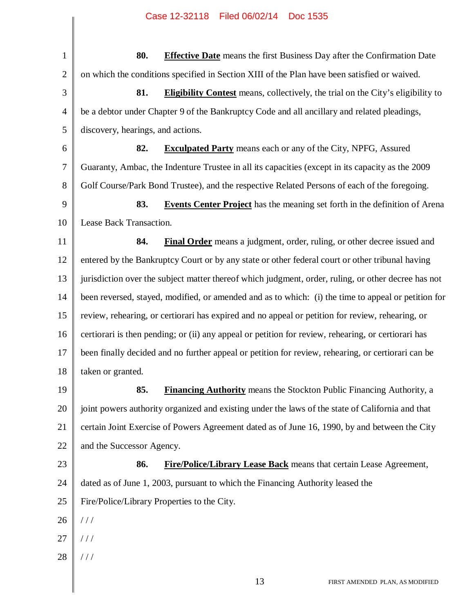1 2 3 4 5 6 7 8 9 10 11 12 13 14 15 16 17 18 19 20 21 22 23 24 25 26 27 28 **80. Effective Date** means the first Business Day after the Confirmation Date on which the conditions specified in Section XIII of the Plan have been satisfied or waived. **81. Eligibility Contest** means, collectively, the trial on the City's eligibility to be a debtor under Chapter 9 of the Bankruptcy Code and all ancillary and related pleadings, discovery, hearings, and actions. **82. Exculpated Party** means each or any of the City, NPFG, Assured Guaranty, Ambac, the Indenture Trustee in all its capacities (except in its capacity as the 2009 Golf Course/Park Bond Trustee), and the respective Related Persons of each of the foregoing. **83. Events Center Project** has the meaning set forth in the definition of Arena Lease Back Transaction. **84. Final Order** means a judgment, order, ruling, or other decree issued and entered by the Bankruptcy Court or by any state or other federal court or other tribunal having jurisdiction over the subject matter thereof which judgment, order, ruling, or other decree has not been reversed, stayed, modified, or amended and as to which: (i) the time to appeal or petition for review, rehearing, or certiorari has expired and no appeal or petition for review, rehearing, or certiorari is then pending; or (ii) any appeal or petition for review, rehearing, or certiorari has been finally decided and no further appeal or petition for review, rehearing, or certiorari can be taken or granted. **85. Financing Authority** means the Stockton Public Financing Authority, a joint powers authority organized and existing under the laws of the state of California and that certain Joint Exercise of Powers Agreement dated as of June 16, 1990, by and between the City and the Successor Agency. **86. Fire/Police/Library Lease Back** means that certain Lease Agreement, dated as of June 1, 2003, pursuant to which the Financing Authority leased the Fire/Police/Library Properties to the City. / / / / / / / / /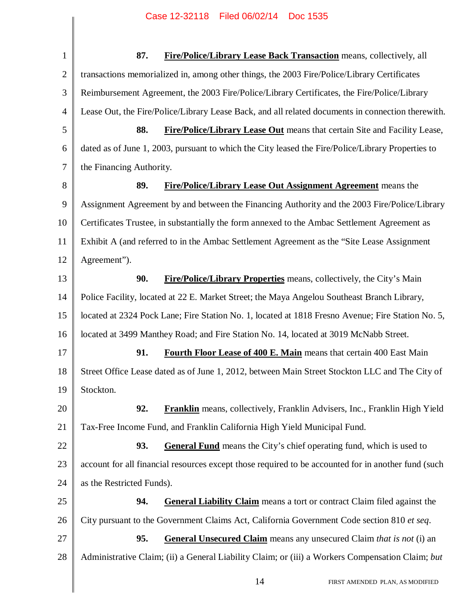| $\mathbf{1}$   | 87.<br>Fire/Police/Library Lease Back Transaction means, collectively, all                          |
|----------------|-----------------------------------------------------------------------------------------------------|
| $\overline{2}$ | transactions memorialized in, among other things, the 2003 Fire/Police/Library Certificates         |
| 3              | Reimbursement Agreement, the 2003 Fire/Police/Library Certificates, the Fire/Police/Library         |
| $\overline{4}$ | Lease Out, the Fire/Police/Library Lease Back, and all related documents in connection therewith.   |
| 5              | 88.<br><b>Fire/Police/Library Lease Out</b> means that certain Site and Facility Lease,             |
| 6              | dated as of June 1, 2003, pursuant to which the City leased the Fire/Police/Library Properties to   |
| $\overline{7}$ | the Financing Authority.                                                                            |
| 8              | 89.<br><b>Fire/Police/Library Lease Out Assignment Agreement</b> means the                          |
| 9              | Assignment Agreement by and between the Financing Authority and the 2003 Fire/Police/Library        |
| 10             | Certificates Trustee, in substantially the form annexed to the Ambac Settlement Agreement as        |
| 11             | Exhibit A (and referred to in the Ambac Settlement Agreement as the "Site Lease Assignment"         |
| 12             | Agreement").                                                                                        |
| 13             | 90.<br><b>Fire/Police/Library Properties</b> means, collectively, the City's Main                   |
| 14             | Police Facility, located at 22 E. Market Street; the Maya Angelou Southeast Branch Library,         |
| 15             | located at 2324 Pock Lane; Fire Station No. 1, located at 1818 Fresno Avenue; Fire Station No. 5,   |
| 16             | located at 3499 Manthey Road; and Fire Station No. 14, located at 3019 McNabb Street.               |
| 17             | 91.<br>Fourth Floor Lease of 400 E. Main means that certain 400 East Main                           |
| 18             | Street Office Lease dated as of June 1, 2012, between Main Street Stockton LLC and The City of      |
| 19             | Stockton.                                                                                           |
| 20             | 92.<br><b>Franklin</b> means, collectively, Franklin Advisers, Inc., Franklin High Yield            |
| 21             | Tax-Free Income Fund, and Franklin California High Yield Municipal Fund.                            |
| 22             | 93.<br><b>General Fund</b> means the City's chief operating fund, which is used to                  |
| 23             | account for all financial resources except those required to be accounted for in another fund (such |
| 24             | as the Restricted Funds).                                                                           |
| 25             | 94.<br><b>General Liability Claim</b> means a tort or contract Claim filed against the              |
| 26             | City pursuant to the Government Claims Act, California Government Code section 810 et seq.          |
| 27             | 95.<br><b>General Unsecured Claim</b> means any unsecured Claim <i>that is not</i> (i) an           |
| 28             | Administrative Claim; (ii) a General Liability Claim; or (iii) a Workers Compensation Claim; but    |
|                | 14<br>FIRST AMENDED PLAN, AS MODIFIED                                                               |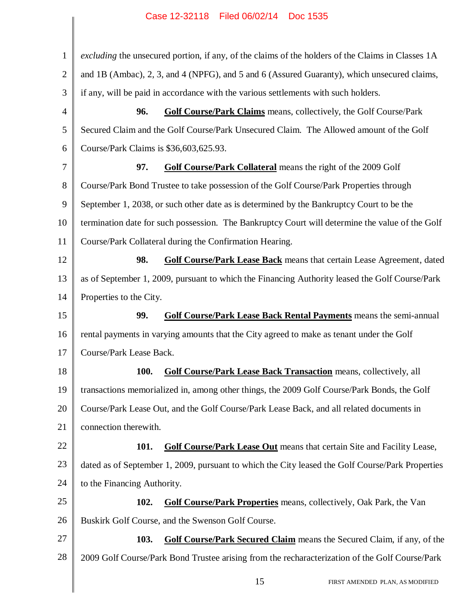| $\mathbf{1}$   | excluding the unsecured portion, if any, of the claims of the holders of the Claims in Classes 1A |
|----------------|---------------------------------------------------------------------------------------------------|
| $\mathbf{2}$   | and 1B (Ambac), 2, 3, and 4 (NPFG), and 5 and 6 (Assured Guaranty), which unsecured claims,       |
| 3              | if any, will be paid in accordance with the various settlements with such holders.                |
| $\overline{4}$ | 96.<br><b>Golf Course/Park Claims</b> means, collectively, the Golf Course/Park                   |
| 5              | Secured Claim and the Golf Course/Park Unsecured Claim. The Allowed amount of the Golf            |
| 6              | Course/Park Claims is \$36,603,625.93.                                                            |
| 7              | Golf Course/Park Collateral means the right of the 2009 Golf<br>97.                               |
| 8              | Course/Park Bond Trustee to take possession of the Golf Course/Park Properties through            |
| 9              | September 1, 2038, or such other date as is determined by the Bankruptcy Court to be the          |
| 10             | termination date for such possession. The Bankruptcy Court will determine the value of the Golf   |
| 11             | Course/Park Collateral during the Confirmation Hearing.                                           |
| 12             | 98.<br><b>Golf Course/Park Lease Back</b> means that certain Lease Agreement, dated               |
| 13             | as of September 1, 2009, pursuant to which the Financing Authority leased the Golf Course/Park    |
| 14             | Properties to the City.                                                                           |
| 15             | 99.<br><b>Golf Course/Park Lease Back Rental Payments</b> means the semi-annual                   |
| 16             | rental payments in varying amounts that the City agreed to make as tenant under the Golf          |
| 17             | Course/Park Lease Back.                                                                           |
| 18             | <b>100.</b><br>Golf Course/Park Lease Back Transaction means, collectively, all                   |
| 19             | transactions memorialized in, among other things, the 2009 Golf Course/Park Bonds, the Golf       |
| 20             | Course/Park Lease Out, and the Golf Course/Park Lease Back, and all related documents in          |
| 21             | connection therewith.                                                                             |
| 22             | <b>Golf Course/Park Lease Out</b> means that certain Site and Facility Lease,<br><b>101.</b>      |
| 23             | dated as of September 1, 2009, pursuant to which the City leased the Golf Course/Park Properties  |
| 24             | to the Financing Authority.                                                                       |
| 25             | 102.<br><b>Golf Course/Park Properties</b> means, collectively, Oak Park, the Van                 |
| 26             | Buskirk Golf Course, and the Swenson Golf Course.                                                 |
| 27             | Golf Course/Park Secured Claim means the Secured Claim, if any, of the<br>103.                    |
| 28             | 2009 Golf Course/Park Bond Trustee arising from the recharacterization of the Golf Course/Park    |
|                | 15<br>FIRST AMENDED PLAN, AS MODIFIED                                                             |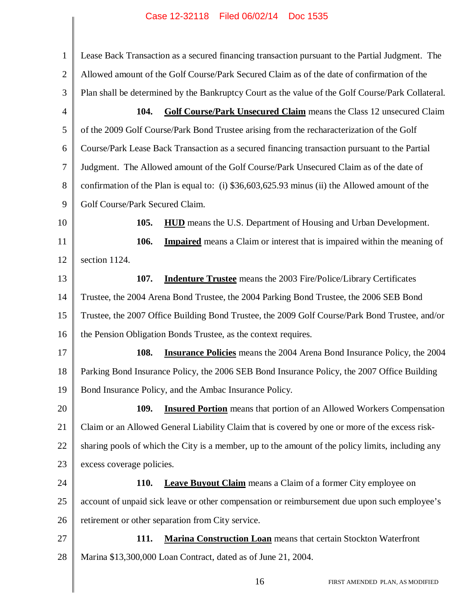1 2 3 4 5 6 7 8 9 10 11 12 13 14 15 16 17 18 19 20 21 22 23 24 25 26 27 28 Lease Back Transaction as a secured financing transaction pursuant to the Partial Judgment. The Allowed amount of the Golf Course/Park Secured Claim as of the date of confirmation of the Plan shall be determined by the Bankruptcy Court as the value of the Golf Course/Park Collateral. **104. Golf Course/Park Unsecured Claim** means the Class 12 unsecured Claim of the 2009 Golf Course/Park Bond Trustee arising from the recharacterization of the Golf Course/Park Lease Back Transaction as a secured financing transaction pursuant to the Partial Judgment. The Allowed amount of the Golf Course/Park Unsecured Claim as of the date of confirmation of the Plan is equal to: (i) \$36,603,625.93 minus (ii) the Allowed amount of the Golf Course/Park Secured Claim. **105. HUD** means the U.S. Department of Housing and Urban Development. **106. Impaired** means a Claim or interest that is impaired within the meaning of section 1124. **107. Indenture Trustee** means the 2003 Fire/Police/Library Certificates Trustee, the 2004 Arena Bond Trustee, the 2004 Parking Bond Trustee, the 2006 SEB Bond Trustee, the 2007 Office Building Bond Trustee, the 2009 Golf Course/Park Bond Trustee, and/or the Pension Obligation Bonds Trustee, as the context requires. **108. Insurance Policies** means the 2004 Arena Bond Insurance Policy, the 2004 Parking Bond Insurance Policy, the 2006 SEB Bond Insurance Policy, the 2007 Office Building Bond Insurance Policy, and the Ambac Insurance Policy. **109. Insured Portion** means that portion of an Allowed Workers Compensation Claim or an Allowed General Liability Claim that is covered by one or more of the excess risksharing pools of which the City is a member, up to the amount of the policy limits, including any excess coverage policies. **110. Leave Buyout Claim** means a Claim of a former City employee on account of unpaid sick leave or other compensation or reimbursement due upon such employee's retirement or other separation from City service. **111. Marina Construction Loan** means that certain Stockton Waterfront Marina \$13,300,000 Loan Contract, dated as of June 21, 2004.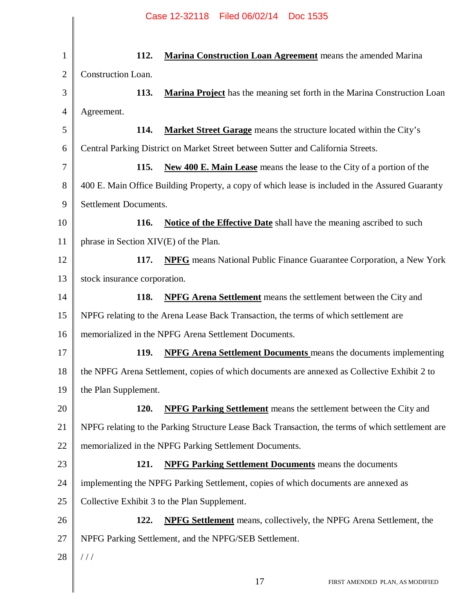## 1 2 3 4 5 6 7 8 9 10 11 12 13 14 15 16 17 18 19 20 21 22 23 24 25 26 27 28 **112. Marina Construction Loan Agreement** means the amended Marina Construction Loan. **113. Marina Project** has the meaning set forth in the Marina Construction Loan Agreement. **114. Market Street Garage** means the structure located within the City's Central Parking District on Market Street between Sutter and California Streets. **115. New 400 E. Main Lease** means the lease to the City of a portion of the 400 E. Main Office Building Property, a copy of which lease is included in the Assured Guaranty Settlement Documents. **116. Notice of the Effective Date** shall have the meaning ascribed to such phrase in Section XIV(E) of the Plan. **117. NPFG** means National Public Finance Guarantee Corporation, a New York stock insurance corporation. **118. NPFG Arena Settlement** means the settlement between the City and NPFG relating to the Arena Lease Back Transaction, the terms of which settlement are memorialized in the NPFG Arena Settlement Documents. **119. NPFG Arena Settlement Documents** means the documents implementing the NPFG Arena Settlement, copies of which documents are annexed as Collective Exhibit 2 to the Plan Supplement. **120. NPFG Parking Settlement** means the settlement between the City and NPFG relating to the Parking Structure Lease Back Transaction, the terms of which settlement are memorialized in the NPFG Parking Settlement Documents. **121. NPFG Parking Settlement Documents** means the documents implementing the NPFG Parking Settlement, copies of which documents are annexed as Collective Exhibit 3 to the Plan Supplement. **122. NPFG Settlement** means, collectively, the NPFG Arena Settlement, the NPFG Parking Settlement, and the NPFG/SEB Settlement. / / / Case 12-32118 Filed 06/02/14 Doc 1535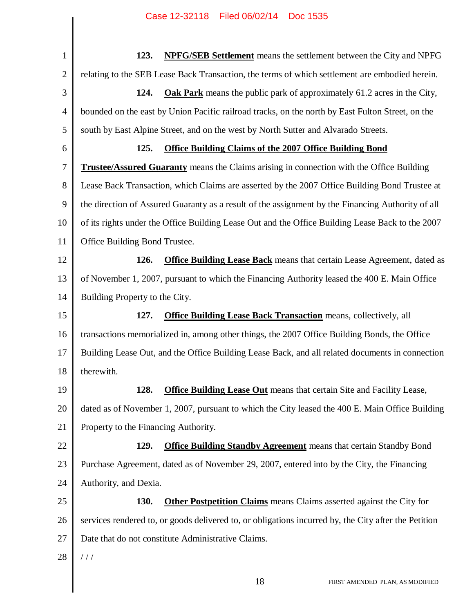1 2 3 4 5 6 7 8 9 10 11 12 13 14 15 16 17 18 19 20 21 22 23 24 25 26 27 28 **123. NPFG/SEB Settlement** means the settlement between the City and NPFG relating to the SEB Lease Back Transaction, the terms of which settlement are embodied herein. **124. Oak Park** means the public park of approximately 61.2 acres in the City, bounded on the east by Union Pacific railroad tracks, on the north by East Fulton Street, on the south by East Alpine Street, and on the west by North Sutter and Alvarado Streets. **125. Office Building Claims of the 2007 Office Building Bond Trustee/Assured Guaranty** means the Claims arising in connection with the Office Building Lease Back Transaction, which Claims are asserted by the 2007 Office Building Bond Trustee at the direction of Assured Guaranty as a result of the assignment by the Financing Authority of all of its rights under the Office Building Lease Out and the Office Building Lease Back to the 2007 Office Building Bond Trustee. **126. Office Building Lease Back** means that certain Lease Agreement, dated as of November 1, 2007, pursuant to which the Financing Authority leased the 400 E. Main Office Building Property to the City. **127. Office Building Lease Back Transaction** means, collectively, all transactions memorialized in, among other things, the 2007 Office Building Bonds, the Office Building Lease Out, and the Office Building Lease Back, and all related documents in connection therewith. **128. Office Building Lease Out** means that certain Site and Facility Lease, dated as of November 1, 2007, pursuant to which the City leased the 400 E. Main Office Building Property to the Financing Authority. **129. Office Building Standby Agreement** means that certain Standby Bond Purchase Agreement, dated as of November 29, 2007, entered into by the City, the Financing Authority, and Dexia. **130. Other Postpetition Claims** means Claims asserted against the City for services rendered to, or goods delivered to, or obligations incurred by, the City after the Petition Date that do not constitute Administrative Claims. / / /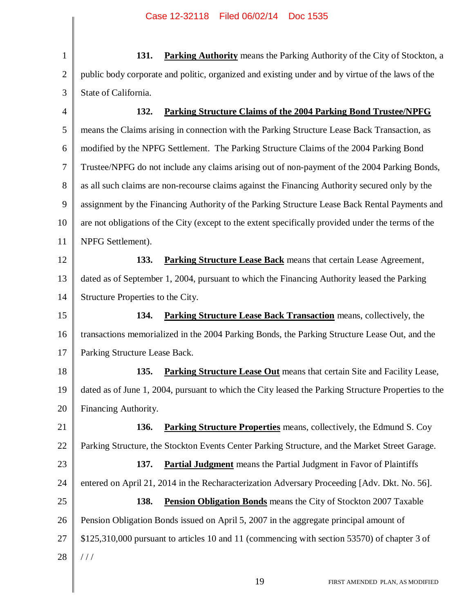4

1 2 3 **131. Parking Authority** means the Parking Authority of the City of Stockton, a public body corporate and politic, organized and existing under and by virtue of the laws of the State of California.

**132. Parking Structure Claims of the 2004 Parking Bond Trustee/NPFG**

5 6 7 8 9 10 11 means the Claims arising in connection with the Parking Structure Lease Back Transaction, as modified by the NPFG Settlement. The Parking Structure Claims of the 2004 Parking Bond Trustee/NPFG do not include any claims arising out of non-payment of the 2004 Parking Bonds, as all such claims are non-recourse claims against the Financing Authority secured only by the assignment by the Financing Authority of the Parking Structure Lease Back Rental Payments and are not obligations of the City (except to the extent specifically provided under the terms of the NPFG Settlement).

12 13 14 **133. Parking Structure Lease Back** means that certain Lease Agreement, dated as of September 1, 2004, pursuant to which the Financing Authority leased the Parking Structure Properties to the City.

15 16 17 **134. Parking Structure Lease Back Transaction** means, collectively, the transactions memorialized in the 2004 Parking Bonds, the Parking Structure Lease Out, and the Parking Structure Lease Back.

18 19 20 **135. Parking Structure Lease Out** means that certain Site and Facility Lease, dated as of June 1, 2004, pursuant to which the City leased the Parking Structure Properties to the Financing Authority.

21 22 **136. Parking Structure Properties** means, collectively, the Edmund S. Coy Parking Structure, the Stockton Events Center Parking Structure, and the Market Street Garage.

23 24 25 26 27 28 **137. Partial Judgment** means the Partial Judgment in Favor of Plaintiffs entered on April 21, 2014 in the Recharacterization Adversary Proceeding [Adv. Dkt. No. 56]. **138. Pension Obligation Bonds** means the City of Stockton 2007 Taxable Pension Obligation Bonds issued on April 5, 2007 in the aggregate principal amount of \$125,310,000 pursuant to articles 10 and 11 (commencing with section 53570) of chapter 3 of / / /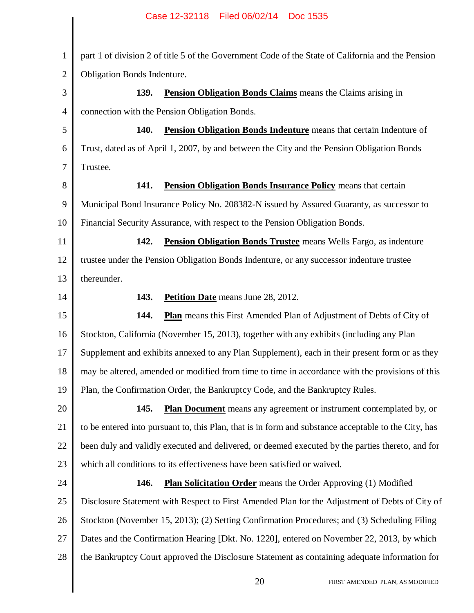║

| $\mathbf{1}$ | part 1 of division 2 of title 5 of the Government Code of the State of California and the Pension    |
|--------------|------------------------------------------------------------------------------------------------------|
| $\mathbf{2}$ | Obligation Bonds Indenture.                                                                          |
| 3            | 139.<br><b>Pension Obligation Bonds Claims</b> means the Claims arising in                           |
| 4            | connection with the Pension Obligation Bonds.                                                        |
| 5            | 140.<br><b>Pension Obligation Bonds Indenture</b> means that certain Indenture of                    |
| 6            | Trust, dated as of April 1, 2007, by and between the City and the Pension Obligation Bonds           |
| 7            | Trustee.                                                                                             |
| $8\,$        | 141.<br><b>Pension Obligation Bonds Insurance Policy means that certain</b>                          |
| 9            | Municipal Bond Insurance Policy No. 208382-N issued by Assured Guaranty, as successor to             |
| 10           | Financial Security Assurance, with respect to the Pension Obligation Bonds.                          |
| 11           | 142.<br><b>Pension Obligation Bonds Trustee</b> means Wells Fargo, as indenture                      |
| 12           | trustee under the Pension Obligation Bonds Indenture, or any successor indenture trustee             |
| 13           | thereunder.                                                                                          |
| 14           | 143.<br><b>Petition Date</b> means June 28, 2012.                                                    |
| 15           | <b>Plan</b> means this First Amended Plan of Adjustment of Debts of City of<br>144.                  |
| 16           | Stockton, California (November 15, 2013), together with any exhibits (including any Plan             |
| 17           | Supplement and exhibits annexed to any Plan Supplement), each in their present form or as they       |
| 18           | may be altered, amended or modified from time to time in accordance with the provisions of this      |
| 19           | Plan, the Confirmation Order, the Bankruptcy Code, and the Bankruptcy Rules.                         |
| 20           | Plan Document means any agreement or instrument contemplated by, or<br>145.                          |
| 21           | to be entered into pursuant to, this Plan, that is in form and substance acceptable to the City, has |
| 22           | been duly and validly executed and delivered, or deemed executed by the parties thereto, and for     |
| 23           | which all conditions to its effectiveness have been satisfied or waived.                             |
| 24           | 146.<br><b>Plan Solicitation Order</b> means the Order Approving (1) Modified                        |
| 25           | Disclosure Statement with Respect to First Amended Plan for the Adjustment of Debts of City of       |
| 26           | Stockton (November 15, 2013); (2) Setting Confirmation Procedures; and (3) Scheduling Filing         |
| 27           | Dates and the Confirmation Hearing [Dkt. No. 1220], entered on November 22, 2013, by which           |
| 28           | the Bankruptcy Court approved the Disclosure Statement as containing adequate information for        |
|              | 20<br>FIRST AMENDED PLAN, AS MODIFIED                                                                |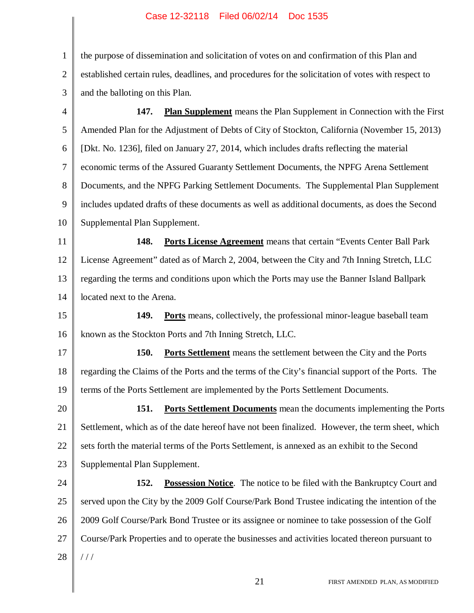1 2 3 the purpose of dissemination and solicitation of votes on and confirmation of this Plan and established certain rules, deadlines, and procedures for the solicitation of votes with respect to and the balloting on this Plan.

4 5 6 7 8 9 10 **147. Plan Supplement** means the Plan Supplement in Connection with the First Amended Plan for the Adjustment of Debts of City of Stockton, California (November 15, 2013) [Dkt. No. 1236], filed on January 27, 2014, which includes drafts reflecting the material economic terms of the Assured Guaranty Settlement Documents, the NPFG Arena Settlement Documents, and the NPFG Parking Settlement Documents. The Supplemental Plan Supplement includes updated drafts of these documents as well as additional documents, as does the Second Supplemental Plan Supplement.

11 12 13 14 **148. Ports License Agreement** means that certain "Events Center Ball Park License Agreement" dated as of March 2, 2004, between the City and 7th Inning Stretch, LLC regarding the terms and conditions upon which the Ports may use the Banner Island Ballpark located next to the Arena.

15 16 **149. Ports** means, collectively, the professional minor-league baseball team known as the Stockton Ports and 7th Inning Stretch, LLC.

17 18 19 **150. Ports Settlement** means the settlement between the City and the Ports regarding the Claims of the Ports and the terms of the City's financial support of the Ports. The terms of the Ports Settlement are implemented by the Ports Settlement Documents.

20 21 22 23 **151. Ports Settlement Documents** mean the documents implementing the Ports Settlement, which as of the date hereof have not been finalized. However, the term sheet, which sets forth the material terms of the Ports Settlement, is annexed as an exhibit to the Second Supplemental Plan Supplement.

24 25 26 27 28 **152. Possession Notice**. The notice to be filed with the Bankruptcy Court and served upon the City by the 2009 Golf Course/Park Bond Trustee indicating the intention of the 2009 Golf Course/Park Bond Trustee or its assignee or nominee to take possession of the Golf Course/Park Properties and to operate the businesses and activities located thereon pursuant to / / /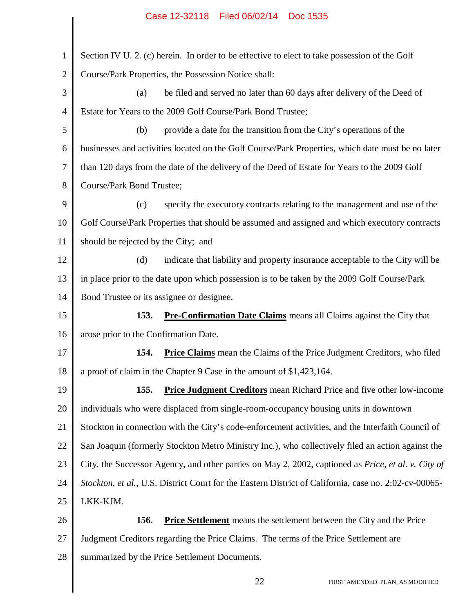| $\mathbf{1}$   | Section IV U. 2. (c) herein. In order to be effective to elect to take possession of the Golf              |
|----------------|------------------------------------------------------------------------------------------------------------|
| $\overline{2}$ | Course/Park Properties, the Possession Notice shall:                                                       |
| 3              | be filed and served no later than 60 days after delivery of the Deed of<br>(a)                             |
| $\overline{4}$ | Estate for Years to the 2009 Golf Course/Park Bond Trustee;                                                |
| 5              | provide a date for the transition from the City's operations of the<br>(b)                                 |
| 6              | businesses and activities located on the Golf Course/Park Properties, which date must be no later          |
| $\overline{7}$ | than 120 days from the date of the delivery of the Deed of Estate for Years to the 2009 Golf               |
| 8              | Course/Park Bond Trustee;                                                                                  |
| 9              | specify the executory contracts relating to the management and use of the<br>(c)                           |
| 10             | Golf Course\Park Properties that should be assumed and assigned and which executory contracts              |
| 11             | should be rejected by the City; and                                                                        |
| 12             | indicate that liability and property insurance acceptable to the City will be<br>(d)                       |
| 13             | in place prior to the date upon which possession is to be taken by the 2009 Golf Course/Park               |
| 14             | Bond Trustee or its assignee or designee.                                                                  |
| 15             | Pre-Confirmation Date Claims means all Claims against the City that<br>153.                                |
| 16             | arose prior to the Confirmation Date.                                                                      |
| 17             | 154.<br><b>Price Claims</b> mean the Claims of the Price Judgment Creditors, who filed                     |
| 18             | a proof of claim in the Chapter 9 Case in the amount of \$1,423,164.                                       |
| 19             | <b>Price Judgment Creditors</b> mean Richard Price and five other low-income<br><b>155.</b>                |
| 20             | individuals who were displaced from single-room-occupancy housing units in downtown                        |
| 21             | Stockton in connection with the City's code-enforcement activities, and the Interfaith Council of          |
| 22             | San Joaquin (formerly Stockton Metro Ministry Inc.), who collectively filed an action against the          |
| 23             | City, the Successor Agency, and other parties on May 2, 2002, captioned as <i>Price, et al. v. City of</i> |
| 24             | Stockton, et al., U.S. District Court for the Eastern District of California, case no. 2:02-cv-00065-      |
| 25             | LKK-KJM.                                                                                                   |
| 26             | <b>Price Settlement</b> means the settlement between the City and the Price<br><b>156.</b>                 |
| 27             | Judgment Creditors regarding the Price Claims. The terms of the Price Settlement are                       |
| 28             | summarized by the Price Settlement Documents.                                                              |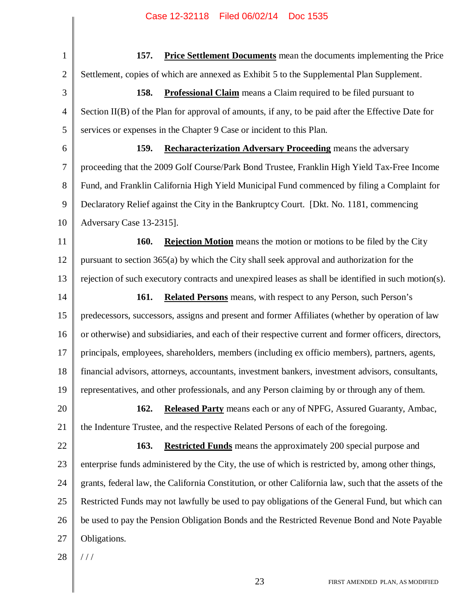1 2 3 4 5 6 7 8 9 10 11 12 13 14 15 16 17 18 19 20 21 22 23 24 25 26 27 28 **157. Price Settlement Documents** mean the documents implementing the Price Settlement, copies of which are annexed as Exhibit 5 to the Supplemental Plan Supplement. **158. Professional Claim** means a Claim required to be filed pursuant to Section II(B) of the Plan for approval of amounts, if any, to be paid after the Effective Date for services or expenses in the Chapter 9 Case or incident to this Plan. **159. Recharacterization Adversary Proceeding** means the adversary proceeding that the 2009 Golf Course/Park Bond Trustee, Franklin High Yield Tax-Free Income Fund, and Franklin California High Yield Municipal Fund commenced by filing a Complaint for Declaratory Relief against the City in the Bankruptcy Court. [Dkt. No. 1181, commencing Adversary Case 13-2315]. **160. Rejection Motion** means the motion or motions to be filed by the City pursuant to section 365(a) by which the City shall seek approval and authorization for the rejection of such executory contracts and unexpired leases as shall be identified in such motion(s). **161. Related Persons** means, with respect to any Person, such Person's predecessors, successors, assigns and present and former Affiliates (whether by operation of law or otherwise) and subsidiaries, and each of their respective current and former officers, directors, principals, employees, shareholders, members (including ex officio members), partners, agents, financial advisors, attorneys, accountants, investment bankers, investment advisors, consultants, representatives, and other professionals, and any Person claiming by or through any of them. **162. Released Party** means each or any of NPFG, Assured Guaranty, Ambac, the Indenture Trustee, and the respective Related Persons of each of the foregoing. **163. Restricted Funds** means the approximately 200 special purpose and enterprise funds administered by the City, the use of which is restricted by, among other things, grants, federal law, the California Constitution, or other California law, such that the assets of the Restricted Funds may not lawfully be used to pay obligations of the General Fund, but which can be used to pay the Pension Obligation Bonds and the Restricted Revenue Bond and Note Payable Obligations.  $/ /$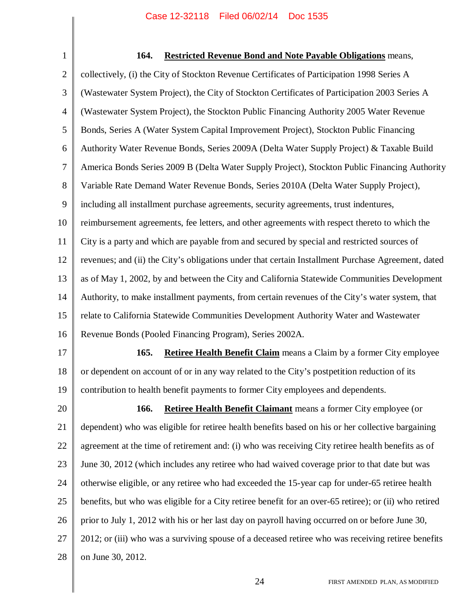| 1              | 164.<br><b>Restricted Revenue Bond and Note Payable Obligations</b> means,                             |
|----------------|--------------------------------------------------------------------------------------------------------|
| $\mathbf{2}$   | collectively, (i) the City of Stockton Revenue Certificates of Participation 1998 Series A             |
| 3              | (Wastewater System Project), the City of Stockton Certificates of Participation 2003 Series A          |
| $\overline{4}$ | (Wastewater System Project), the Stockton Public Financing Authority 2005 Water Revenue                |
| 5              | Bonds, Series A (Water System Capital Improvement Project), Stockton Public Financing                  |
| 6              | Authority Water Revenue Bonds, Series 2009A (Delta Water Supply Project) & Taxable Build               |
| 7              | America Bonds Series 2009 B (Delta Water Supply Project), Stockton Public Financing Authority          |
| 8              | Variable Rate Demand Water Revenue Bonds, Series 2010A (Delta Water Supply Project),                   |
| 9              | including all installment purchase agreements, security agreements, trust indentures,                  |
| 10             | reimbursement agreements, fee letters, and other agreements with respect thereto to which the          |
| 11             | City is a party and which are payable from and secured by special and restricted sources of            |
| 12             | revenues; and (ii) the City's obligations under that certain Installment Purchase Agreement, dated     |
| 13             | as of May 1, 2002, by and between the City and California Statewide Communities Development            |
| 14             | Authority, to make installment payments, from certain revenues of the City's water system, that        |
| 15             | relate to California Statewide Communities Development Authority Water and Wastewater                  |
| 16             | Revenue Bonds (Pooled Financing Program), Series 2002A.                                                |
| 17             | <b>Retiree Health Benefit Claim</b> means a Claim by a former City employee<br>165.                    |
| 18             | or dependent on account of or in any way related to the City's postpetition reduction of its           |
| 19             | contribution to health benefit payments to former City employees and dependents.                       |
| 20             | Retiree Health Benefit Claimant means a former City employee (or<br>166.                               |
| 21             | dependent) who was eligible for retiree health benefits based on his or her collective bargaining      |
| 22             | agreement at the time of retirement and: (i) who was receiving City retiree health benefits as of      |
| 23             | June 30, 2012 (which includes any retiree who had waived coverage prior to that date but was           |
| 24             | otherwise eligible, or any retiree who had exceeded the 15-year cap for under-65 retiree health        |
| 25             | benefits, but who was eligible for a City retiree benefit for an over-65 retiree); or (ii) who retired |
| 26             | prior to July 1, 2012 with his or her last day on payroll having occurred on or before June 30,        |
| 27             | 2012; or (iii) who was a surviving spouse of a deceased retiree who was receiving retiree benefits     |
| 28             | on June 30, 2012.                                                                                      |
|                |                                                                                                        |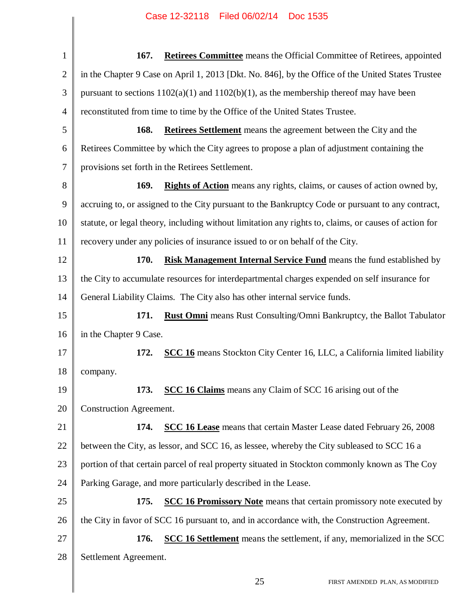| $\mathbf{1}$   | <b>Retirees Committee</b> means the Official Committee of Retirees, appointed<br>167.                 |
|----------------|-------------------------------------------------------------------------------------------------------|
| $\overline{2}$ | in the Chapter 9 Case on April 1, 2013 [Dkt. No. 846], by the Office of the United States Trustee     |
| 3              | pursuant to sections $1102(a)(1)$ and $1102(b)(1)$ , as the membership thereof may have been          |
| 4              | reconstituted from time to time by the Office of the United States Trustee.                           |
| 5              | 168.<br>Retirees Settlement means the agreement between the City and the                              |
| 6              | Retirees Committee by which the City agrees to propose a plan of adjustment containing the            |
| 7              | provisions set forth in the Retirees Settlement.                                                      |
| 8              | <b>Rights of Action</b> means any rights, claims, or causes of action owned by,<br>169.               |
| 9              | accruing to, or assigned to the City pursuant to the Bankruptcy Code or pursuant to any contract,     |
| 10             | statute, or legal theory, including without limitation any rights to, claims, or causes of action for |
| 11             | recovery under any policies of insurance issued to or on behalf of the City.                          |
| 12             | 170.<br><b>Risk Management Internal Service Fund</b> means the fund established by                    |
| 13             | the City to accumulate resources for interdepartmental charges expended on self insurance for         |
| 14             | General Liability Claims. The City also has other internal service funds.                             |
| 15             | <b>Rust Omni</b> means Rust Consulting/Omni Bankruptcy, the Ballot Tabulator<br>171.                  |
| 16             | in the Chapter 9 Case.                                                                                |
| 17             | 172.<br><b>SCC 16</b> means Stockton City Center 16, LLC, a California limited liability              |
| 18             | company.                                                                                              |
| 19             | SCC 16 Claims means any Claim of SCC 16 arising out of the<br>173.                                    |
| 20             | Construction Agreement.                                                                               |
| 21             | 174.<br><b>SCC 16 Lease</b> means that certain Master Lease dated February 26, 2008                   |
| 22             | between the City, as lessor, and SCC 16, as lessee, whereby the City subleased to SCC 16 a            |
| 23             | portion of that certain parcel of real property situated in Stockton commonly known as The Coy        |
| 24             | Parking Garage, and more particularly described in the Lease.                                         |
| 25             | <b>SCC 16 Promissory Note</b> means that certain promissory note executed by<br>175.                  |
| 26             | the City in favor of SCC 16 pursuant to, and in accordance with, the Construction Agreement.          |
| 27             | <b>SCC 16 Settlement</b> means the settlement, if any, memorialized in the SCC<br>176.                |
| 28             | Settlement Agreement.                                                                                 |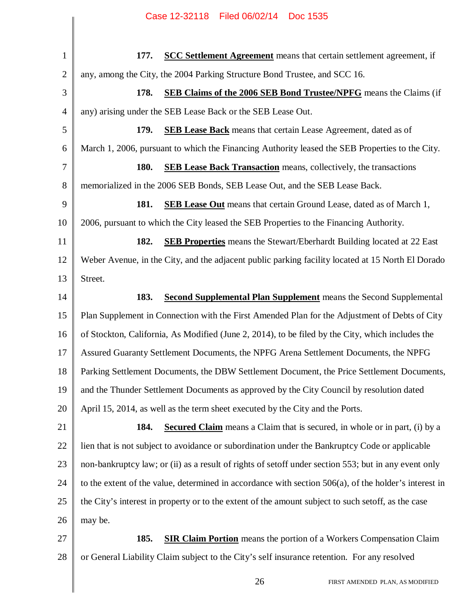|                | Filed 06/02/14<br>Case 12-32118<br>Doc 1535                                                              |
|----------------|----------------------------------------------------------------------------------------------------------|
|                |                                                                                                          |
| $\mathbf{1}$   | <b>SCC Settlement Agreement</b> means that certain settlement agreement, if<br>177.                      |
| $\overline{2}$ | any, among the City, the 2004 Parking Structure Bond Trustee, and SCC 16.                                |
| 3              | 178.<br><b>SEB Claims of the 2006 SEB Bond Trustee/NPFG</b> means the Claims (if                         |
| $\overline{4}$ | any) arising under the SEB Lease Back or the SEB Lease Out.                                              |
| 5              | 179.<br><b>SEB Lease Back</b> means that certain Lease Agreement, dated as of                            |
| 6              | March 1, 2006, pursuant to which the Financing Authority leased the SEB Properties to the City.          |
| 7              | 180.<br><b>SEB Lease Back Transaction</b> means, collectively, the transactions                          |
| 8              | memorialized in the 2006 SEB Bonds, SEB Lease Out, and the SEB Lease Back.                               |
| 9              | 181.<br><b>SEB Lease Out</b> means that certain Ground Lease, dated as of March 1,                       |
| 10             | 2006, pursuant to which the City leased the SEB Properties to the Financing Authority.                   |
| 11             | 182.<br><b>SEB Properties</b> means the Stewart/Eberhardt Building located at 22 East                    |
| 12             | Weber Avenue, in the City, and the adjacent public parking facility located at 15 North El Dorado        |
| 13             | Street.                                                                                                  |
| 14             | 183.<br><b>Second Supplemental Plan Supplement</b> means the Second Supplemental                         |
| 15             | Plan Supplement in Connection with the First Amended Plan for the Adjustment of Debts of City            |
| 16             | of Stockton, California, As Modified (June 2, 2014), to be filed by the City, which includes the         |
| 17             | Assured Guaranty Settlement Documents, the NPFG Arena Settlement Documents, the NPFG                     |
| 18             | Parking Settlement Documents, the DBW Settlement Document, the Price Settlement Documents,               |
| 19             | and the Thunder Settlement Documents as approved by the City Council by resolution dated                 |
| 20             | April 15, 2014, as well as the term sheet executed by the City and the Ports.                            |
| 21             | 184.<br><b>Secured Claim</b> means a Claim that is secured, in whole or in part, (i) by a                |
| 22             | lien that is not subject to avoidance or subordination under the Bankruptcy Code or applicable           |
| 23             | non-bankruptcy law; or (ii) as a result of rights of set of under section 553; but in any event only     |
| 24             | to the extent of the value, determined in accordance with section $506(a)$ , of the holder's interest in |
| 25             | the City's interest in property or to the extent of the amount subject to such set off, as the case      |
| 26             | may be.                                                                                                  |
| 27             | 185.<br><b>SIR Claim Portion</b> means the portion of a Workers Compensation Claim                       |
| 28             | or General Liability Claim subject to the City's self insurance retention. For any resolved              |
|                |                                                                                                          |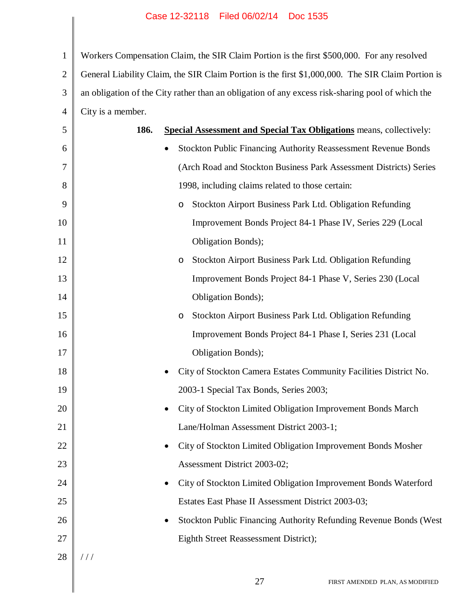1 2 3 4 Workers Compensation Claim, the SIR Claim Portion is the first \$500,000. For any resolved General Liability Claim, the SIR Claim Portion is the first \$1,000,000. The SIR Claim Portion is an obligation of the City rather than an obligation of any excess risk-sharing pool of which the City is a member.

|    | $\cup$ ity io a miomovi. |                                                                            |
|----|--------------------------|----------------------------------------------------------------------------|
| 5  | 186.                     | <b>Special Assessment and Special Tax Obligations</b> means, collectively: |
| 6  |                          | <b>Stockton Public Financing Authority Reassessment Revenue Bonds</b>      |
| 7  |                          | (Arch Road and Stockton Business Park Assessment Districts) Series         |
| 8  |                          | 1998, including claims related to those certain:                           |
| 9  |                          | Stockton Airport Business Park Ltd. Obligation Refunding<br>O              |
| 10 |                          | Improvement Bonds Project 84-1 Phase IV, Series 229 (Local                 |
| 11 |                          | Obligation Bonds);                                                         |
| 12 |                          | Stockton Airport Business Park Ltd. Obligation Refunding<br>O              |
| 13 |                          | Improvement Bonds Project 84-1 Phase V, Series 230 (Local                  |
| 14 |                          | Obligation Bonds);                                                         |
| 15 |                          | Stockton Airport Business Park Ltd. Obligation Refunding<br>O              |
| 16 |                          | Improvement Bonds Project 84-1 Phase I, Series 231 (Local                  |
| 17 |                          | Obligation Bonds);                                                         |
| 18 |                          | City of Stockton Camera Estates Community Facilities District No.<br>٠     |
| 19 |                          | 2003-1 Special Tax Bonds, Series 2003;                                     |
| 20 |                          | City of Stockton Limited Obligation Improvement Bonds March<br>$\bullet$   |
| 21 |                          | Lane/Holman Assessment District 2003-1;                                    |
| 22 |                          | City of Stockton Limited Obligation Improvement Bonds Mosher               |
| 23 |                          | Assessment District 2003-02;                                               |
| 24 |                          | City of Stockton Limited Obligation Improvement Bonds Waterford            |
| 25 |                          | Estates East Phase II Assessment District 2003-03;                         |
| 26 |                          | Stockton Public Financing Authority Refunding Revenue Bonds (West          |
| 27 |                          | Eighth Street Reassessment District);                                      |
| 28 | //                       |                                                                            |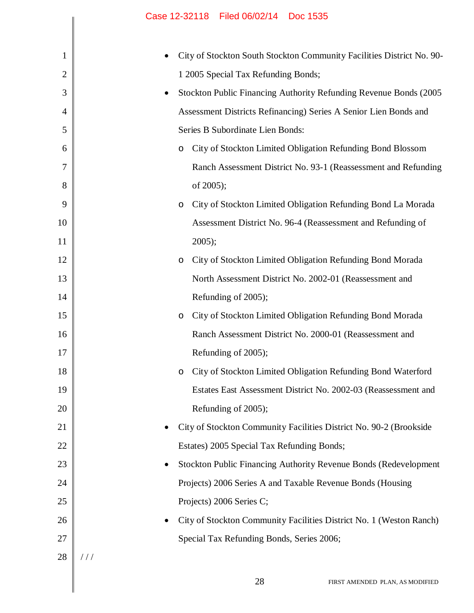|                | Case IZ-32118 Filed 06/02/14 DOC 1535                                            |
|----------------|----------------------------------------------------------------------------------|
| 1              | City of Stockton South Stockton Community Facilities District No. 90-            |
| $\overline{2}$ | 1 2005 Special Tax Refunding Bonds;                                              |
| 3              | Stockton Public Financing Authority Refunding Revenue Bonds (2005)<br>٠          |
| $\overline{4}$ | Assessment Districts Refinancing) Series A Senior Lien Bonds and                 |
| 5              | Series B Subordinate Lien Bonds:                                                 |
| 6              | City of Stockton Limited Obligation Refunding Bond Blossom<br>O                  |
| 7              | Ranch Assessment District No. 93-1 (Reassessment and Refunding                   |
| 8              | of 2005);                                                                        |
| 9              | City of Stockton Limited Obligation Refunding Bond La Morada<br>$\circ$          |
| 10             | Assessment District No. 96-4 (Reassessment and Refunding of                      |
| 11             | $2005$ ;                                                                         |
| 12             | City of Stockton Limited Obligation Refunding Bond Morada<br>$\circ$             |
| 13             | North Assessment District No. 2002-01 (Reassessment and                          |
| 14             | Refunding of 2005);                                                              |
| 15             | City of Stockton Limited Obligation Refunding Bond Morada<br>$\circ$             |
| 16             | Ranch Assessment District No. 2000-01 (Reassessment and                          |
| 17             | Refunding of 2005);                                                              |
| 18             | City of Stockton Limited Obligation Refunding Bond Waterford<br>$\circ$          |
| 19             | Estates East Assessment District No. 2002-03 (Reassessment and                   |
| 20             | Refunding of 2005);                                                              |
| 21             | City of Stockton Community Facilities District No. 90-2 (Brookside               |
| 22             | Estates) 2005 Special Tax Refunding Bonds;                                       |
| 23             | Stockton Public Financing Authority Revenue Bonds (Redevelopment<br>٠            |
| 24             | Projects) 2006 Series A and Taxable Revenue Bonds (Housing                       |
| 25             | Projects) 2006 Series C;                                                         |
| 26             | City of Stockton Community Facilities District No. 1 (Weston Ranch)<br>$\bullet$ |
| 27             | Special Tax Refunding Bonds, Series 2006;                                        |
| 28             | //                                                                               |
|                |                                                                                  |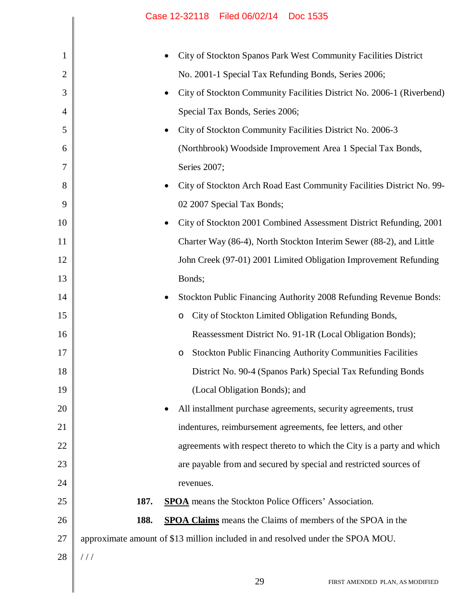|                | Case 12-32118 Filed 06/02/14 Doc 1535                                              |
|----------------|------------------------------------------------------------------------------------|
|                |                                                                                    |
| 1              | City of Stockton Spanos Park West Community Facilities District                    |
| $\overline{2}$ | No. 2001-1 Special Tax Refunding Bonds, Series 2006;                               |
| 3              | City of Stockton Community Facilities District No. 2006-1 (Riverbend)<br>٠         |
| 4              | Special Tax Bonds, Series 2006;                                                    |
| 5              | City of Stockton Community Facilities District No. 2006-3<br>٠                     |
| 6              | (Northbrook) Woodside Improvement Area 1 Special Tax Bonds,                        |
| 7              | Series 2007;                                                                       |
| 8              | City of Stockton Arch Road East Community Facilities District No. 99-<br>$\bullet$ |
| 9              | 02 2007 Special Tax Bonds;                                                         |
| 10             | City of Stockton 2001 Combined Assessment District Refunding, 2001<br>$\bullet$    |
| 11             | Charter Way (86-4), North Stockton Interim Sewer (88-2), and Little                |
| 12             | John Creek (97-01) 2001 Limited Obligation Improvement Refunding                   |
| 13             | Bonds;                                                                             |
| 14             | Stockton Public Financing Authority 2008 Refunding Revenue Bonds:                  |
| 15             | City of Stockton Limited Obligation Refunding Bonds,<br>$\circ$                    |
| 16             | Reassessment District No. 91-1R (Local Obligation Bonds);                          |
| 17             | <b>Stockton Public Financing Authority Communities Facilities</b>                  |
| 18             | District No. 90-4 (Spanos Park) Special Tax Refunding Bonds                        |
| 19             | (Local Obligation Bonds); and                                                      |
| 20             | All installment purchase agreements, security agreements, trust<br>٠               |
| 21             | indentures, reimbursement agreements, fee letters, and other                       |
| 22             | agreements with respect thereto to which the City is a party and which             |
| 23             | are payable from and secured by special and restricted sources of                  |
| 24             | revenues.                                                                          |
| 25             | 187.<br><b>SPOA</b> means the Stockton Police Officers' Association.               |
| 26             | 188.<br><b>SPOA Claims</b> means the Claims of members of the SPOA in the          |
| 27             | approximate amount of \$13 million included in and resolved under the SPOA MOU.    |
| 28             | //                                                                                 |
|                | 29<br>FIRST AMENDED PLAN, AS MODIFIED                                              |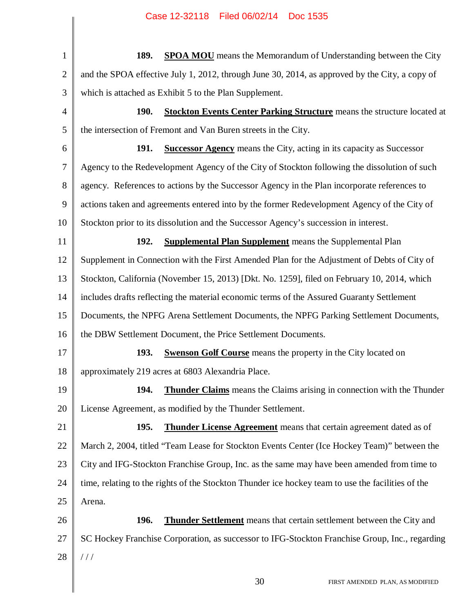1 2 3 4 5 6 7 8 9 10 11 12 13 14 15 16 17 18 19 20 21 22 23 24 25 26 27 28 **189. SPOA MOU** means the Memorandum of Understanding between the City and the SPOA effective July 1, 2012, through June 30, 2014, as approved by the City, a copy of which is attached as Exhibit 5 to the Plan Supplement. **190. Stockton Events Center Parking Structure** means the structure located at the intersection of Fremont and Van Buren streets in the City. **191. Successor Agency** means the City, acting in its capacity as Successor Agency to the Redevelopment Agency of the City of Stockton following the dissolution of such agency. References to actions by the Successor Agency in the Plan incorporate references to actions taken and agreements entered into by the former Redevelopment Agency of the City of Stockton prior to its dissolution and the Successor Agency's succession in interest. **192. Supplemental Plan Supplement** means the Supplemental Plan Supplement in Connection with the First Amended Plan for the Adjustment of Debts of City of Stockton, California (November 15, 2013) [Dkt. No. 1259], filed on February 10, 2014, which includes drafts reflecting the material economic terms of the Assured Guaranty Settlement Documents, the NPFG Arena Settlement Documents, the NPFG Parking Settlement Documents, the DBW Settlement Document, the Price Settlement Documents. **193. Swenson Golf Course** means the property in the City located on approximately 219 acres at 6803 Alexandria Place. **194. Thunder Claims** means the Claims arising in connection with the Thunder License Agreement, as modified by the Thunder Settlement. **195. Thunder License Agreement** means that certain agreement dated as of March 2, 2004, titled "Team Lease for Stockton Events Center (Ice Hockey Team)" between the City and IFG-Stockton Franchise Group, Inc. as the same may have been amended from time to time, relating to the rights of the Stockton Thunder ice hockey team to use the facilities of the Arena. **196. Thunder Settlement** means that certain settlement between the City and SC Hockey Franchise Corporation, as successor to IFG-Stockton Franchise Group, Inc., regarding / / /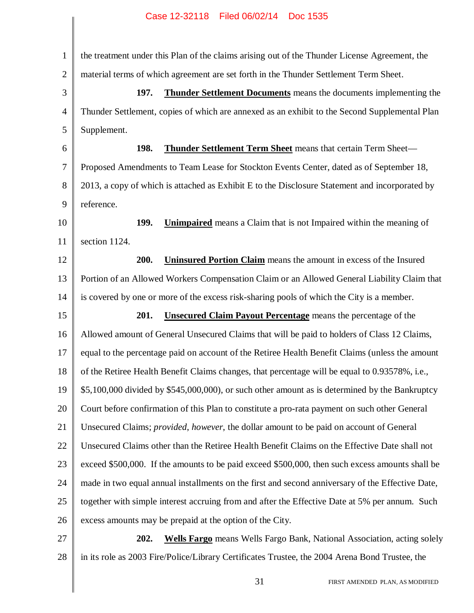1 2 3 4 5 6 7 8 9 10 11 12 13 14 15 16 17 18 19 20 21 22 23 24 25 26 27 the treatment under this Plan of the claims arising out of the Thunder License Agreement, the material terms of which agreement are set forth in the Thunder Settlement Term Sheet. **197. Thunder Settlement Documents** means the documents implementing the Thunder Settlement, copies of which are annexed as an exhibit to the Second Supplemental Plan Supplement. **198. Thunder Settlement Term Sheet** means that certain Term Sheet— Proposed Amendments to Team Lease for Stockton Events Center, dated as of September 18, 2013, a copy of which is attached as Exhibit E to the Disclosure Statement and incorporated by reference. **199. Unimpaired** means a Claim that is not Impaired within the meaning of section 1124. **200. Uninsured Portion Claim** means the amount in excess of the Insured Portion of an Allowed Workers Compensation Claim or an Allowed General Liability Claim that is covered by one or more of the excess risk-sharing pools of which the City is a member. **201. Unsecured Claim Payout Percentage** means the percentage of the Allowed amount of General Unsecured Claims that will be paid to holders of Class 12 Claims, equal to the percentage paid on account of the Retiree Health Benefit Claims (unless the amount of the Retiree Health Benefit Claims changes, that percentage will be equal to 0.93578%, i.e., \$5,100,000 divided by \$545,000,000), or such other amount as is determined by the Bankruptcy Court before confirmation of this Plan to constitute a pro-rata payment on such other General Unsecured Claims; *provided*, *however*, the dollar amount to be paid on account of General Unsecured Claims other than the Retiree Health Benefit Claims on the Effective Date shall not exceed \$500,000. If the amounts to be paid exceed \$500,000, then such excess amounts shall be made in two equal annual installments on the first and second anniversary of the Effective Date, together with simple interest accruing from and after the Effective Date at 5% per annum. Such excess amounts may be prepaid at the option of the City. **202. Wells Fargo** means Wells Fargo Bank, National Association, acting solely

in its role as 2003 Fire/Police/Library Certificates Trustee, the 2004 Arena Bond Trustee, the

28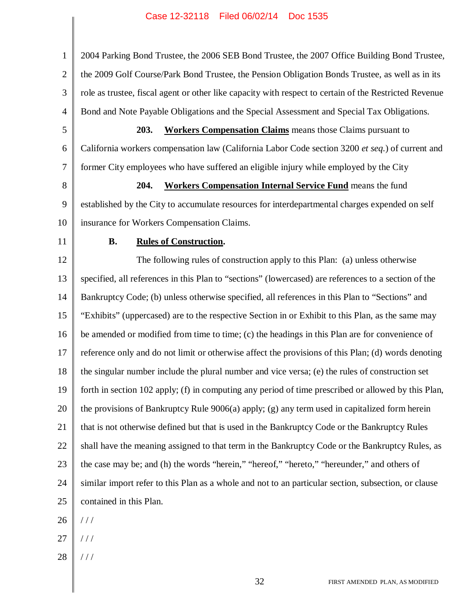1 2 3 4 2004 Parking Bond Trustee, the 2006 SEB Bond Trustee, the 2007 Office Building Bond Trustee, the 2009 Golf Course/Park Bond Trustee, the Pension Obligation Bonds Trustee, as well as in its role as trustee, fiscal agent or other like capacity with respect to certain of the Restricted Revenue Bond and Note Payable Obligations and the Special Assessment and Special Tax Obligations.

5 6 7 **203. Workers Compensation Claims** means those Claims pursuant to California workers compensation law (California Labor Code section 3200 *et seq.*) of current and former City employees who have suffered an eligible injury while employed by the City

8

9

**204. Workers Compensation Internal Service Fund** means the fund established by the City to accumulate resources for interdepartmental charges expended on self insurance for Workers Compensation Claims.

11

10

#### **B. Rules of Construction.**

12 13 14 15 16 17 18 19 20 21 22 23 24 25 The following rules of construction apply to this Plan: (a) unless otherwise specified, all references in this Plan to "sections" (lowercased) are references to a section of the Bankruptcy Code; (b) unless otherwise specified, all references in this Plan to "Sections" and "Exhibits" (uppercased) are to the respective Section in or Exhibit to this Plan, as the same may be amended or modified from time to time; (c) the headings in this Plan are for convenience of reference only and do not limit or otherwise affect the provisions of this Plan; (d) words denoting the singular number include the plural number and vice versa; (e) the rules of construction set forth in section 102 apply; (f) in computing any period of time prescribed or allowed by this Plan, the provisions of Bankruptcy Rule 9006(a) apply; (g) any term used in capitalized form herein that is not otherwise defined but that is used in the Bankruptcy Code or the Bankruptcy Rules shall have the meaning assigned to that term in the Bankruptcy Code or the Bankruptcy Rules, as the case may be; and (h) the words "herein," "hereof," "hereto," "hereunder," and others of similar import refer to this Plan as a whole and not to an particular section, subsection, or clause contained in this Plan.

26 / / /

- 27 / / /
- 28 / / /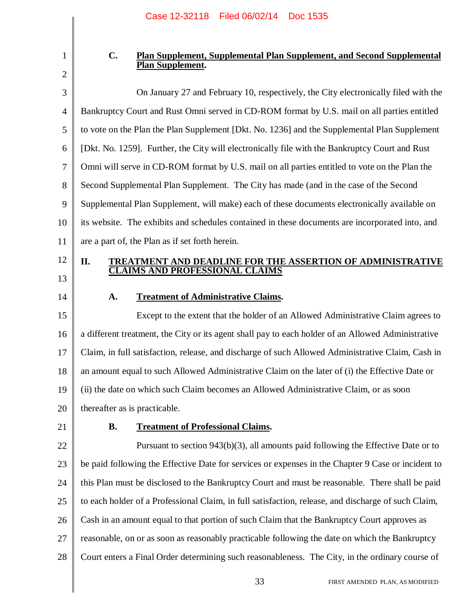1

#### **C. Plan Supplement, Supplemental Plan Supplement, and Second Supplemental Plan Supplement.**

3 4 5 6 7 8 9 10 11 On January 27 and February 10, respectively, the City electronically filed with the Bankruptcy Court and Rust Omni served in CD-ROM format by U.S. mail on all parties entitled to vote on the Plan the Plan Supplement [Dkt. No. 1236] and the Supplemental Plan Supplement [Dkt. No. 1259]. Further, the City will electronically file with the Bankruptcy Court and Rust Omni will serve in CD-ROM format by U.S. mail on all parties entitled to vote on the Plan the Second Supplemental Plan Supplement. The City has made (and in the case of the Second Supplemental Plan Supplement, will make) each of these documents electronically available on its website. The exhibits and schedules contained in these documents are incorporated into, and are a part of, the Plan as if set forth herein.

#### **II. TREATMENT AND DEADLINE FOR THE ASSERTION OF ADMINISTRATIVE CLAIMS AND PROFESSIONAL CLAIMS**

13 14

12

#### **A. Treatment of Administrative Claims.**

15 16 17 18 19 20 Except to the extent that the holder of an Allowed Administrative Claim agrees to a different treatment, the City or its agent shall pay to each holder of an Allowed Administrative Claim, in full satisfaction, release, and discharge of such Allowed Administrative Claim, Cash in an amount equal to such Allowed Administrative Claim on the later of (i) the Effective Date or (ii) the date on which such Claim becomes an Allowed Administrative Claim, or as soon thereafter as is practicable.

21

#### **B. Treatment of Professional Claims.**

22 23 24 25 26 27 28 Pursuant to section 943(b)(3), all amounts paid following the Effective Date or to be paid following the Effective Date for services or expenses in the Chapter 9 Case or incident to this Plan must be disclosed to the Bankruptcy Court and must be reasonable. There shall be paid to each holder of a Professional Claim, in full satisfaction, release, and discharge of such Claim, Cash in an amount equal to that portion of such Claim that the Bankruptcy Court approves as reasonable, on or as soon as reasonably practicable following the date on which the Bankruptcy Court enters a Final Order determining such reasonableness. The City, in the ordinary course of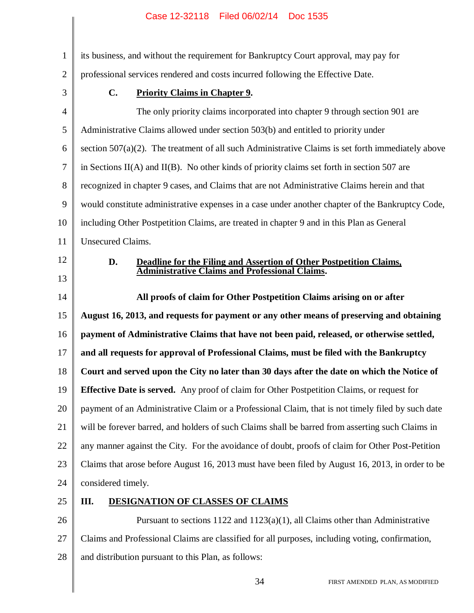1 2 3 4 5 6 7 8 9 10 11 12 13 14 15 16 17 18 19 20 21 22 23 24 25 26 its business, and without the requirement for Bankruptcy Court approval, may pay for professional services rendered and costs incurred following the Effective Date. **C. Priority Claims in Chapter 9.** The only priority claims incorporated into chapter 9 through section 901 are Administrative Claims allowed under section 503(b) and entitled to priority under section 507(a)(2). The treatment of all such Administrative Claims is set forth immediately above in Sections II(A) and II(B). No other kinds of priority claims set forth in section 507 are recognized in chapter 9 cases, and Claims that are not Administrative Claims herein and that would constitute administrative expenses in a case under another chapter of the Bankruptcy Code, including Other Postpetition Claims, are treated in chapter 9 and in this Plan as General Unsecured Claims. **D. Deadline for the Filing and Assertion of Other Postpetition Claims, Administrative Claims and Professional Claims. All proofs of claim for Other Postpetition Claims arising on or after August 16, 2013, and requests for payment or any other means of preserving and obtaining payment of Administrative Claims that have not been paid, released, or otherwise settled, and all requests for approval of Professional Claims, must be filed with the Bankruptcy Court and served upon the City no later than 30 days after the date on which the Notice of Effective Date is served.** Any proof of claim for Other Postpetition Claims, or request for payment of an Administrative Claim or a Professional Claim, that is not timely filed by such date will be forever barred, and holders of such Claims shall be barred from asserting such Claims in any manner against the City. For the avoidance of doubt, proofs of claim for Other Post-Petition Claims that arose before August 16, 2013 must have been filed by August 16, 2013, in order to be considered timely. **III. DESIGNATION OF CLASSES OF CLAIMS** Pursuant to sections  $1122$  and  $1123(a)(1)$ , all Claims other than Administrative

27 28 Claims and Professional Claims are classified for all purposes, including voting, confirmation, and distribution pursuant to this Plan, as follows: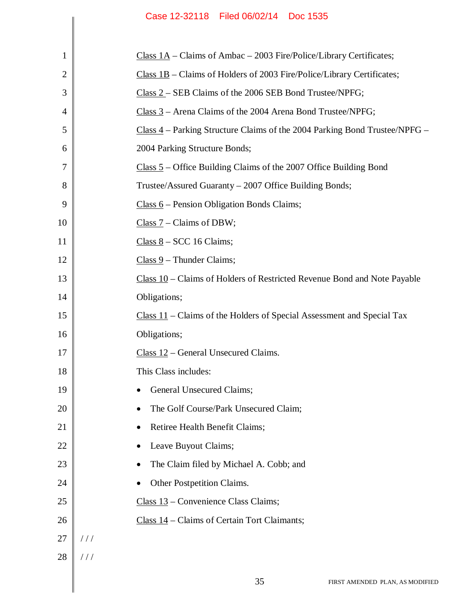| 1  | Class $1A$ – Claims of Ambac – 2003 Fire/Police/Library Certificates;        |
|----|------------------------------------------------------------------------------|
| 2  | Class $1B$ – Claims of Holders of 2003 Fire/Police/Library Certificates;     |
| 3  | Class 2 - SEB Claims of the 2006 SEB Bond Trustee/NPFG;                      |
| 4  | $Class 3 - Area Clains of the 2004 Arena Bond Trustee/NPFG;$                 |
| 5  | $Class 4$ – Parking Structure Claims of the 2004 Parking Bond Trustee/NPFG – |
| 6  | 2004 Parking Structure Bonds;                                                |
| 7  | $Class 5 - Office Building Claims of the 2007 Office Building Bond$          |
| 8  | Trustee/Assured Guaranty – 2007 Office Building Bonds;                       |
| 9  | $Class 6 - Pearson Obligation Bonds Claus;$                                  |
| 10 | Class $7$ – Claims of DBW;                                                   |
| 11 | $Class 8 - SCC 16 Clains;$                                                   |
| 12 | $Class 9$ – Thunder Claims;                                                  |
| 13 | $Class 10 - Clains of Holders of Restricted Revenue Bond and Note Payable$   |
| 14 | Obligations;                                                                 |
| 15 | $Class 11$ – Claims of the Holders of Special Assessment and Special Tax     |
| 16 | Obligations;                                                                 |
| 17 | $Class 12$ – General Unsecured Claims.                                       |
| 18 | This Class includes:                                                         |
| 19 | General Unsecured Claims;                                                    |
| 20 | The Golf Course/Park Unsecured Claim;                                        |
| 21 | Retiree Health Benefit Claims;                                               |
| 22 | Leave Buyout Claims;                                                         |
| 23 | The Claim filed by Michael A. Cobb; and                                      |
| 24 | Other Postpetition Claims.                                                   |
| 25 | $Class 13 - Convenience Class Claus;$                                        |
| 26 | Class $14$ – Claims of Certain Tort Claimants;                               |
| 27 | //                                                                           |
| 28 | //                                                                           |
|    |                                                                              |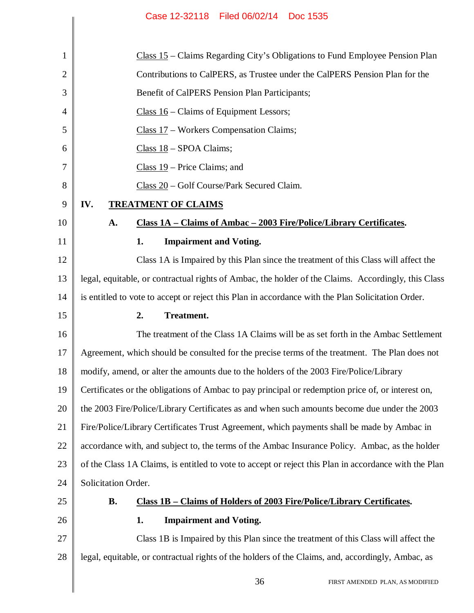$\begin{array}{c} \hline \end{array}$ 

| $\mathbf{1}$   | Class 15 – Claims Regarding City's Obligations to Fund Employee Pension Plan                          |
|----------------|-------------------------------------------------------------------------------------------------------|
| $\overline{2}$ | Contributions to CalPERS, as Trustee under the CalPERS Pension Plan for the                           |
| 3              | Benefit of CalPERS Pension Plan Participants;                                                         |
| $\overline{4}$ | Class $16$ – Claims of Equipment Lessors;                                                             |
| 5              | $Class 17 - Works$ Compensation Claims;                                                               |
| 6              | Class 18 - SPOA Claims;                                                                               |
| 7              | Class $19$ – Price Claims; and                                                                        |
| 8              | $Class 20 - Golf Course/Park Secured Claim.$                                                          |
| 9              | IV.<br><b>TREATMENT OF CLAIMS</b>                                                                     |
| 10             | Class 1A - Claims of Ambac - 2003 Fire/Police/Library Certificates.<br>A.                             |
| 11             | <b>Impairment and Voting.</b><br>1.                                                                   |
| 12             | Class 1A is Impaired by this Plan since the treatment of this Class will affect the                   |
| 13             | legal, equitable, or contractual rights of Ambac, the holder of the Claims. Accordingly, this Class   |
| 14             | is entitled to vote to accept or reject this Plan in accordance with the Plan Solicitation Order.     |
| 15             | <b>Treatment.</b><br>2.                                                                               |
| 16             | The treatment of the Class 1A Claims will be as set forth in the Ambac Settlement                     |
| 17             | Agreement, which should be consulted for the precise terms of the treatment. The Plan does not        |
| 18             | modify, amend, or alter the amounts due to the holders of the 2003 Fire/Police/Library                |
| 19             | Certificates or the obligations of Ambac to pay principal or redemption price of, or interest on,     |
| 20             | the 2003 Fire/Police/Library Certificates as and when such amounts become due under the 2003          |
| 21             | Fire/Police/Library Certificates Trust Agreement, which payments shall be made by Ambac in            |
| 22             | accordance with, and subject to, the terms of the Ambac Insurance Policy. Ambac, as the holder        |
| 23             | of the Class 1A Claims, is entitled to vote to accept or reject this Plan in accordance with the Plan |
| 24             | Solicitation Order.                                                                                   |
| 25             | <b>B.</b><br>Class 1B – Claims of Holders of 2003 Fire/Police/Library Certificates.                   |
| 26             | <b>Impairment and Voting.</b><br>1.                                                                   |
| 27             | Class 1B is Impaired by this Plan since the treatment of this Class will affect the                   |
| 28             | legal, equitable, or contractual rights of the holders of the Claims, and, accordingly, Ambac, as     |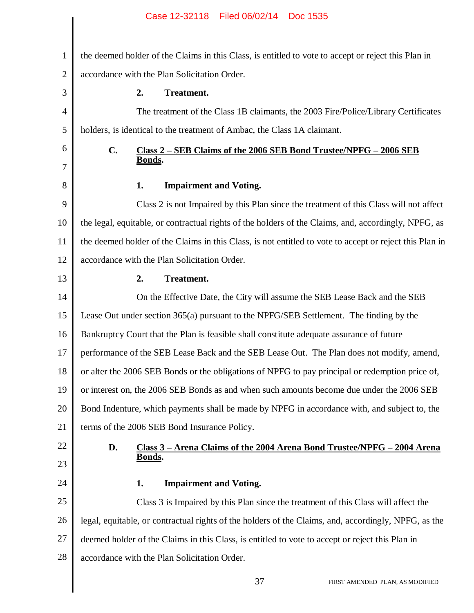# the deemed holder of the Claims in this Class, is entitled to vote to accept or reject this Plan in accordance with the Plan Solicitation Order. **2. Treatment.** The treatment of the Class 1B claimants, the 2003 Fire/Police/Library Certificates holders, is identical to the treatment of Ambac, the Class 1A claimant. **C. Class 2 – SEB Claims of the 2006 SEB Bond Trustee/NPFG – 2006 SEB Bonds. 1. Impairment and Voting.** Class 2 is not Impaired by this Plan since the treatment of this Class will not affect the legal, equitable, or contractual rights of the holders of the Claims, and, accordingly, NPFG, as the deemed holder of the Claims in this Class, is not entitled to vote to accept or reject this Plan in accordance with the Plan Solicitation Order. **2. Treatment.** On the Effective Date, the City will assume the SEB Lease Back and the SEB Lease Out under section 365(a) pursuant to the NPFG/SEB Settlement. The finding by the Bankruptcy Court that the Plan is feasible shall constitute adequate assurance of future performance of the SEB Lease Back and the SEB Lease Out. The Plan does not modify, amend, or alter the 2006 SEB Bonds or the obligations of NPFG to pay principal or redemption price of, or interest on, the 2006 SEB Bonds as and when such amounts become due under the 2006 SEB Bond Indenture, which payments shall be made by NPFG in accordance with, and subject to, the terms of the 2006 SEB Bond Insurance Policy. **D. Class 3 – Arena Claims of the 2004 Arena Bond Trustee/NPFG – 2004 Arena Bonds. 1. Impairment and Voting.** Class 3 is Impaired by this Plan since the treatment of this Class will affect the legal, equitable, or contractual rights of the holders of the Claims, and, accordingly, NPFG, as the Case 12-32118 Filed 06/02/14 Doc 1535

- 27 deemed holder of the Claims in this Class, is entitled to vote to accept or reject this Plan in
- 28 accordance with the Plan Solicitation Order.

1

2

3

4

5

6

7

8

9

10

11

12

13

14

15

16

17

18

19

20

21

22

23

24

25

26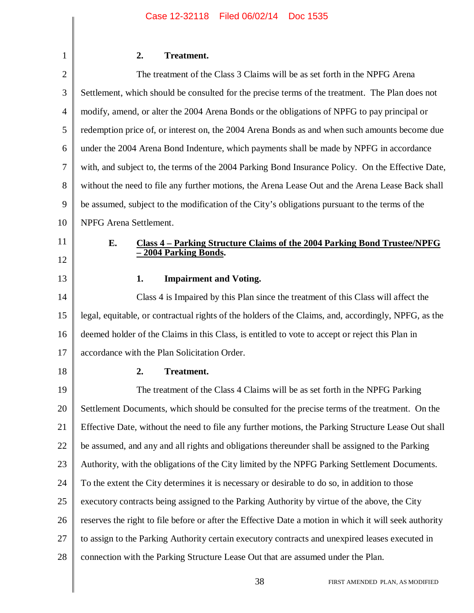# **2. Treatment.**

1

| $\overline{2}$ | The treatment of the Class 3 Claims will be as set forth in the NPFG Arena                                     |
|----------------|----------------------------------------------------------------------------------------------------------------|
| 3              | Settlement, which should be consulted for the precise terms of the treatment. The Plan does not                |
| 4              | modify, amend, or alter the 2004 Arena Bonds or the obligations of NPFG to pay principal or                    |
| 5              | redemption price of, or interest on, the 2004 Arena Bonds as and when such amounts become due                  |
| 6              | under the 2004 Arena Bond Indenture, which payments shall be made by NPFG in accordance                        |
| 7              | with, and subject to, the terms of the 2004 Parking Bond Insurance Policy. On the Effective Date,              |
| 8              | without the need to file any further motions, the Arena Lease Out and the Arena Lease Back shall               |
| 9              | be assumed, subject to the modification of the City's obligations pursuant to the terms of the                 |
| 10             | NPFG Arena Settlement.                                                                                         |
| 11             | <u>Class 4 – Parking Structure Claims of the 2004 Parking Bond Trustee/NPFG</u><br>E.<br>- 2004 Parking Bonds. |
| 12             |                                                                                                                |
| 13             | <b>Impairment and Voting.</b><br>1.                                                                            |
| 14             | Class 4 is Impaired by this Plan since the treatment of this Class will affect the                             |
| 15             | legal, equitable, or contractual rights of the holders of the Claims, and, accordingly, NPFG, as the           |
| 16             | deemed holder of the Claims in this Class, is entitled to vote to accept or reject this Plan in                |
| 17             | accordance with the Plan Solicitation Order.                                                                   |
| 18             | <b>Treatment.</b><br>2.                                                                                        |
| 19             | The treatment of the Class 4 Claims will be as set forth in the NPFG Parking                                   |
| 20             | Settlement Documents, which should be consulted for the precise terms of the treatment. On the                 |
| 21             | Effective Date, without the need to file any further motions, the Parking Structure Lease Out shall            |
| 22             | be assumed, and any and all rights and obligations thereunder shall be assigned to the Parking                 |
| 23             | Authority, with the obligations of the City limited by the NPFG Parking Settlement Documents.                  |
| 24             | To the extent the City determines it is necessary or desirable to do so, in addition to those                  |
| 25             | executory contracts being assigned to the Parking Authority by virtue of the above, the City                   |
| 26             | reserves the right to file before or after the Effective Date a motion in which it will seek authority         |
| 27             | to assign to the Parking Authority certain executory contracts and unexpired leases executed in                |
| 28             | connection with the Parking Structure Lease Out that are assumed under the Plan.                               |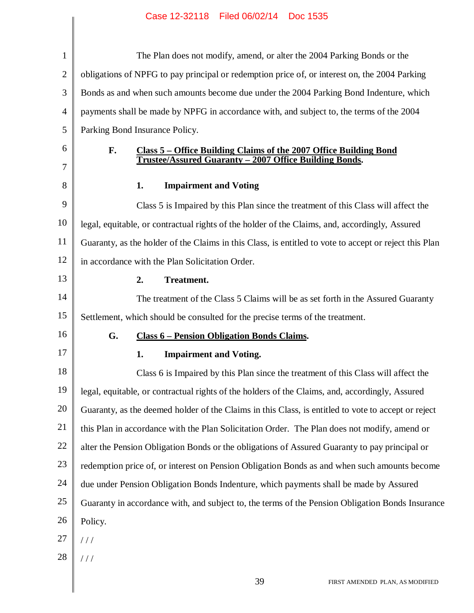║

| $\mathbf{1}$   | The Plan does not modify, amend, or alter the 2004 Parking Bonds or the                                |
|----------------|--------------------------------------------------------------------------------------------------------|
| $\overline{c}$ | obligations of NPFG to pay principal or redemption price of, or interest on, the 2004 Parking          |
| 3              | Bonds as and when such amounts become due under the 2004 Parking Bond Indenture, which                 |
| 4              | payments shall be made by NPFG in accordance with, and subject to, the terms of the 2004               |
| 5              | Parking Bond Insurance Policy.                                                                         |
| 6              | F.<br>Class 5 – Office Building Claims of the 2007 Office Building Bond                                |
| 7              | Trustee/Assured Guaranty - 2007 Office Building Bonds.                                                 |
| 8              | <b>Impairment and Voting</b><br>1.                                                                     |
| 9              | Class 5 is Impaired by this Plan since the treatment of this Class will affect the                     |
| 10             | legal, equitable, or contractual rights of the holder of the Claims, and, accordingly, Assured         |
| 11             | Guaranty, as the holder of the Claims in this Class, is entitled to vote to accept or reject this Plan |
| 12             | in accordance with the Plan Solicitation Order.                                                        |
| 13             | <b>Treatment.</b><br>2.                                                                                |
| 14             | The treatment of the Class 5 Claims will be as set forth in the Assured Guaranty                       |
| 15             | Settlement, which should be consulted for the precise terms of the treatment.                          |
| 16             | G.<br><b>Class 6 – Pension Obligation Bonds Claims.</b>                                                |
| 17             | 1.<br><b>Impairment and Voting.</b>                                                                    |
| 18             | Class 6 is Impaired by this Plan since the treatment of this Class will affect the                     |
| 19             | legal, equitable, or contractual rights of the holders of the Claims, and, accordingly, Assured        |
| 20             | Guaranty, as the deemed holder of the Claims in this Class, is entitled to vote to accept or reject    |
| 21             | this Plan in accordance with the Plan Solicitation Order. The Plan does not modify, amend or           |
| 22             | alter the Pension Obligation Bonds or the obligations of Assured Guaranty to pay principal or          |
| 23             | redemption price of, or interest on Pension Obligation Bonds as and when such amounts become           |
| 24             | due under Pension Obligation Bonds Indenture, which payments shall be made by Assured                  |
| 25             | Guaranty in accordance with, and subject to, the terms of the Pension Obligation Bonds Insurance       |
| 26             | Policy.                                                                                                |
| 27             | 111                                                                                                    |
| 28             | 111                                                                                                    |
|                |                                                                                                        |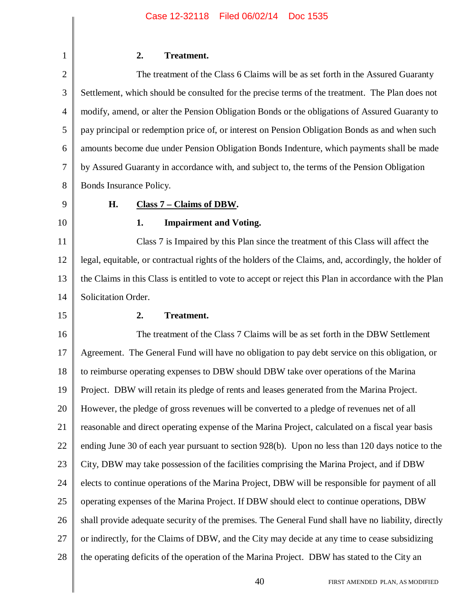#### **2. Treatment.**

2 3 4 5 6 7 8 The treatment of the Class 6 Claims will be as set forth in the Assured Guaranty Settlement, which should be consulted for the precise terms of the treatment. The Plan does not modify, amend, or alter the Pension Obligation Bonds or the obligations of Assured Guaranty to pay principal or redemption price of, or interest on Pension Obligation Bonds as and when such amounts become due under Pension Obligation Bonds Indenture, which payments shall be made by Assured Guaranty in accordance with, and subject to, the terms of the Pension Obligation Bonds Insurance Policy.

9

10

1

#### **H. Class 7 – Claims of DBW.**

#### **1. Impairment and Voting.**

11 12 13 14 Class 7 is Impaired by this Plan since the treatment of this Class will affect the legal, equitable, or contractual rights of the holders of the Claims, and, accordingly, the holder of the Claims in this Class is entitled to vote to accept or reject this Plan in accordance with the Plan Solicitation Order.

15

#### **2. Treatment.**

16 17 18 19 20 21 22 23 24 25 26 27 28 The treatment of the Class 7 Claims will be as set forth in the DBW Settlement Agreement. The General Fund will have no obligation to pay debt service on this obligation, or to reimburse operating expenses to DBW should DBW take over operations of the Marina Project. DBW will retain its pledge of rents and leases generated from the Marina Project. However, the pledge of gross revenues will be converted to a pledge of revenues net of all reasonable and direct operating expense of the Marina Project, calculated on a fiscal year basis ending June 30 of each year pursuant to section 928(b). Upon no less than 120 days notice to the City, DBW may take possession of the facilities comprising the Marina Project, and if DBW elects to continue operations of the Marina Project, DBW will be responsible for payment of all operating expenses of the Marina Project. If DBW should elect to continue operations, DBW shall provide adequate security of the premises. The General Fund shall have no liability, directly or indirectly, for the Claims of DBW, and the City may decide at any time to cease subsidizing the operating deficits of the operation of the Marina Project. DBW has stated to the City an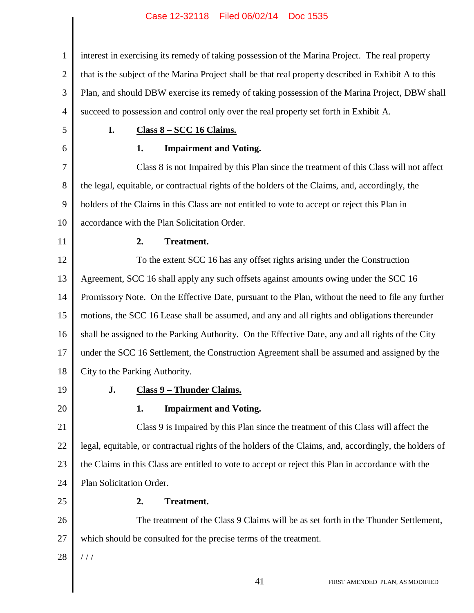| $\mathbf{1}$   | interest in exercising its remedy of taking possession of the Marina Project. The real property        |
|----------------|--------------------------------------------------------------------------------------------------------|
| $\mathbf{2}$   | that is the subject of the Marina Project shall be that real property described in Exhibit A to this   |
| 3              | Plan, and should DBW exercise its remedy of taking possession of the Marina Project, DBW shall         |
| $\overline{4}$ | succeed to possession and control only over the real property set forth in Exhibit A.                  |
| 5              | I.<br>Class 8 - SCC 16 Claims.                                                                         |
| 6              | <b>Impairment and Voting.</b><br>1.                                                                    |
| 7              | Class 8 is not Impaired by this Plan since the treatment of this Class will not affect                 |
| $8\,$          | the legal, equitable, or contractual rights of the holders of the Claims, and, accordingly, the        |
| 9              | holders of the Claims in this Class are not entitled to vote to accept or reject this Plan in          |
| 10             | accordance with the Plan Solicitation Order.                                                           |
| 11             | Treatment.<br>2.                                                                                       |
| 12             | To the extent SCC 16 has any offset rights arising under the Construction                              |
| 13             | Agreement, SCC 16 shall apply any such offsets against amounts owing under the SCC 16                  |
| 14             | Promissory Note. On the Effective Date, pursuant to the Plan, without the need to file any further     |
| 15             | motions, the SCC 16 Lease shall be assumed, and any and all rights and obligations thereunder          |
| 16             | shall be assigned to the Parking Authority. On the Effective Date, any and all rights of the City      |
| 17             | under the SCC 16 Settlement, the Construction Agreement shall be assumed and assigned by the           |
| 18             | City to the Parking Authority.                                                                         |
| 19             | <b>Class 9 - Thunder Claims.</b><br>J.                                                                 |
| 20             | <b>Impairment and Voting.</b><br>1.                                                                    |
| 21             | Class 9 is Impaired by this Plan since the treatment of this Class will affect the                     |
| 22             | legal, equitable, or contractual rights of the holders of the Claims, and, accordingly, the holders of |
| 23             | the Claims in this Class are entitled to vote to accept or reject this Plan in accordance with the     |
| 24             | Plan Solicitation Order.                                                                               |
| 25             | Treatment.<br>2.                                                                                       |
| 26             | The treatment of the Class 9 Claims will be as set forth in the Thunder Settlement,                    |
| 27             | which should be consulted for the precise terms of the treatment.                                      |
| 28             | ///                                                                                                    |
|                |                                                                                                        |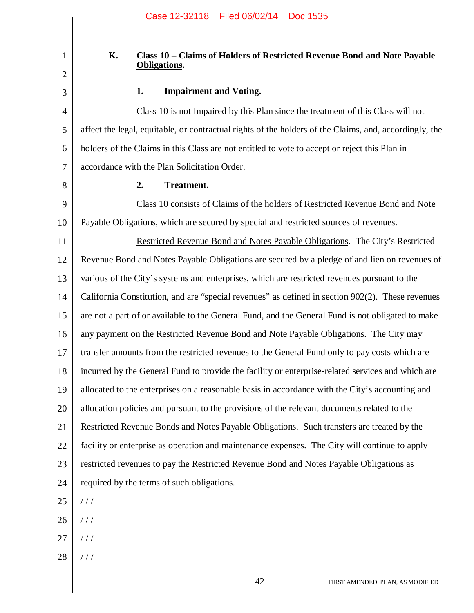#### **K. Class 10 – Claims of Holders of Restricted Revenue Bond and Note Payable Obligations.**

## 3

1

2

#### **1. Impairment and Voting.**

4 5 6 7 Class 10 is not Impaired by this Plan since the treatment of this Class will not affect the legal, equitable, or contractual rights of the holders of the Claims, and, accordingly, the holders of the Claims in this Class are not entitled to vote to accept or reject this Plan in accordance with the Plan Solicitation Order.

8

#### **2. Treatment.**

9 10 Class 10 consists of Claims of the holders of Restricted Revenue Bond and Note Payable Obligations, which are secured by special and restricted sources of revenues.

11 12 13 14 15 16 17 18 19 20 21 22 23 24 Restricted Revenue Bond and Notes Payable Obligations. The City's Restricted Revenue Bond and Notes Payable Obligations are secured by a pledge of and lien on revenues of various of the City's systems and enterprises, which are restricted revenues pursuant to the California Constitution, and are "special revenues" as defined in section 902(2). These revenues are not a part of or available to the General Fund, and the General Fund is not obligated to make any payment on the Restricted Revenue Bond and Note Payable Obligations. The City may transfer amounts from the restricted revenues to the General Fund only to pay costs which are incurred by the General Fund to provide the facility or enterprise-related services and which are allocated to the enterprises on a reasonable basis in accordance with the City's accounting and allocation policies and pursuant to the provisions of the relevant documents related to the Restricted Revenue Bonds and Notes Payable Obligations. Such transfers are treated by the facility or enterprise as operation and maintenance expenses. The City will continue to apply restricted revenues to pay the Restricted Revenue Bond and Notes Payable Obligations as required by the terms of such obligations.

- 25  $//$
- 26 / / /
- 27 / / /
- 28 / / /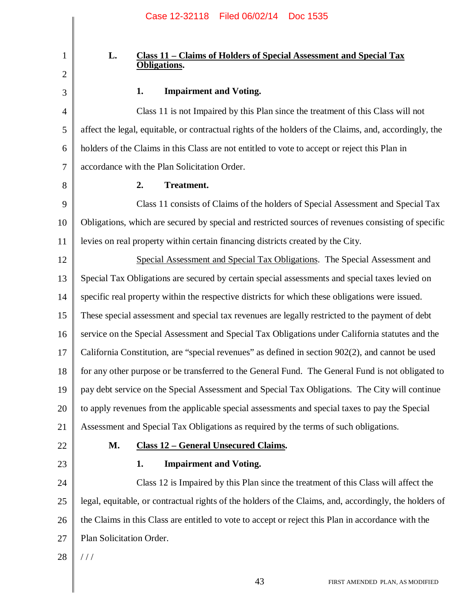#### **L. Class 11 – Claims of Holders of Special Assessment and Special Tax Obligations.**

### 3

1

2

4

5

#### **1. Impairment and Voting.**

6 Class 11 is not Impaired by this Plan since the treatment of this Class will not affect the legal, equitable, or contractual rights of the holders of the Claims, and, accordingly, the holders of the Claims in this Class are not entitled to vote to accept or reject this Plan in accordance with the Plan Solicitation Order.

8

7

#### **2. Treatment.**

9 10 11 Class 11 consists of Claims of the holders of Special Assessment and Special Tax Obligations, which are secured by special and restricted sources of revenues consisting of specific levies on real property within certain financing districts created by the City.

12 13 14 15 16 17 18 19 20 21 Special Assessment and Special Tax Obligations. The Special Assessment and Special Tax Obligations are secured by certain special assessments and special taxes levied on specific real property within the respective districts for which these obligations were issued. These special assessment and special tax revenues are legally restricted to the payment of debt service on the Special Assessment and Special Tax Obligations under California statutes and the California Constitution, are "special revenues" as defined in section 902(2), and cannot be used for any other purpose or be transferred to the General Fund. The General Fund is not obligated to pay debt service on the Special Assessment and Special Tax Obligations. The City will continue to apply revenues from the applicable special assessments and special taxes to pay the Special Assessment and Special Tax Obligations as required by the terms of such obligations.

- 22
- 23

#### **M. Class 12 – General Unsecured Claims.**

#### **1. Impairment and Voting.**

24 25 26 27 Class 12 is Impaired by this Plan since the treatment of this Class will affect the legal, equitable, or contractual rights of the holders of the Claims, and, accordingly, the holders of the Claims in this Class are entitled to vote to accept or reject this Plan in accordance with the Plan Solicitation Order.

28 / / /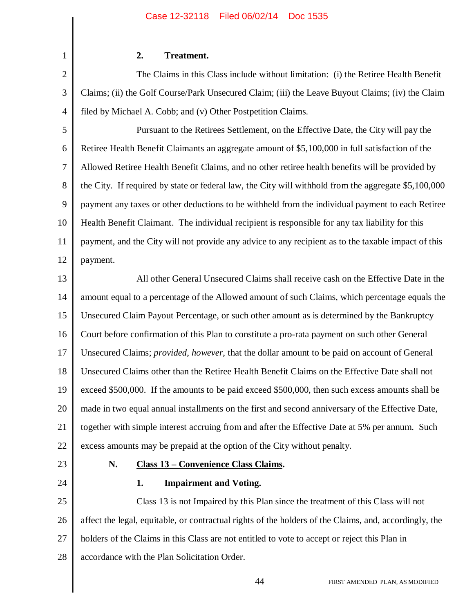**2. Treatment.**

2 3 4 The Claims in this Class include without limitation: (i) the Retiree Health Benefit Claims; (ii) the Golf Course/Park Unsecured Claim; (iii) the Leave Buyout Claims; (iv) the Claim filed by Michael A. Cobb; and (v) Other Postpetition Claims.

5 6 7 8 9 10 11 12 Pursuant to the Retirees Settlement, on the Effective Date, the City will pay the Retiree Health Benefit Claimants an aggregate amount of \$5,100,000 in full satisfaction of the Allowed Retiree Health Benefit Claims, and no other retiree health benefits will be provided by the City. If required by state or federal law, the City will withhold from the aggregate \$5,100,000 payment any taxes or other deductions to be withheld from the individual payment to each Retiree Health Benefit Claimant. The individual recipient is responsible for any tax liability for this payment, and the City will not provide any advice to any recipient as to the taxable impact of this payment.

13 14 15 16 17 18 19 20 21 22 All other General Unsecured Claims shall receive cash on the Effective Date in the amount equal to a percentage of the Allowed amount of such Claims, which percentage equals the Unsecured Claim Payout Percentage, or such other amount as is determined by the Bankruptcy Court before confirmation of this Plan to constitute a pro-rata payment on such other General Unsecured Claims; *provided*, *however*, that the dollar amount to be paid on account of General Unsecured Claims other than the Retiree Health Benefit Claims on the Effective Date shall not exceed \$500,000. If the amounts to be paid exceed \$500,000, then such excess amounts shall be made in two equal annual installments on the first and second anniversary of the Effective Date, together with simple interest accruing from and after the Effective Date at 5% per annum. Such excess amounts may be prepaid at the option of the City without penalty.

23

24

1

### **N. Class 13 – Convenience Class Claims.**

#### **1. Impairment and Voting.**

25 26 27 28 Class 13 is not Impaired by this Plan since the treatment of this Class will not affect the legal, equitable, or contractual rights of the holders of the Claims, and, accordingly, the holders of the Claims in this Class are not entitled to vote to accept or reject this Plan in accordance with the Plan Solicitation Order.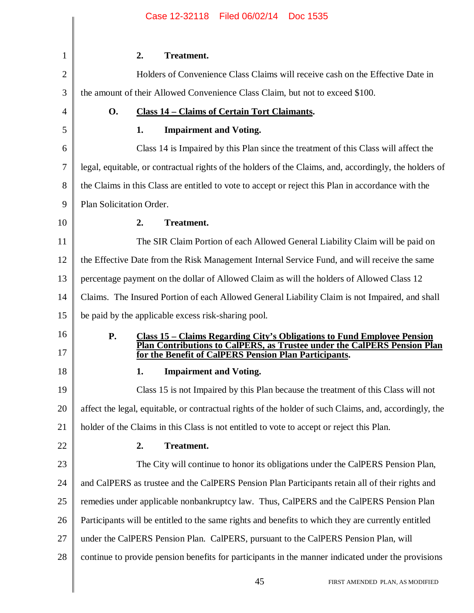| $\mathbf{1}$ | 2.<br>Treatment.                                                                                                                                                               |
|--------------|--------------------------------------------------------------------------------------------------------------------------------------------------------------------------------|
| 2            | Holders of Convenience Class Claims will receive cash on the Effective Date in                                                                                                 |
| 3            | the amount of their Allowed Convenience Class Claim, but not to exceed \$100.                                                                                                  |
| 4            | <b>O.</b><br><b>Class 14 - Claims of Certain Tort Claimants.</b>                                                                                                               |
| 5            | <b>Impairment and Voting.</b><br>1.                                                                                                                                            |
| 6            | Class 14 is Impaired by this Plan since the treatment of this Class will affect the                                                                                            |
| 7            | legal, equitable, or contractual rights of the holders of the Claims, and, accordingly, the holders of                                                                         |
| 8            | the Claims in this Class are entitled to vote to accept or reject this Plan in accordance with the                                                                             |
| 9            | Plan Solicitation Order.                                                                                                                                                       |
| 10           | <b>Treatment.</b><br>2.                                                                                                                                                        |
| 11           | The SIR Claim Portion of each Allowed General Liability Claim will be paid on                                                                                                  |
| 12           | the Effective Date from the Risk Management Internal Service Fund, and will receive the same                                                                                   |
| 13           | percentage payment on the dollar of Allowed Claim as will the holders of Allowed Class 12                                                                                      |
| 14           | Claims. The Insured Portion of each Allowed General Liability Claim is not Impaired, and shall                                                                                 |
| 15           | be paid by the applicable excess risk-sharing pool.                                                                                                                            |
| 16           | <b>P.</b><br><b>Class 15 – Claims Regarding City's Obligations to Fund Employee Pension</b><br><b>Plan Contributions to CalPERS, as Trustee under the CalPERS Pension Plan</b> |
| 17           | for the Benefit of CalPERS Pension Plan Participants.                                                                                                                          |
| 18           | <b>Impairment and Voting.</b><br>1.                                                                                                                                            |
| 19           | Class 15 is not Impaired by this Plan because the treatment of this Class will not                                                                                             |
| 20           | affect the legal, equitable, or contractual rights of the holder of such Claims, and, accordingly, the                                                                         |
| 21           | holder of the Claims in this Class is not entitled to vote to accept or reject this Plan.                                                                                      |
| 22           | Treatment.<br>2.                                                                                                                                                               |
| 23           | The City will continue to honor its obligations under the CalPERS Pension Plan,                                                                                                |
| 24           | and CalPERS as trustee and the CalPERS Pension Plan Participants retain all of their rights and                                                                                |
| 25           | remedies under applicable nonbankruptcy law. Thus, CalPERS and the CalPERS Pension Plan                                                                                        |
| 26           | Participants will be entitled to the same rights and benefits to which they are currently entitled                                                                             |
| 27           | under the CalPERS Pension Plan. CalPERS, pursuant to the CalPERS Pension Plan, will                                                                                            |
| 28           | continue to provide pension benefits for participants in the manner indicated under the provisions                                                                             |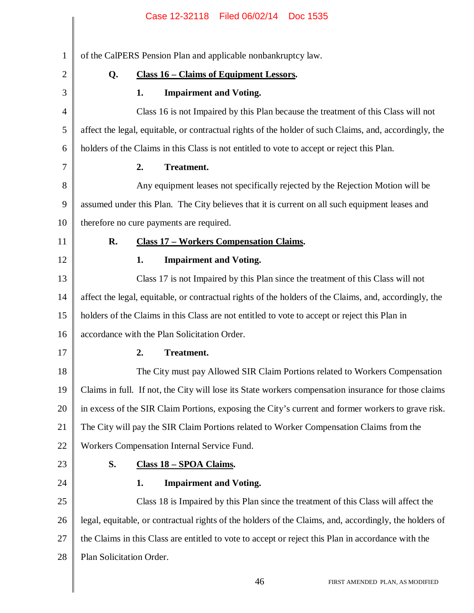|                | Case 12-32118   Filed 06/02/14   Doc 1535                                                              |
|----------------|--------------------------------------------------------------------------------------------------------|
|                |                                                                                                        |
| $\mathbf{1}$   | of the CalPERS Pension Plan and applicable nonbankruptcy law.                                          |
| $\overline{2}$ | <b>Class 16 - Claims of Equipment Lessors.</b><br>Q.                                                   |
| 3              | <b>Impairment and Voting.</b><br>1.                                                                    |
| $\overline{4}$ | Class 16 is not Impaired by this Plan because the treatment of this Class will not                     |
| 5              | affect the legal, equitable, or contractual rights of the holder of such Claims, and, accordingly, the |
| 6              | holders of the Claims in this Class is not entitled to vote to accept or reject this Plan.             |
| 7              | 2.<br><b>Treatment.</b>                                                                                |
| 8              | Any equipment leases not specifically rejected by the Rejection Motion will be                         |
| 9              | assumed under this Plan. The City believes that it is current on all such equipment leases and         |
| 10             | therefore no cure payments are required.                                                               |
| 11             | R.<br><b>Class 17 - Workers Compensation Claims.</b>                                                   |
| 12             | <b>Impairment and Voting.</b><br>1.                                                                    |
| 13             | Class 17 is not Impaired by this Plan since the treatment of this Class will not                       |
| 14             | affect the legal, equitable, or contractual rights of the holders of the Claims, and, accordingly, the |
| 15             | holders of the Claims in this Class are not entitled to vote to accept or reject this Plan in          |
| 16             | accordance with the Plan Solicitation Order.                                                           |
| 17             | 2.<br>Treatment.                                                                                       |
| 18             | The City must pay Allowed SIR Claim Portions related to Workers Compensation                           |
| 19             | Claims in full. If not, the City will lose its State workers compensation insurance for those claims   |
| 20             | in excess of the SIR Claim Portions, exposing the City's current and former workers to grave risk.     |
| 21             | The City will pay the SIR Claim Portions related to Worker Compensation Claims from the                |
| 22             | Workers Compensation Internal Service Fund.                                                            |
| 23             | S.<br>Class 18 - SPOA Claims.                                                                          |
| 24             | 1.<br><b>Impairment and Voting.</b>                                                                    |
| 25             | Class 18 is Impaired by this Plan since the treatment of this Class will affect the                    |
| 26             | legal, equitable, or contractual rights of the holders of the Claims, and, accordingly, the holders of |
| 27             | the Claims in this Class are entitled to vote to accept or reject this Plan in accordance with the     |
| 28             | Plan Solicitation Order.                                                                               |
|                | 46<br>FIRST AMENDED PLAN, AS MODIFIED                                                                  |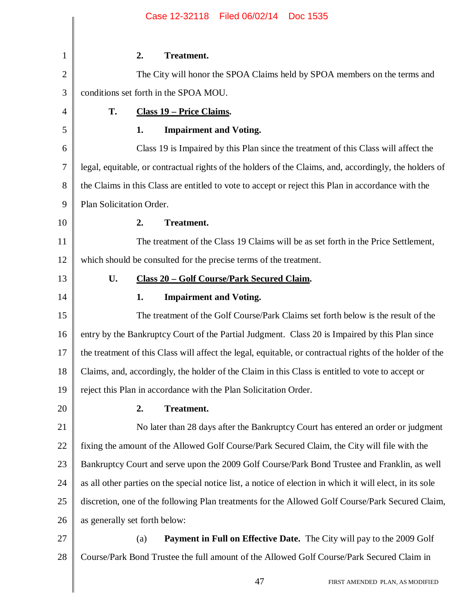|                | Case 12-32118    Filed 06/02/14    Doc 1535                                                               |
|----------------|-----------------------------------------------------------------------------------------------------------|
| 1              | 2.<br><b>Treatment.</b>                                                                                   |
| $\overline{2}$ | The City will honor the SPOA Claims held by SPOA members on the terms and                                 |
| 3              | conditions set forth in the SPOA MOU.                                                                     |
| 4              | T.<br><b>Class 19 – Price Claims.</b>                                                                     |
| 5              | <b>Impairment and Voting.</b><br>1.                                                                       |
| 6              | Class 19 is Impaired by this Plan since the treatment of this Class will affect the                       |
| 7              | legal, equitable, or contractual rights of the holders of the Claims, and, accordingly, the holders of    |
| 8              | the Claims in this Class are entitled to vote to accept or reject this Plan in accordance with the        |
| 9              | Plan Solicitation Order.                                                                                  |
| 10             | Treatment.<br>2.                                                                                          |
| 11             | The treatment of the Class 19 Claims will be as set forth in the Price Settlement,                        |
| 12             | which should be consulted for the precise terms of the treatment.                                         |
| 13             | U.<br><b>Class 20 - Golf Course/Park Secured Claim.</b>                                                   |
| 14             | <b>Impairment and Voting.</b><br>1.                                                                       |
| 15             | The treatment of the Golf Course/Park Claims set forth below is the result of the                         |
| 16             | entry by the Bankruptcy Court of the Partial Judgment. Class 20 is Impaired by this Plan since            |
| 17             | the treatment of this Class will affect the legal, equitable, or contractual rights of the holder of the  |
| 18             | Claims, and, accordingly, the holder of the Claim in this Class is entitled to vote to accept or          |
| 19             | reject this Plan in accordance with the Plan Solicitation Order.                                          |
| 20             | 2.<br>Treatment.                                                                                          |
| 21             | No later than 28 days after the Bankruptcy Court has entered an order or judgment                         |
| 22             | fixing the amount of the Allowed Golf Course/Park Secured Claim, the City will file with the              |
| 23             | Bankruptcy Court and serve upon the 2009 Golf Course/Park Bond Trustee and Franklin, as well              |
| 24             | as all other parties on the special notice list, a notice of election in which it will elect, in its sole |
| 25             | discretion, one of the following Plan treatments for the Allowed Golf Course/Park Secured Claim,          |
| 26             | as generally set forth below:                                                                             |
| 27             | <b>Payment in Full on Effective Date.</b> The City will pay to the 2009 Golf<br>(a)                       |
| 28             | Course/Park Bond Trustee the full amount of the Allowed Golf Course/Park Secured Claim in                 |
|                |                                                                                                           |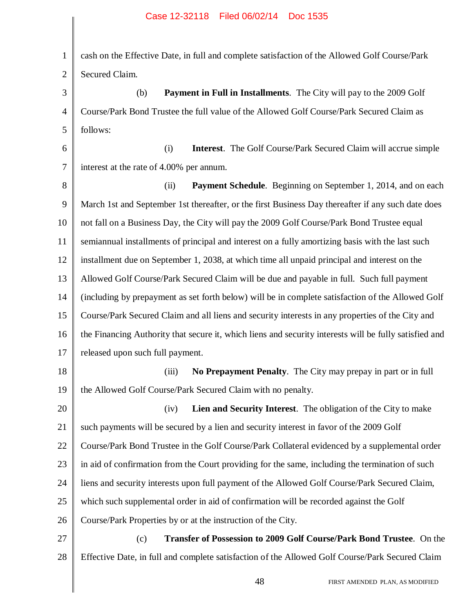1 2 3 4 5 6 7 8 9 10 11 12 13 14 15 16 17 18 19 20 21 22 23 24 25 26 27 28 cash on the Effective Date, in full and complete satisfaction of the Allowed Golf Course/Park Secured Claim. (b) **Payment in Full in Installments**. The City will pay to the 2009 Golf Course/Park Bond Trustee the full value of the Allowed Golf Course/Park Secured Claim as follows: (i) **Interest**. The Golf Course/Park Secured Claim will accrue simple interest at the rate of 4.00% per annum. (ii) **Payment Schedule**. Beginning on September 1, 2014, and on each March 1st and September 1st thereafter, or the first Business Day thereafter if any such date does not fall on a Business Day, the City will pay the 2009 Golf Course/Park Bond Trustee equal semiannual installments of principal and interest on a fully amortizing basis with the last such installment due on September 1, 2038, at which time all unpaid principal and interest on the Allowed Golf Course/Park Secured Claim will be due and payable in full. Such full payment (including by prepayment as set forth below) will be in complete satisfaction of the Allowed Golf Course/Park Secured Claim and all liens and security interests in any properties of the City and the Financing Authority that secure it, which liens and security interests will be fully satisfied and released upon such full payment. (iii) **No Prepayment Penalty**. The City may prepay in part or in full the Allowed Golf Course/Park Secured Claim with no penalty. (iv) **Lien and Security Interest**. The obligation of the City to make such payments will be secured by a lien and security interest in favor of the 2009 Golf Course/Park Bond Trustee in the Golf Course/Park Collateral evidenced by a supplemental order in aid of confirmation from the Court providing for the same, including the termination of such liens and security interests upon full payment of the Allowed Golf Course/Park Secured Claim, which such supplemental order in aid of confirmation will be recorded against the Golf Course/Park Properties by or at the instruction of the City. (c) **Transfer of Possession to 2009 Golf Course/Park Bond Trustee**. On the Effective Date, in full and complete satisfaction of the Allowed Golf Course/Park Secured Claim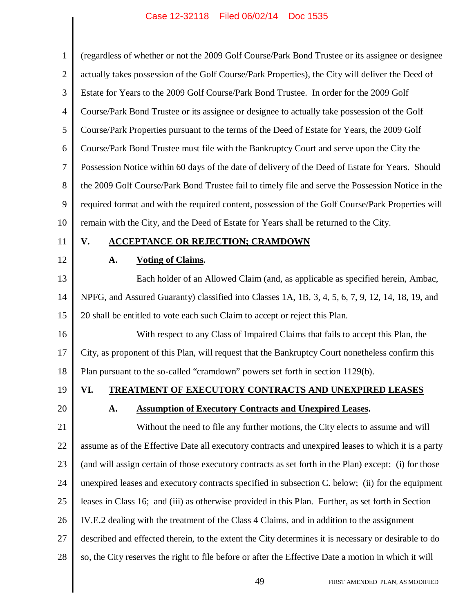| $\mathbf{1}$   | (regardless of whether or not the 2009 Golf Course/Park Bond Trustee or its assignee or designee      |
|----------------|-------------------------------------------------------------------------------------------------------|
| $\overline{2}$ | actually takes possession of the Golf Course/Park Properties), the City will deliver the Deed of      |
| 3              | Estate for Years to the 2009 Golf Course/Park Bond Trustee. In order for the 2009 Golf                |
| 4              | Course/Park Bond Trustee or its assignee or designee to actually take possession of the Golf          |
| 5              | Course/Park Properties pursuant to the terms of the Deed of Estate for Years, the 2009 Golf           |
| 6              | Course/Park Bond Trustee must file with the Bankruptcy Court and serve upon the City the              |
| $\tau$         | Possession Notice within 60 days of the date of delivery of the Deed of Estate for Years. Should      |
| $8\,$          | the 2009 Golf Course/Park Bond Trustee fail to timely file and serve the Possession Notice in the     |
| 9              | required format and with the required content, possession of the Golf Course/Park Properties will     |
| 10             | remain with the City, and the Deed of Estate for Years shall be returned to the City.                 |
| 11             | V.<br><b>ACCEPTANCE OR REJECTION; CRAMDOWN</b>                                                        |
| 12             | <b>Voting of Claims.</b><br>A.                                                                        |
| 13             | Each holder of an Allowed Claim (and, as applicable as specified herein, Ambac,                       |
| 14             | NPFG, and Assured Guaranty) classified into Classes 1A, 1B, 3, 4, 5, 6, 7, 9, 12, 14, 18, 19, and     |
| 15             | 20 shall be entitled to vote each such Claim to accept or reject this Plan.                           |
| 16             | With respect to any Class of Impaired Claims that fails to accept this Plan, the                      |
| 17             | City, as proponent of this Plan, will request that the Bankruptcy Court nonetheless confirm this      |
| 18             | Plan pursuant to the so-called "cramdown" powers set forth in section 1129(b).                        |
| 19             | VI.<br><b>TREATMENT OF EXECUTORY CONTRACTS AND UNEXPIRED LEASES</b>                                   |
| 20             | <b>Assumption of Executory Contracts and Unexpired Leases.</b><br>A.                                  |
| 21             | Without the need to file any further motions, the City elects to assume and will                      |
| 22             | assume as of the Effective Date all executory contracts and unexpired leases to which it is a party   |
| 23             | (and will assign certain of those executory contracts as set forth in the Plan) except: (i) for those |
| 24             | unexpired leases and executory contracts specified in subsection C. below; (ii) for the equipment     |
| 25             | leases in Class 16; and (iii) as otherwise provided in this Plan. Further, as set forth in Section    |
| 26             | IV.E.2 dealing with the treatment of the Class 4 Claims, and in addition to the assignment            |
| 27             | described and effected therein, to the extent the City determines it is necessary or desirable to do  |
| 28             | so, the City reserves the right to file before or after the Effective Date a motion in which it will  |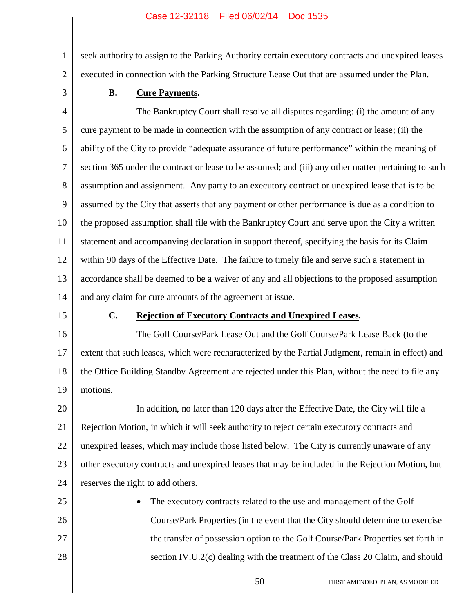seek authority to assign to the Parking Authority certain executory contracts and unexpired leases executed in connection with the Parking Structure Lease Out that are assumed under the Plan.

3

1

2

#### **B. Cure Payments.**

4 5 6 7 8 9 10 11 12 13 14 The Bankruptcy Court shall resolve all disputes regarding: (i) the amount of any cure payment to be made in connection with the assumption of any contract or lease; (ii) the ability of the City to provide "adequate assurance of future performance" within the meaning of section 365 under the contract or lease to be assumed; and (iii) any other matter pertaining to such assumption and assignment. Any party to an executory contract or unexpired lease that is to be assumed by the City that asserts that any payment or other performance is due as a condition to the proposed assumption shall file with the Bankruptcy Court and serve upon the City a written statement and accompanying declaration in support thereof, specifying the basis for its Claim within 90 days of the Effective Date. The failure to timely file and serve such a statement in accordance shall be deemed to be a waiver of any and all objections to the proposed assumption and any claim for cure amounts of the agreement at issue.

15

#### **C. Rejection of Executory Contracts and Unexpired Leases.**

16 17 18 19 The Golf Course/Park Lease Out and the Golf Course/Park Lease Back (to the extent that such leases, which were recharacterized by the Partial Judgment, remain in effect) and the Office Building Standby Agreement are rejected under this Plan, without the need to file any motions.

20 21 22 23 24 In addition, no later than 120 days after the Effective Date, the City will file a Rejection Motion, in which it will seek authority to reject certain executory contracts and unexpired leases, which may include those listed below. The City is currently unaware of any other executory contracts and unexpired leases that may be included in the Rejection Motion, but reserves the right to add others.

25 26 27 28 The executory contracts related to the use and management of the Golf Course/Park Properties (in the event that the City should determine to exercise the transfer of possession option to the Golf Course/Park Properties set forth in section IV.U.2(c) dealing with the treatment of the Class 20 Claim, and should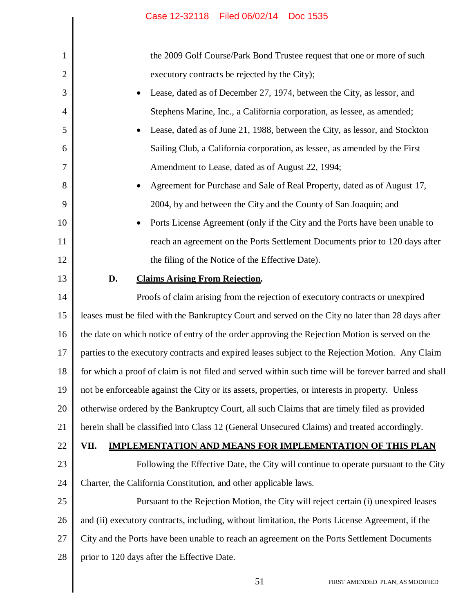|    | Case 12-32118 Filed 06/02/14<br>Doc 1535                                                             |
|----|------------------------------------------------------------------------------------------------------|
|    |                                                                                                      |
| 1  | the 2009 Golf Course/Park Bond Trustee request that one or more of such                              |
| 2  | executory contracts be rejected by the City);                                                        |
| 3  | Lease, dated as of December 27, 1974, between the City, as lessor, and<br>٠                          |
| 4  | Stephens Marine, Inc., a California corporation, as lessee, as amended;                              |
| 5  | Lease, dated as of June 21, 1988, between the City, as lessor, and Stockton<br>٠                     |
| 6  | Sailing Club, a California corporation, as lessee, as amended by the First                           |
| 7  | Amendment to Lease, dated as of August 22, 1994;                                                     |
| 8  | Agreement for Purchase and Sale of Real Property, dated as of August 17,                             |
| 9  | 2004, by and between the City and the County of San Joaquin; and                                     |
| 10 | Ports License Agreement (only if the City and the Ports have been unable to<br>$\bullet$             |
| 11 | reach an agreement on the Ports Settlement Documents prior to 120 days after                         |
| 12 | the filing of the Notice of the Effective Date).                                                     |
| 13 | <b>Claims Arising From Rejection.</b><br>D.                                                          |
| 14 | Proofs of claim arising from the rejection of executory contracts or unexpired                       |
| 15 | leases must be filed with the Bankruptcy Court and served on the City no later than 28 days after    |
| 16 | the date on which notice of entry of the order approving the Rejection Motion is served on the       |
| 17 | parties to the executory contracts and expired leases subject to the Rejection Motion. Any Claim     |
| 18 | for which a proof of claim is not filed and served within such time will be forever barred and shall |
| 19 | not be enforceable against the City or its assets, properties, or interests in property. Unless      |
| 20 | otherwise ordered by the Bankruptcy Court, all such Claims that are timely filed as provided         |
| 21 | herein shall be classified into Class 12 (General Unsecured Claims) and treated accordingly.         |
| 22 | <b>IMPLEMENTATION AND MEANS FOR IMPLEMENTATION OF THIS PLAN</b><br>VII.                              |
| 23 | Following the Effective Date, the City will continue to operate pursuant to the City                 |
| 24 | Charter, the California Constitution, and other applicable laws.                                     |
| 25 | Pursuant to the Rejection Motion, the City will reject certain (i) unexpired leases                  |
| 26 | and (ii) executory contracts, including, without limitation, the Ports License Agreement, if the     |
| 27 | City and the Ports have been unable to reach an agreement on the Ports Settlement Documents          |
| 28 | prior to 120 days after the Effective Date.                                                          |
|    | 51<br>FIRST AMENDED PLAN, AS MODIFIED                                                                |
|    |                                                                                                      |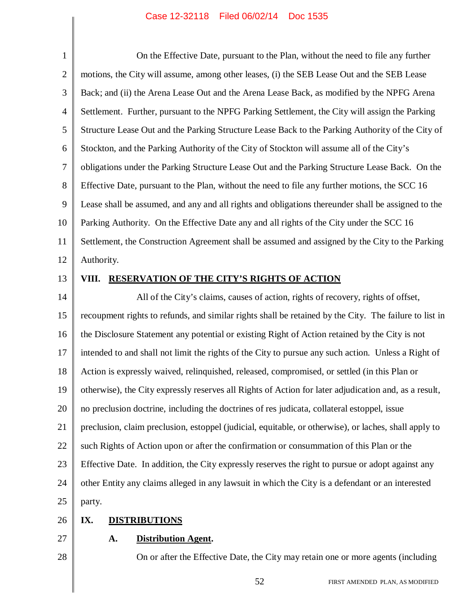1 2 3 4 5 6 7 8 9 10 11 12 13 14 15 On the Effective Date, pursuant to the Plan, without the need to file any further motions, the City will assume, among other leases, (i) the SEB Lease Out and the SEB Lease Back; and (ii) the Arena Lease Out and the Arena Lease Back, as modified by the NPFG Arena Settlement. Further, pursuant to the NPFG Parking Settlement, the City will assign the Parking Structure Lease Out and the Parking Structure Lease Back to the Parking Authority of the City of Stockton, and the Parking Authority of the City of Stockton will assume all of the City's obligations under the Parking Structure Lease Out and the Parking Structure Lease Back. On the Effective Date, pursuant to the Plan, without the need to file any further motions, the SCC 16 Lease shall be assumed, and any and all rights and obligations thereunder shall be assigned to the Parking Authority. On the Effective Date any and all rights of the City under the SCC 16 Settlement, the Construction Agreement shall be assumed and assigned by the City to the Parking Authority. **VIII. RESERVATION OF THE CITY'S RIGHTS OF ACTION** All of the City's claims, causes of action, rights of recovery, rights of offset, recoupment rights to refunds, and similar rights shall be retained by the City. The failure to list in

16 17 18 19 20 21 22 23 the Disclosure Statement any potential or existing Right of Action retained by the City is not intended to and shall not limit the rights of the City to pursue any such action. Unless a Right of Action is expressly waived, relinquished, released, compromised, or settled (in this Plan or otherwise), the City expressly reserves all Rights of Action for later adjudication and, as a result, no preclusion doctrine, including the doctrines of res judicata, collateral estoppel, issue preclusion, claim preclusion, estoppel (judicial, equitable, or otherwise), or laches, shall apply to such Rights of Action upon or after the confirmation or consummation of this Plan or the Effective Date. In addition, the City expressly reserves the right to pursue or adopt against any

other Entity any claims alleged in any lawsuit in which the City is a defendant or an interested

25 party.

#### 26 **IX. DISTRIBUTIONS**

27

28

24

**A. Distribution Agent.**

On or after the Effective Date, the City may retain one or more agents (including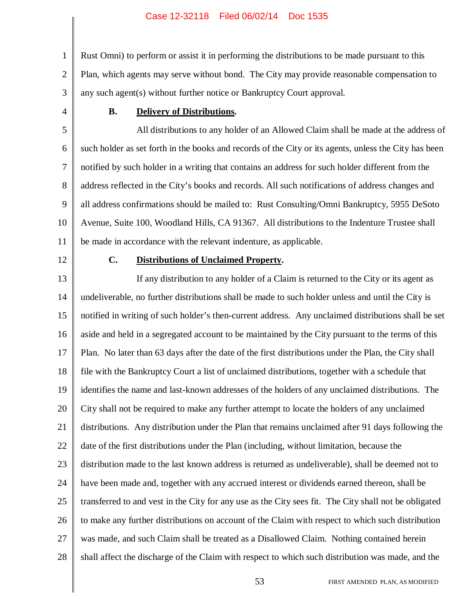1 2 3 Rust Omni) to perform or assist it in performing the distributions to be made pursuant to this Plan, which agents may serve without bond. The City may provide reasonable compensation to any such agent(s) without further notice or Bankruptcy Court approval.

4

#### **B. Delivery of Distributions.**

5 6 7 8 9 10 11 All distributions to any holder of an Allowed Claim shall be made at the address of such holder as set forth in the books and records of the City or its agents, unless the City has been notified by such holder in a writing that contains an address for such holder different from the address reflected in the City's books and records. All such notifications of address changes and all address confirmations should be mailed to: Rust Consulting/Omni Bankruptcy, 5955 DeSoto Avenue, Suite 100, Woodland Hills, CA 91367. All distributions to the Indenture Trustee shall be made in accordance with the relevant indenture, as applicable.

12

#### **C. Distributions of Unclaimed Property.**

13 14 15 16 17 18 19 20 21 22 23 24 25 26 27 28 If any distribution to any holder of a Claim is returned to the City or its agent as undeliverable, no further distributions shall be made to such holder unless and until the City is notified in writing of such holder's then-current address. Any unclaimed distributions shall be set aside and held in a segregated account to be maintained by the City pursuant to the terms of this Plan. No later than 63 days after the date of the first distributions under the Plan, the City shall file with the Bankruptcy Court a list of unclaimed distributions, together with a schedule that identifies the name and last-known addresses of the holders of any unclaimed distributions. The City shall not be required to make any further attempt to locate the holders of any unclaimed distributions. Any distribution under the Plan that remains unclaimed after 91 days following the date of the first distributions under the Plan (including, without limitation, because the distribution made to the last known address is returned as undeliverable), shall be deemed not to have been made and, together with any accrued interest or dividends earned thereon, shall be transferred to and vest in the City for any use as the City sees fit. The City shall not be obligated to make any further distributions on account of the Claim with respect to which such distribution was made, and such Claim shall be treated as a Disallowed Claim. Nothing contained herein shall affect the discharge of the Claim with respect to which such distribution was made, and the

53 FIRST AMENDED PLAN, AS MODIFIED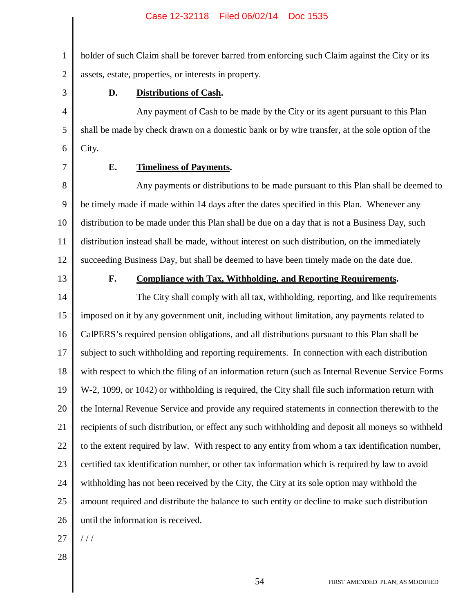1 2 holder of such Claim shall be forever barred from enforcing such Claim against the City or its assets, estate, properties, or interests in property.

3

4

5

6

#### **D. Distributions of Cash.**

Any payment of Cash to be made by the City or its agent pursuant to this Plan shall be made by check drawn on a domestic bank or by wire transfer, at the sole option of the City.

7

#### **E. Timeliness of Payments.**

8 9 10 11 12 Any payments or distributions to be made pursuant to this Plan shall be deemed to be timely made if made within 14 days after the dates specified in this Plan. Whenever any distribution to be made under this Plan shall be due on a day that is not a Business Day, such distribution instead shall be made, without interest on such distribution, on the immediately succeeding Business Day, but shall be deemed to have been timely made on the date due.

13

#### **F. Compliance with Tax, Withholding, and Reporting Requirements.**

14 15 16 17 18 19 20 21 22 23 24 25 26 The City shall comply with all tax, withholding, reporting, and like requirements imposed on it by any government unit, including without limitation, any payments related to CalPERS's required pension obligations, and all distributions pursuant to this Plan shall be subject to such withholding and reporting requirements. In connection with each distribution with respect to which the filing of an information return (such as Internal Revenue Service Forms W-2, 1099, or 1042) or withholding is required, the City shall file such information return with the Internal Revenue Service and provide any required statements in connection therewith to the recipients of such distribution, or effect any such withholding and deposit all moneys so withheld to the extent required by law. With respect to any entity from whom a tax identification number, certified tax identification number, or other tax information which is required by law to avoid withholding has not been received by the City, the City at its sole option may withhold the amount required and distribute the balance to such entity or decline to make such distribution until the information is received.

- 27 / / /
- 28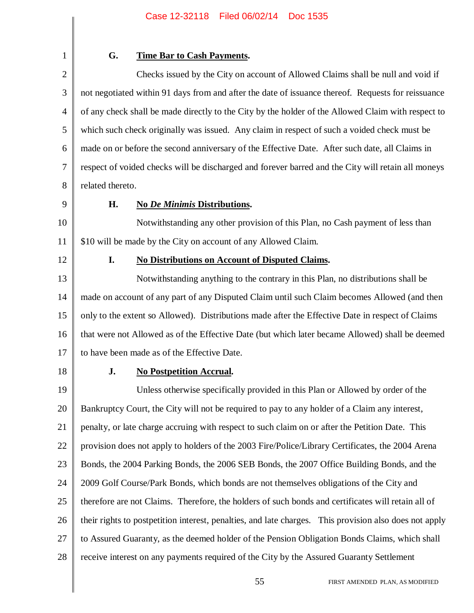1 2

#### **G. Time Bar to Cash Payments.**

3 4 5 6 7 8 Checks issued by the City on account of Allowed Claims shall be null and void if not negotiated within 91 days from and after the date of issuance thereof. Requests for reissuance of any check shall be made directly to the City by the holder of the Allowed Claim with respect to which such check originally was issued. Any claim in respect of such a voided check must be made on or before the second anniversary of the Effective Date. After such date, all Claims in respect of voided checks will be discharged and forever barred and the City will retain all moneys related thereto.

9

#### **H. No** *De Minimis* **Distributions.**

10 11 Notwithstanding any other provision of this Plan, no Cash payment of less than \$10 will be made by the City on account of any Allowed Claim.

12

#### **I. No Distributions on Account of Disputed Claims.**

13 14 15 16 17 Notwithstanding anything to the contrary in this Plan, no distributions shall be made on account of any part of any Disputed Claim until such Claim becomes Allowed (and then only to the extent so Allowed). Distributions made after the Effective Date in respect of Claims that were not Allowed as of the Effective Date (but which later became Allowed) shall be deemed to have been made as of the Effective Date.

18

#### **J. No Postpetition Accrual.**

19 20 21 22 23 24 25 26 27 28 Unless otherwise specifically provided in this Plan or Allowed by order of the Bankruptcy Court, the City will not be required to pay to any holder of a Claim any interest, penalty, or late charge accruing with respect to such claim on or after the Petition Date. This provision does not apply to holders of the 2003 Fire/Police/Library Certificates, the 2004 Arena Bonds, the 2004 Parking Bonds, the 2006 SEB Bonds, the 2007 Office Building Bonds, and the 2009 Golf Course/Park Bonds, which bonds are not themselves obligations of the City and therefore are not Claims. Therefore, the holders of such bonds and certificates will retain all of their rights to postpetition interest, penalties, and late charges. This provision also does not apply to Assured Guaranty, as the deemed holder of the Pension Obligation Bonds Claims, which shall receive interest on any payments required of the City by the Assured Guaranty Settlement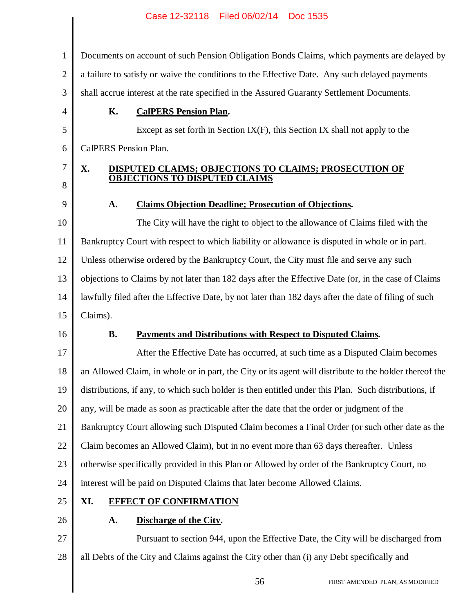1 2 3 Documents on account of such Pension Obligation Bonds Claims, which payments are delayed by a failure to satisfy or waive the conditions to the Effective Date. Any such delayed payments shall accrue interest at the rate specified in the Assured Guaranty Settlement Documents.

#### **K. CalPERS Pension Plan.**

Except as set forth in Section IX(F), this Section IX shall not apply to the CalPERS Pension Plan.

#### **X. DISPUTED CLAIMS; OBJECTIONS TO CLAIMS; PROSECUTION OF OBJECTIONS TO DISPUTED CLAIMS**

#### **A. Claims Objection Deadline; Prosecution of Objections.**

10 11 12 13 14 15 The City will have the right to object to the allowance of Claims filed with the Bankruptcy Court with respect to which liability or allowance is disputed in whole or in part. Unless otherwise ordered by the Bankruptcy Court, the City must file and serve any such objections to Claims by not later than 182 days after the Effective Date (or, in the case of Claims lawfully filed after the Effective Date, by not later than 182 days after the date of filing of such Claims).

16

4

5

6

7

8

9

#### **B. Payments and Distributions with Respect to Disputed Claims.**

17 18 19 20 21 22 23 24 After the Effective Date has occurred, at such time as a Disputed Claim becomes an Allowed Claim, in whole or in part, the City or its agent will distribute to the holder thereof the distributions, if any, to which such holder is then entitled under this Plan. Such distributions, if any, will be made as soon as practicable after the date that the order or judgment of the Bankruptcy Court allowing such Disputed Claim becomes a Final Order (or such other date as the Claim becomes an Allowed Claim), but in no event more than 63 days thereafter. Unless otherwise specifically provided in this Plan or Allowed by order of the Bankruptcy Court, no interest will be paid on Disputed Claims that later become Allowed Claims.

25

#### **XI. EFFECT OF CONFIRMATION**

26

#### **A. Discharge of the City.**

27 28 Pursuant to section 944, upon the Effective Date, the City will be discharged from all Debts of the City and Claims against the City other than (i) any Debt specifically and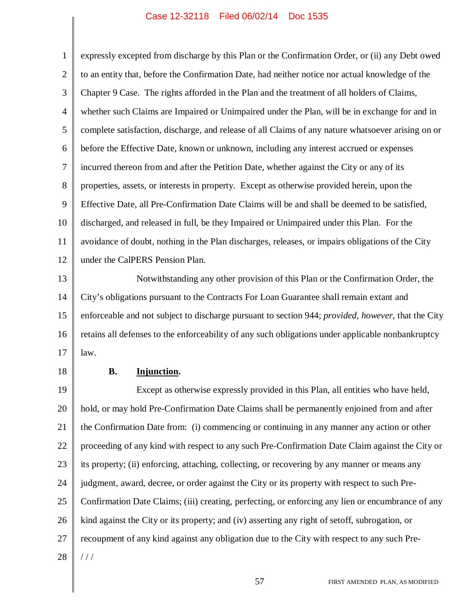1 2 3 4 5 6 7 8 9 10 11 12 expressly excepted from discharge by this Plan or the Confirmation Order, or (ii) any Debt owed to an entity that, before the Confirmation Date, had neither notice nor actual knowledge of the Chapter 9 Case. The rights afforded in the Plan and the treatment of all holders of Claims, whether such Claims are Impaired or Unimpaired under the Plan, will be in exchange for and in complete satisfaction, discharge, and release of all Claims of any nature whatsoever arising on or before the Effective Date, known or unknown, including any interest accrued or expenses incurred thereon from and after the Petition Date, whether against the City or any of its properties, assets, or interests in property. Except as otherwise provided herein, upon the Effective Date, all Pre-Confirmation Date Claims will be and shall be deemed to be satisfied, discharged, and released in full, be they Impaired or Unimpaired under this Plan. For the avoidance of doubt, nothing in the Plan discharges, releases, or impairs obligations of the City under the CalPERS Pension Plan.

13 14 15 16 17 Notwithstanding any other provision of this Plan or the Confirmation Order, the City's obligations pursuant to the Contracts For Loan Guarantee shall remain extant and enforceable and not subject to discharge pursuant to section 944; *provided, however*, that the City retains all defenses to the enforceability of any such obligations under applicable nonbankruptcy law.

18

#### **B. Injunction.**

19 20 21 22 23 24 25 26 27 28 Except as otherwise expressly provided in this Plan, all entities who have held, hold, or may hold Pre-Confirmation Date Claims shall be permanently enjoined from and after the Confirmation Date from: (i) commencing or continuing in any manner any action or other proceeding of any kind with respect to any such Pre-Confirmation Date Claim against the City or its property; (ii) enforcing, attaching, collecting, or recovering by any manner or means any judgment, award, decree, or order against the City or its property with respect to such Pre-Confirmation Date Claims; (iii) creating, perfecting, or enforcing any lien or encumbrance of any kind against the City or its property; and (iv) asserting any right of setoff, subrogation, or recoupment of any kind against any obligation due to the City with respect to any such Pre- / / /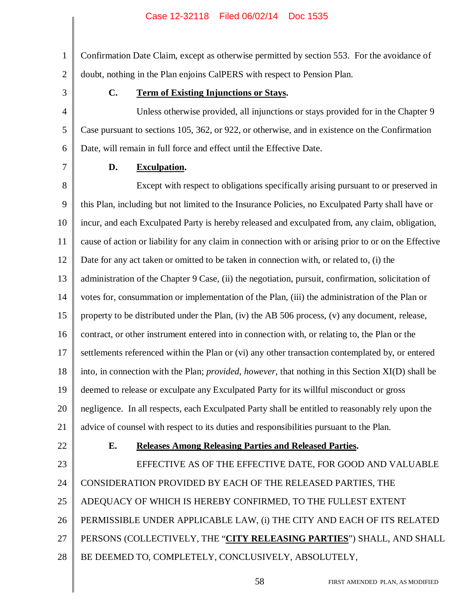1 2 Confirmation Date Claim, except as otherwise permitted by section 553. For the avoidance of doubt, nothing in the Plan enjoins CalPERS with respect to Pension Plan.

3

4

5

6

#### **C. Term of Existing Injunctions or Stays.**

Unless otherwise provided, all injunctions or stays provided for in the Chapter 9 Case pursuant to sections 105, 362, or 922, or otherwise, and in existence on the Confirmation Date, will remain in full force and effect until the Effective Date.

7

#### **D. Exculpation.**

8 9 10 11 12 13 14 15 16 17 18 19 20 21 Except with respect to obligations specifically arising pursuant to or preserved in this Plan, including but not limited to the Insurance Policies, no Exculpated Party shall have or incur, and each Exculpated Party is hereby released and exculpated from, any claim, obligation, cause of action or liability for any claim in connection with or arising prior to or on the Effective Date for any act taken or omitted to be taken in connection with, or related to, (i) the administration of the Chapter 9 Case, (ii) the negotiation, pursuit, confirmation, solicitation of votes for, consummation or implementation of the Plan, (iii) the administration of the Plan or property to be distributed under the Plan, (iv) the AB 506 process, (v) any document, release, contract, or other instrument entered into in connection with, or relating to, the Plan or the settlements referenced within the Plan or (vi) any other transaction contemplated by, or entered into, in connection with the Plan; *provided*, *however*, that nothing in this Section XI(D) shall be deemed to release or exculpate any Exculpated Party for its willful misconduct or gross negligence. In all respects, each Exculpated Party shall be entitled to reasonably rely upon the advice of counsel with respect to its duties and responsibilities pursuant to the Plan.

22

#### **E. Releases Among Releasing Parties and Released Parties.**

23 24 25 26 27 28 EFFECTIVE AS OF THE EFFECTIVE DATE, FOR GOOD AND VALUABLE CONSIDERATION PROVIDED BY EACH OF THE RELEASED PARTIES, THE ADEQUACY OF WHICH IS HEREBY CONFIRMED, TO THE FULLEST EXTENT PERMISSIBLE UNDER APPLICABLE LAW, (i) THE CITY AND EACH OF ITS RELATED PERSONS (COLLECTIVELY, THE "**CITY RELEASING PARTIES**") SHALL, AND SHALL BE DEEMED TO, COMPLETELY, CONCLUSIVELY, ABSOLUTELY,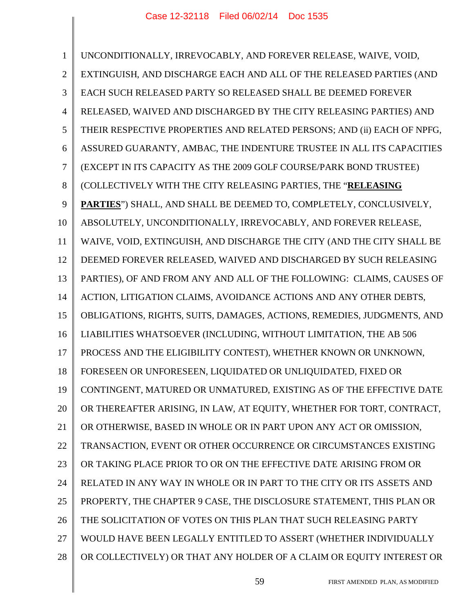1 2 3 4 5 6 7 8 9 10 11 12 13 14 15 16 17 18 19 20 21 22 23 24 25 26 27 28 UNCONDITIONALLY, IRREVOCABLY, AND FOREVER RELEASE, WAIVE, VOID, EXTINGUISH, AND DISCHARGE EACH AND ALL OF THE RELEASED PARTIES (AND EACH SUCH RELEASED PARTY SO RELEASED SHALL BE DEEMED FOREVER RELEASED, WAIVED AND DISCHARGED BY THE CITY RELEASING PARTIES) AND THEIR RESPECTIVE PROPERTIES AND RELATED PERSONS; AND (ii) EACH OF NPFG, ASSURED GUARANTY, AMBAC, THE INDENTURE TRUSTEE IN ALL ITS CAPACITIES (EXCEPT IN ITS CAPACITY AS THE 2009 GOLF COURSE/PARK BOND TRUSTEE) (COLLECTIVELY WITH THE CITY RELEASING PARTIES, THE "**RELEASING PARTIES**") SHALL, AND SHALL BE DEEMED TO, COMPLETELY, CONCLUSIVELY, ABSOLUTELY, UNCONDITIONALLY, IRREVOCABLY, AND FOREVER RELEASE, WAIVE, VOID, EXTINGUISH, AND DISCHARGE THE CITY (AND THE CITY SHALL BE DEEMED FOREVER RELEASED, WAIVED AND DISCHARGED BY SUCH RELEASING PARTIES), OF AND FROM ANY AND ALL OF THE FOLLOWING: CLAIMS, CAUSES OF ACTION, LITIGATION CLAIMS, AVOIDANCE ACTIONS AND ANY OTHER DEBTS, OBLIGATIONS, RIGHTS, SUITS, DAMAGES, ACTIONS, REMEDIES, JUDGMENTS, AND LIABILITIES WHATSOEVER (INCLUDING, WITHOUT LIMITATION, THE AB 506 PROCESS AND THE ELIGIBILITY CONTEST), WHETHER KNOWN OR UNKNOWN, FORESEEN OR UNFORESEEN, LIQUIDATED OR UNLIQUIDATED, FIXED OR CONTINGENT, MATURED OR UNMATURED, EXISTING AS OF THE EFFECTIVE DATE OR THEREAFTER ARISING, IN LAW, AT EQUITY, WHETHER FOR TORT, CONTRACT, OR OTHERWISE, BASED IN WHOLE OR IN PART UPON ANY ACT OR OMISSION, TRANSACTION, EVENT OR OTHER OCCURRENCE OR CIRCUMSTANCES EXISTING OR TAKING PLACE PRIOR TO OR ON THE EFFECTIVE DATE ARISING FROM OR RELATED IN ANY WAY IN WHOLE OR IN PART TO THE CITY OR ITS ASSETS AND PROPERTY, THE CHAPTER 9 CASE, THE DISCLOSURE STATEMENT, THIS PLAN OR THE SOLICITATION OF VOTES ON THIS PLAN THAT SUCH RELEASING PARTY WOULD HAVE BEEN LEGALLY ENTITLED TO ASSERT (WHETHER INDIVIDUALLY OR COLLECTIVELY) OR THAT ANY HOLDER OF A CLAIM OR EQUITY INTEREST OR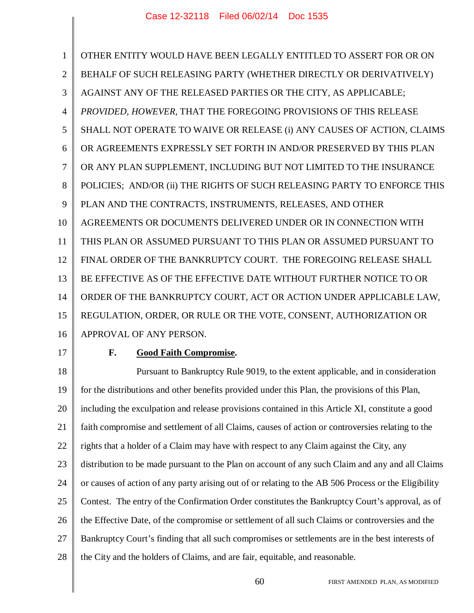1 2 3 4 5 6 7 8 9 10 11 12 13 14 15 16 OTHER ENTITY WOULD HAVE BEEN LEGALLY ENTITLED TO ASSERT FOR OR ON BEHALF OF SUCH RELEASING PARTY (WHETHER DIRECTLY OR DERIVATIVELY) AGAINST ANY OF THE RELEASED PARTIES OR THE CITY, AS APPLICABLE; *PROVIDED, HOWEVER*, THAT THE FOREGOING PROVISIONS OF THIS RELEASE SHALL NOT OPERATE TO WAIVE OR RELEASE (i) ANY CAUSES OF ACTION, CLAIMS OR AGREEMENTS EXPRESSLY SET FORTH IN AND/OR PRESERVED BY THIS PLAN OR ANY PLAN SUPPLEMENT, INCLUDING BUT NOT LIMITED TO THE INSURANCE POLICIES; AND/OR (ii) THE RIGHTS OF SUCH RELEASING PARTY TO ENFORCE THIS PLAN AND THE CONTRACTS, INSTRUMENTS, RELEASES, AND OTHER AGREEMENTS OR DOCUMENTS DELIVERED UNDER OR IN CONNECTION WITH THIS PLAN OR ASSUMED PURSUANT TO THIS PLAN OR ASSUMED PURSUANT TO FINAL ORDER OF THE BANKRUPTCY COURT. THE FOREGOING RELEASE SHALL BE EFFECTIVE AS OF THE EFFECTIVE DATE WITHOUT FURTHER NOTICE TO OR ORDER OF THE BANKRUPTCY COURT, ACT OR ACTION UNDER APPLICABLE LAW, REGULATION, ORDER, OR RULE OR THE VOTE, CONSENT, AUTHORIZATION OR APPROVAL OF ANY PERSON.

17

#### **F. Good Faith Compromise.**

18 19 20 21 22 23 24 25 26 27 28 Pursuant to Bankruptcy Rule 9019, to the extent applicable, and in consideration for the distributions and other benefits provided under this Plan, the provisions of this Plan, including the exculpation and release provisions contained in this Article XI, constitute a good faith compromise and settlement of all Claims, causes of action or controversies relating to the rights that a holder of a Claim may have with respect to any Claim against the City, any distribution to be made pursuant to the Plan on account of any such Claim and any and all Claims or causes of action of any party arising out of or relating to the AB 506 Process or the Eligibility Contest. The entry of the Confirmation Order constitutes the Bankruptcy Court's approval, as of the Effective Date, of the compromise or settlement of all such Claims or controversies and the Bankruptcy Court's finding that all such compromises or settlements are in the best interests of the City and the holders of Claims, and are fair, equitable, and reasonable.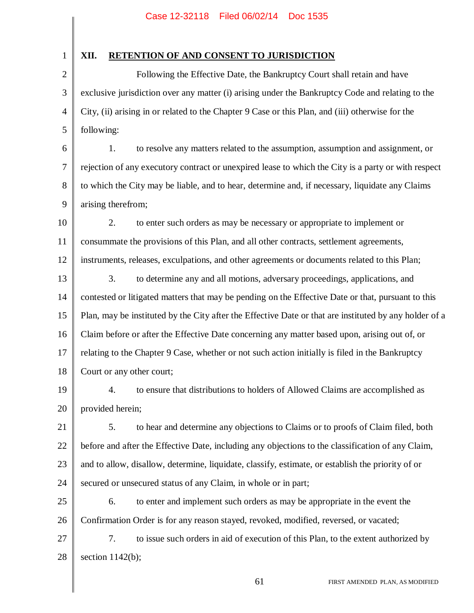1

#### **XII. RETENTION OF AND CONSENT TO JURISDICTION**

2 3 4 5 Following the Effective Date, the Bankruptcy Court shall retain and have exclusive jurisdiction over any matter (i) arising under the Bankruptcy Code and relating to the City, (ii) arising in or related to the Chapter 9 Case or this Plan, and (iii) otherwise for the following:

6 7 8 9 1. to resolve any matters related to the assumption, assumption and assignment, or rejection of any executory contract or unexpired lease to which the City is a party or with respect to which the City may be liable, and to hear, determine and, if necessary, liquidate any Claims arising therefrom;

- 10 11 12 2. to enter such orders as may be necessary or appropriate to implement or consummate the provisions of this Plan, and all other contracts, settlement agreements, instruments, releases, exculpations, and other agreements or documents related to this Plan;
- 13 14 15 16 17 18 3. to determine any and all motions, adversary proceedings, applications, and contested or litigated matters that may be pending on the Effective Date or that, pursuant to this Plan, may be instituted by the City after the Effective Date or that are instituted by any holder of a Claim before or after the Effective Date concerning any matter based upon, arising out of, or relating to the Chapter 9 Case, whether or not such action initially is filed in the Bankruptcy Court or any other court;
- 19 20 4. to ensure that distributions to holders of Allowed Claims are accomplished as provided herein;
- 21 22 23 24 5. to hear and determine any objections to Claims or to proofs of Claim filed, both before and after the Effective Date, including any objections to the classification of any Claim, and to allow, disallow, determine, liquidate, classify, estimate, or establish the priority of or secured or unsecured status of any Claim, in whole or in part;
- 25 26 6. to enter and implement such orders as may be appropriate in the event the Confirmation Order is for any reason stayed, revoked, modified, reversed, or vacated;
- 27 28 7. to issue such orders in aid of execution of this Plan, to the extent authorized by section  $1142(b)$ ;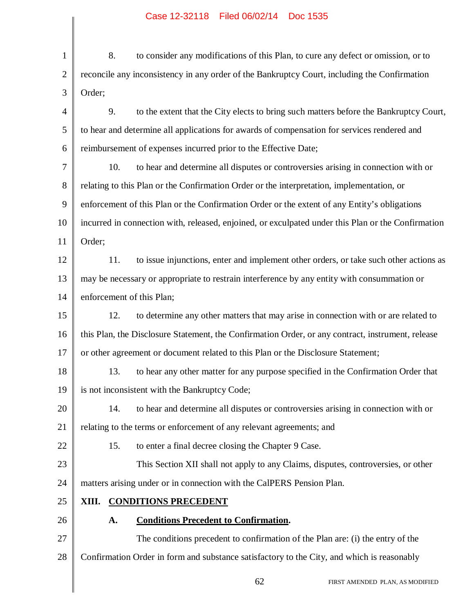| 1              | 8.<br>to consider any modifications of this Plan, to cure any defect or omission, or to            |
|----------------|----------------------------------------------------------------------------------------------------|
| $\overline{2}$ | reconcile any inconsistency in any order of the Bankruptcy Court, including the Confirmation       |
| 3              | Order;                                                                                             |
| $\overline{4}$ | 9.<br>to the extent that the City elects to bring such matters before the Bankruptcy Court,        |
| 5              | to hear and determine all applications for awards of compensation for services rendered and        |
| 6              | reimbursement of expenses incurred prior to the Effective Date;                                    |
| 7              | 10.<br>to hear and determine all disputes or controversies arising in connection with or           |
| 8              | relating to this Plan or the Confirmation Order or the interpretation, implementation, or          |
| 9              | enforcement of this Plan or the Confirmation Order or the extent of any Entity's obligations       |
| 10             | incurred in connection with, released, enjoined, or exculpated under this Plan or the Confirmation |
| 11             | Order;                                                                                             |
| 12             | 11.<br>to issue injunctions, enter and implement other orders, or take such other actions as       |
| 13             | may be necessary or appropriate to restrain interference by any entity with consummation or        |
| 14             | enforcement of this Plan;                                                                          |
| 15             | 12.<br>to determine any other matters that may arise in connection with or are related to          |
| 16             | this Plan, the Disclosure Statement, the Confirmation Order, or any contract, instrument, release  |
| 17             | or other agreement or document related to this Plan or the Disclosure Statement;                   |
| 18             | 13.<br>to hear any other matter for any purpose specified in the Confirmation Order that           |
| 19             | is not inconsistent with the Bankruptcy Code;                                                      |
| 20             | to hear and determine all disputes or controversies arising in connection with or<br>14.           |
| 21             | relating to the terms or enforcement of any relevant agreements; and                               |
| 22             | 15.<br>to enter a final decree closing the Chapter 9 Case.                                         |
| 23             | This Section XII shall not apply to any Claims, disputes, controversies, or other                  |
| 24             | matters arising under or in connection with the CalPERS Pension Plan.                              |
| 25             | XIII. CONDITIONS PRECEDENT                                                                         |
| 26             | <b>Conditions Precedent to Confirmation.</b><br>A.                                                 |
| 27             | The conditions precedent to confirmation of the Plan are: (i) the entry of the                     |
| 28             | Confirmation Order in form and substance satisfactory to the City, and which is reasonably         |
|                | 62<br>FIRST AMENDED PLAN, AS MODIFIED                                                              |
|                |                                                                                                    |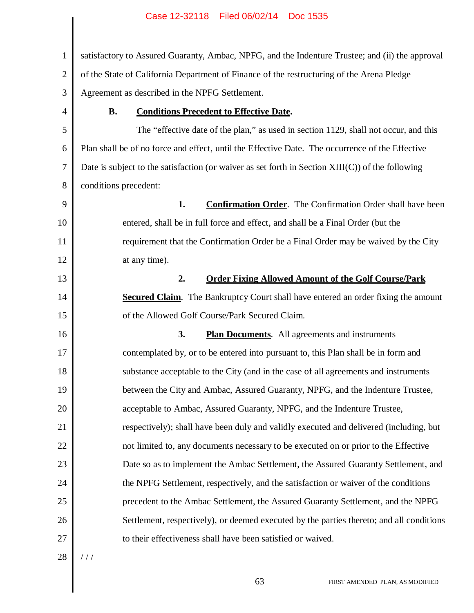1 2 3 4 5 6 7 8 9 10 11 12 13 14 15 16 17 18 19 20 21 22 23 24 25 26 27 28 satisfactory to Assured Guaranty, Ambac, NPFG, and the Indenture Trustee; and (ii) the approval of the State of California Department of Finance of the restructuring of the Arena Pledge Agreement as described in the NPFG Settlement. **B. Conditions Precedent to Effective Date.** The "effective date of the plan," as used in section 1129, shall not occur, and this Plan shall be of no force and effect, until the Effective Date. The occurrence of the Effective Date is subject to the satisfaction (or waiver as set forth in Section XIII(C)) of the following conditions precedent: **1. Confirmation Order**. The Confirmation Order shall have been entered, shall be in full force and effect, and shall be a Final Order (but the requirement that the Confirmation Order be a Final Order may be waived by the City at any time). **2. Order Fixing Allowed Amount of the Golf Course/Park Secured Claim.** The Bankruptcy Court shall have entered an order fixing the amount of the Allowed Golf Course/Park Secured Claim. **3. Plan Documents**. All agreements and instruments contemplated by, or to be entered into pursuant to, this Plan shall be in form and substance acceptable to the City (and in the case of all agreements and instruments between the City and Ambac, Assured Guaranty, NPFG, and the Indenture Trustee, acceptable to Ambac, Assured Guaranty, NPFG, and the Indenture Trustee, respectively); shall have been duly and validly executed and delivered (including, but not limited to, any documents necessary to be executed on or prior to the Effective Date so as to implement the Ambac Settlement, the Assured Guaranty Settlement, and the NPFG Settlement, respectively, and the satisfaction or waiver of the conditions precedent to the Ambac Settlement, the Assured Guaranty Settlement, and the NPFG Settlement, respectively), or deemed executed by the parties thereto; and all conditions to their effectiveness shall have been satisfied or waived.  $/ /$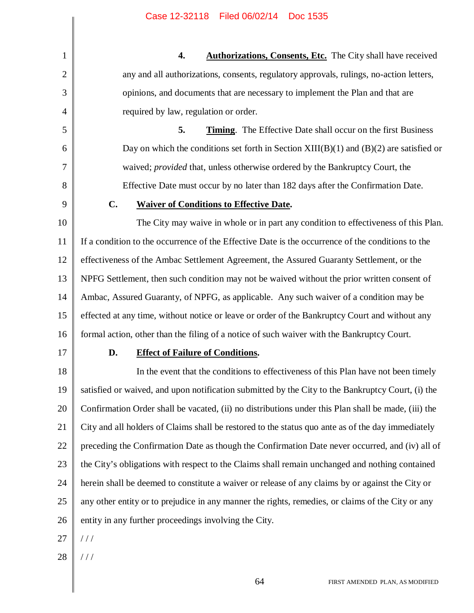**4. Authorizations, Consents, Etc.** The City shall have received any and all authorizations, consents, regulatory approvals, rulings, no-action letters, opinions, and documents that are necessary to implement the Plan and that are required by law, regulation or order.

**5. Timing**. The Effective Date shall occur on the first Business Day on which the conditions set forth in Section  $XIII(B)(1)$  and  $(B)(2)$  are satisfied or waived; *provided* that, unless otherwise ordered by the Bankruptcy Court, the Effective Date must occur by no later than 182 days after the Confirmation Date.

9

1

2

3

4

5

6

7

8

#### **C. Waiver of Conditions to Effective Date.**

10 11 12 13 14 15 16 The City may waive in whole or in part any condition to effectiveness of this Plan. If a condition to the occurrence of the Effective Date is the occurrence of the conditions to the effectiveness of the Ambac Settlement Agreement, the Assured Guaranty Settlement, or the NPFG Settlement, then such condition may not be waived without the prior written consent of Ambac, Assured Guaranty, of NPFG, as applicable. Any such waiver of a condition may be effected at any time, without notice or leave or order of the Bankruptcy Court and without any formal action, other than the filing of a notice of such waiver with the Bankruptcy Court.

17

#### **D. Effect of Failure of Conditions.**

18 19 20 21 22 23 24 25 26 In the event that the conditions to effectiveness of this Plan have not been timely satisfied or waived, and upon notification submitted by the City to the Bankruptcy Court, (i) the Confirmation Order shall be vacated, (ii) no distributions under this Plan shall be made, (iii) the City and all holders of Claims shall be restored to the status quo ante as of the day immediately preceding the Confirmation Date as though the Confirmation Date never occurred, and (iv) all of the City's obligations with respect to the Claims shall remain unchanged and nothing contained herein shall be deemed to constitute a waiver or release of any claims by or against the City or any other entity or to prejudice in any manner the rights, remedies, or claims of the City or any entity in any further proceedings involving the City.

- 27  $1/1$
- 28 / / /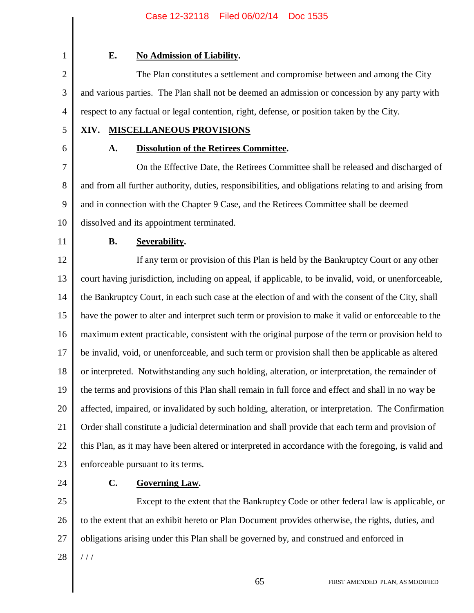2

3

4

1

#### **E. No Admission of Liability.**

The Plan constitutes a settlement and compromise between and among the City and various parties. The Plan shall not be deemed an admission or concession by any party with respect to any factual or legal contention, right, defense, or position taken by the City.

5

6

### **XIV. MISCELLANEOUS PROVISIONS**

#### **A. Dissolution of the Retirees Committee.**

7 8 9 10 On the Effective Date, the Retirees Committee shall be released and discharged of and from all further authority, duties, responsibilities, and obligations relating to and arising from and in connection with the Chapter 9 Case, and the Retirees Committee shall be deemed dissolved and its appointment terminated.

11

#### **B. Severability.**

12 13 14 15 16 17 18 19 20 21 22 23 If any term or provision of this Plan is held by the Bankruptcy Court or any other court having jurisdiction, including on appeal, if applicable, to be invalid, void, or unenforceable, the Bankruptcy Court, in each such case at the election of and with the consent of the City, shall have the power to alter and interpret such term or provision to make it valid or enforceable to the maximum extent practicable, consistent with the original purpose of the term or provision held to be invalid, void, or unenforceable, and such term or provision shall then be applicable as altered or interpreted. Notwithstanding any such holding, alteration, or interpretation, the remainder of the terms and provisions of this Plan shall remain in full force and effect and shall in no way be affected, impaired, or invalidated by such holding, alteration, or interpretation. The Confirmation Order shall constitute a judicial determination and shall provide that each term and provision of this Plan, as it may have been altered or interpreted in accordance with the foregoing, is valid and enforceable pursuant to its terms.

24

#### **C. Governing Law.**

25 26 27 28 Except to the extent that the Bankruptcy Code or other federal law is applicable, or to the extent that an exhibit hereto or Plan Document provides otherwise, the rights, duties, and obligations arising under this Plan shall be governed by, and construed and enforced in / / /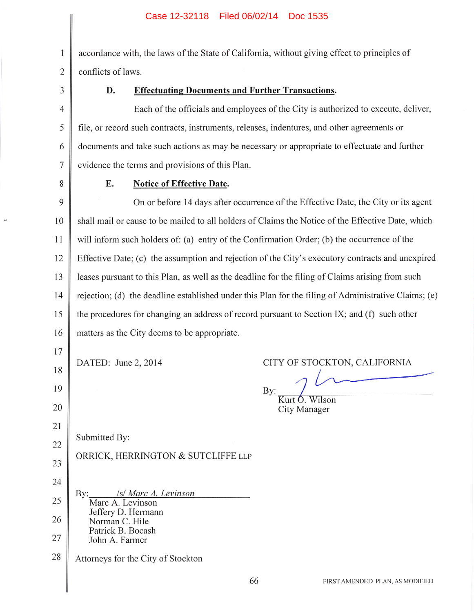$\mathbf{1}$ accordance with, the laws of the State of California, without giving effect to principles of  $\overline{2}$ conflicts of laws.

3

#### D. **Effectuating Documents and Further Transactions.**

 $\overline{4}$ Each of the officials and employees of the City is authorized to execute, deliver, 5 file, or record such contracts, instruments, releases, indentures, and other agreements or 6 documents and take such actions as may be necessary or appropriate to effectuate and further  $\overline{7}$ evidence the terms and provisions of this Plan.

8

E.

#### **Notice of Effective Date.**

9 On or before 14 days after occurrence of the Effective Date, the City or its agent shall mail or cause to be mailed to all holders of Claims the Notice of the Effective Date, which 10 11 will inform such holders of: (a) entry of the Confirmation Order; (b) the occurrence of the Effective Date: (c) the assumption and rejection of the City's executory contracts and unexpired 12 13 leases pursuant to this Plan, as well as the deadline for the filing of Claims arising from such rejection; (d) the deadline established under this Plan for the filing of Administrative Claims; (e) 14 the procedures for changing an address of record pursuant to Section IX; and (f) such other 15 matters as the City deems to be appropriate. 16

By:

DATED: June 2, 2014 18 19 20

17

21

23

Submitted By: 22

#### ORRICK, HERRINGTON & SUTCLIFFE LLP

- 24 /s/ Marc A. Levinson Bv: 25 Marc A. Levinson Jeffery D. Hermann 26 Norman C. Hile Patrick B. Bocash 27 John A. Farmer
- 28 Attorneys for the City of Stockton

CITY OF STOCKTON, CALIFORNIA

Kurt O. Wilson

City Manager

FIRST AMENDED PLAN, AS MODIFIED